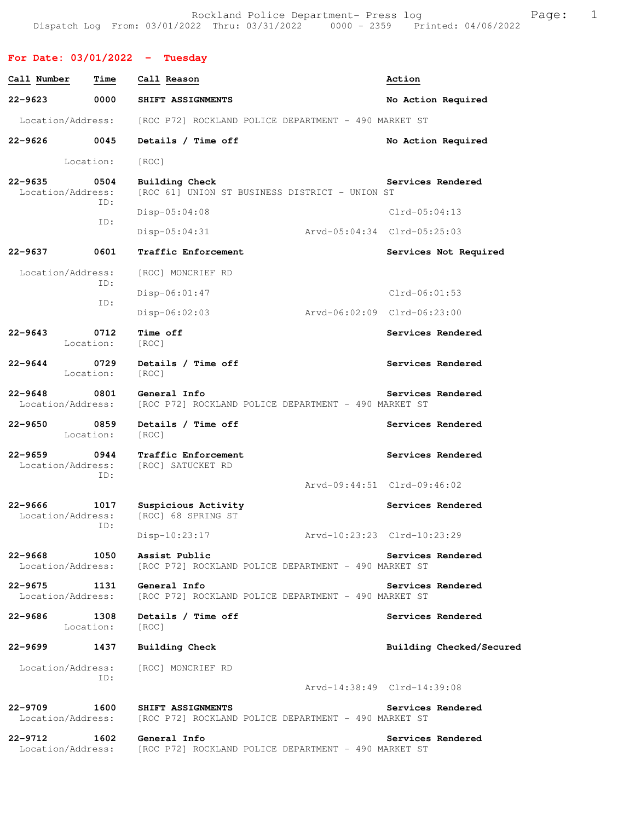Rockland Police Department- Press log Fage: 1 Dispatch Log From: 03/01/2022 Thru: 03/31/2022 0000 - 2359 Printed: 04/06/2022

**For Date: 03/01/2022 - Tuesday Call Number Time Call Reason and Solution Call Reason Action 22-9623 0000 SHIFT ASSIGNMENTS No Action Required**  Location/Address: [ROC P72] ROCKLAND POLICE DEPARTMENT - 490 MARKET ST **22-9626 0045 Details / Time off No Action Required**  Location: [ROC] **22-9635 0504 Building Check Services Rendered**  Location/Address: [ROC 61] UNION ST BUSINESS DISTRICT - UNION ST ID: Disp-05:04:08 Clrd-05:04:13 ID: Disp-05:04:31 Arvd-05:04:34 Clrd-05:25:03 **22-9637 0601 Traffic Enforcement Services Not Required**  Location/Address: [ROC] MONCRIEF RD ID: Disp-06:01:47 Clrd-06:01:53 ID: Disp-06:02:03 Arvd-06:02:09 Clrd-06:23:00 **22-9643** 0712 Time off Services Rendered Location: [ROC] 22-9644 **0729** Details / Time off **Services Rendered Services** Rendered Location: [ROC] **22-9648 0801 General Info Services Rendered**  Location/Address: [ROC P72] ROCKLAND POLICE DEPARTMENT - 490 MARKET ST 22-9650 0859 Details / Time off **Services Rendered** Location: [ROC] **22-9659 0944 Traffic Enforcement Services Rendered**  Location/Address: [ROC] SATUCKET RD ID: Arvd-09:44:51 Clrd-09:46:02 **22-9666 1017 Suspicious Activity Services Rendered**  [ROC] 68 SPRING ST ID: Disp-10:23:17 Arvd-10:23:23 Clrd-10:23:29 **22-9668 1050 Assist Public Services Rendered**  Location/Address: [ROC P72] ROCKLAND POLICE DEPARTMENT - 490 MARKET ST **22-9675 1131 General Info Services Rendered**  Location/Address: [ROC P72] ROCKLAND POLICE DEPARTMENT - 490 MARKET ST **22-9686 1308 Details / Time off Services Rendered**  Location: [ROC] **22-9699 1437 Building Check Building Checked/Secured**  Location/Address: [ROC] MONCRIEF RD ID: Arvd-14:38:49 Clrd-14:39:08 **22-9709 1600 SHIFT ASSIGNMENTS Services Rendered**  Location/Address: [ROC P72] ROCKLAND POLICE DEPARTMENT - 490 MARKET ST **22-9712 1602 General Info Services Rendered**  Location/Address: [ROC P72] ROCKLAND POLICE DEPARTMENT - 490 MARKET ST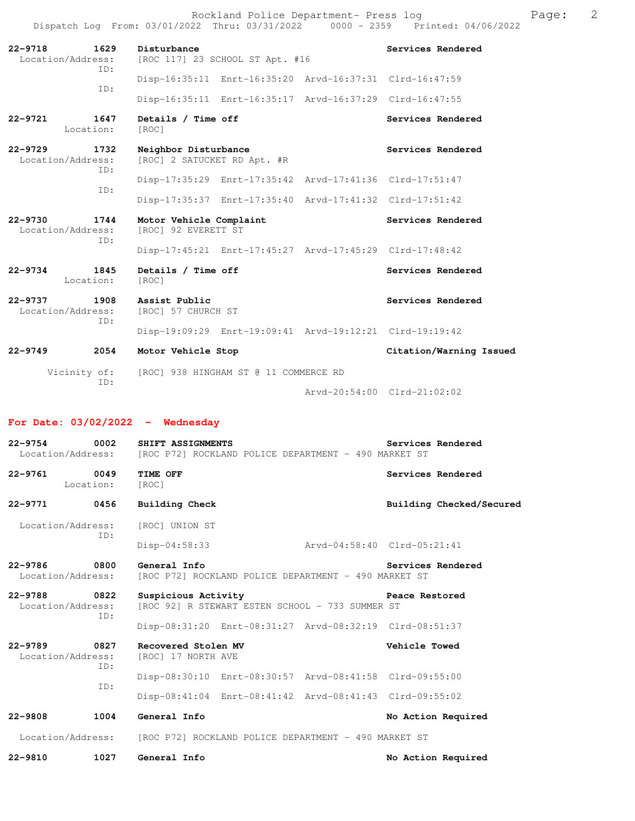Rockland Police Department- Press log entitled and Page: 2 Dispatch Log From: 03/01/2022 Thru: 03/31/2022 0000 - 2359 Printed: 04/06/2022

| $22 - 9718$<br>1629<br>Location/Address:<br>TD: | Disturbance<br>[ROC 117] 23 SCHOOL ST Apt. #16          | Services Rendered       |
|-------------------------------------------------|---------------------------------------------------------|-------------------------|
| ID:                                             | Disp-16:35:11 Enrt-16:35:20 Arvd-16:37:31 Clrd-16:47:59 |                         |
|                                                 | Disp-16:35:11 Enrt-16:35:17 Arvd-16:37:29 Clrd-16:47:55 |                         |
| 1647<br>$22 - 9721$<br>Location:                | Details / Time off<br>[ROC]                             | Services Rendered       |
| $22 - 9729$<br>1732<br>Location/Address:<br>TD: | Neighbor Disturbance<br>[ROC] 2 SATUCKET RD Apt. #R     | Services Rendered       |
| TD:                                             | Disp-17:35:29 Enrt-17:35:42 Arvd-17:41:36 Clrd-17:51:47 |                         |
|                                                 | Disp-17:35:37 Enrt-17:35:40 Arvd-17:41:32 Clrd-17:51:42 |                         |
| 1744<br>$22 - 9730$<br>Location/Address:<br>TD: | Motor Vehicle Complaint<br>[ROC] 92 EVERETT ST          | Services Rendered       |
|                                                 | Disp-17:45:21 Enrt-17:45:27 Arvd-17:45:29 Clrd-17:48:42 |                         |
| 1845<br>$22 - 9734$<br>Location:                | Details / Time off<br>[ROC]                             | Services Rendered       |
| $22 - 9737$<br>1908                             | Assist Public                                           | Services Rendered       |
| Location/Address:                               | [ROC] 57 CHURCH ST                                      |                         |
| ID:                                             | Disp-19:09:29 Enrt-19:09:41 Arvd-19:12:21 Clrd-19:19:42 |                         |
| $22 - 9749$<br>2054                             | Motor Vehicle Stop                                      | Citation/Warning Issued |

Arvd-20:54:00 Clrd-21:02:02

## **For Date: 03/02/2022 - Wednesday**

| 22-9754 0002                      |           | SHIFT ASSIGNMENTS<br>Location/Address: [ROC P72] ROCKLAND POLICE DEPARTMENT - 490 MARKET ST | Services Rendered        |
|-----------------------------------|-----------|---------------------------------------------------------------------------------------------|--------------------------|
| 0049<br>22-9761                   | Location: | TIME OFF<br>[ROC]                                                                           | Services Rendered        |
| 22-9771 0456                      |           | <b>Building Check</b>                                                                       | Building Checked/Secured |
| Location/Address:                 | TD:       | [ROC] UNION ST                                                                              |                          |
|                                   |           | Arvd-04:58:40 Clrd-05:21:41<br>$Disp-04:58:33$                                              |                          |
| 22-9786 0800<br>Location/Address: |           | General Info<br>[ROC P72] ROCKLAND POLICE DEPARTMENT - 490 MARKET ST                        | Services Rendered        |
| 22-9788 0822<br>Location/Address: | ID:       | Suspicious Activity<br>[ROC 92] R STEWART ESTEN SCHOOL - 733 SUMMER ST                      | Peace Restored           |
|                                   |           | Disp-08:31:20 Enrt-08:31:27 Arvd-08:32:19 Clrd-08:51:37                                     |                          |
| 22-9789 0827<br>Location/Address: | ID:       | Recovered Stolen MV<br>[ROC] 17 NORTH AVE                                                   | Vehicle Towed            |
|                                   | TD:       | Disp-08:30:10 Enrt-08:30:57 Arvd-08:41:58 Clrd-09:55:00                                     |                          |
|                                   |           | Disp-08:41:04 Enrt-08:41:42 Arvd-08:41:43 Clrd-09:55:02                                     |                          |
| $22 - 9808$                       | 1004      | General Info                                                                                | No Action Required       |
|                                   |           | Location/Address: [ROC P72] ROCKLAND POLICE DEPARTMENT - 490 MARKET ST                      |                          |
| $22 - 9810$                       | 1027      | General Info                                                                                | No Action Required       |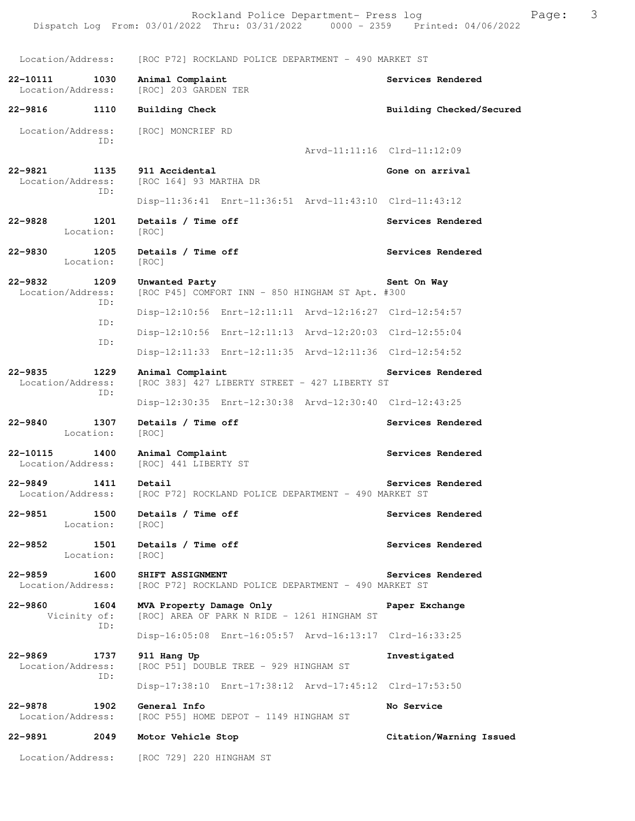Location/Address: [ROC P72] ROCKLAND POLICE DEPARTMENT - 490 MARKET ST **22-10111 1030 Animal Complaint Services Rendered**  Location/Address: [ROC] 203 GARDEN TER **22-9816 1110 Building Check Building Checked/Secured**  Location/Address: [ROC] MONCRIEF RD ID: Arvd-11:11:16 Clrd-11:12:09 **22-9821 1135 911 Accidental Gone on arrival**  Location/Address: [ROC 164] 93 MARTHA DR ID: Disp-11:36:41 Enrt-11:36:51 Arvd-11:43:10 Clrd-11:43:12 **22-9828 1201 Details / Time off Services Rendered**  Location: [ROC] **22-9830 1205 Details / Time off Services Rendered**  Location: [ROC] **22-9832 1209 Unwanted Party Sent On Way**  Location/Address: [ROC P45] COMFORT INN - 850 HINGHAM ST Apt. #300 ID: Disp-12:10:56 Enrt-12:11:11 Arvd-12:16:27 Clrd-12:54:57 ID: Disp-12:10:56 Enrt-12:11:13 Arvd-12:20:03 Clrd-12:55:04 ID: Disp-12:11:33 Enrt-12:11:35 Arvd-12:11:36 Clrd-12:54:52 **22-9835 1229 Animal Complaint Services Rendered**  Location/Address: [ROC 383] 427 LIBERTY STREET - 427 LIBERTY ST ID: Disp-12:30:35 Enrt-12:30:38 Arvd-12:30:40 Clrd-12:43:25 **22-9840 1307 Details / Time off Services Rendered**  Location: [ROC] **22-10115 1400 Animal Complaint Services Rendered**  Location/Address: [ROC] 441 LIBERTY ST **22-9849 1411 Detail Services Rendered**  Location/Address: [ROC P72] ROCKLAND POLICE DEPARTMENT - 490 MARKET ST 22-9851 1500 Details / Time off **Services Rendered Services** Rendered Location: [ROC] 22-9852 1501 Details / Time off **Services Rendered**  Location: [ROC] **22-9859 1600 SHIFT ASSIGNMENT Services Rendered**  Location/Address: [ROC P72] ROCKLAND POLICE DEPARTMENT - 490 MARKET ST **22-9860 1604 MVA Property Damage Only Paper Exchange**  Vicinity of: [ROC] AREA OF PARK N RIDE - 1261 HINGHAM ST ID: Disp-16:05:08 Enrt-16:05:57 Arvd-16:13:17 Clrd-16:33:25 **22-9869 1737 911 Hang Up Investigated**  Location/Address: [ROC P51] DOUBLE TREE - 929 HINGHAM ST ID: Disp-17:38:10 Enrt-17:38:12 Arvd-17:45:12 Clrd-17:53:50 **22-9878 1902 General Info No Service**  Location/Address: [ROC P55] HOME DEPOT - 1149 HINGHAM ST **22-9891 2049 Motor Vehicle Stop Citation/Warning Issued**  Location/Address: [ROC 729] 220 HINGHAM ST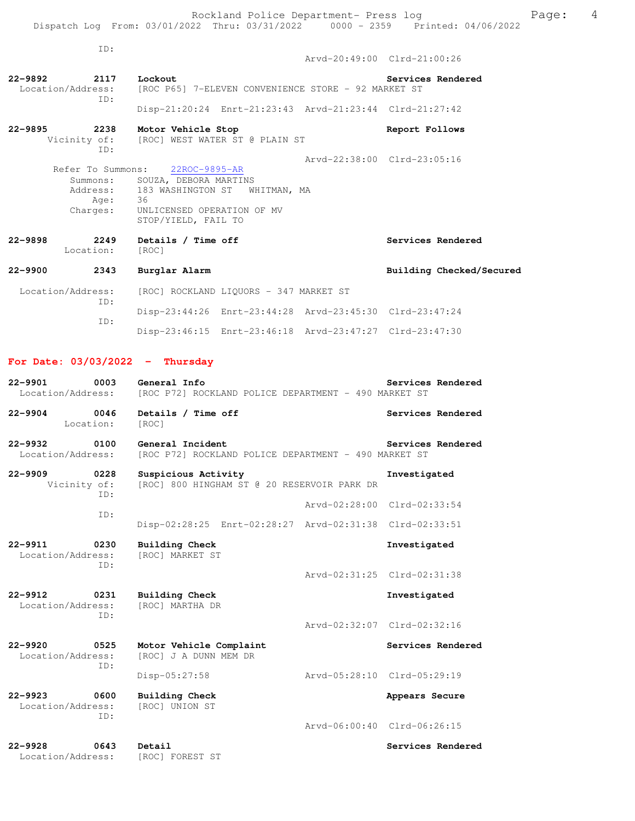| ID:                                |                                                                                                                                                                                      |                             |
|------------------------------------|--------------------------------------------------------------------------------------------------------------------------------------------------------------------------------------|-----------------------------|
|                                    |                                                                                                                                                                                      | Arvd-20:49:00 Clrd-21:00:26 |
| 22-9892<br>2117 Lockout            | Location/Address: [ROC P65] 7-ELEVEN CONVENIENCE STORE - 92 MARKET ST                                                                                                                | Services Rendered           |
| TD:                                | Disp-21:20:24 Enrt-21:23:43 Arvd-21:23:44 Clrd-21:27:42                                                                                                                              |                             |
| 22-9895<br>TD:                     | 2238 Motor Vehicle Stop<br>Vicinity of: [ROC] WEST WATER ST @ PLAIN ST                                                                                                               | Report Follows              |
| Age:                               | Refer To Summons: 22ROC-9895-AR<br>Summons: SOUZA, DEBORA MARTINS<br>Address: 183 WASHINGTON ST WHITMAN, MA<br>Age: 36<br>Charges: UNLICENSED OPERATION OF MV<br>STOP/YIELD, FAIL TO | Arvd-22:38:00 Clrd-23:05:16 |
| 2249<br>22-9898<br>Location: [ROC] | Details / Time off                                                                                                                                                                   | Services Rendered           |
| 22-9900 2343                       | Burglar Alarm                                                                                                                                                                        | Building Checked/Secured    |
| Location/Address:<br>ID:           | [ROC] ROCKLAND LIQUORS - 347 MARKET ST                                                                                                                                               |                             |
| ID:                                | Disp-23:44:26 Enrt-23:44:28 Arvd-23:45:30 Clrd-23:47:24                                                                                                                              |                             |
|                                    | Disp-23:46:15 Enrt-23:46:18 Arvd-23:47:27 Clrd-23:47:30                                                                                                                              |                             |
| For Date: $03/03/2022 -$ Thursday  |                                                                                                                                                                                      |                             |
| 22-9901                            | 0003 General Info<br>Location/Address: [ROC P72] ROCKLAND POLICE DEPARTMENT - 490 MARKET ST                                                                                          | Services Rendered           |
| 0046<br>22-9904<br>Location: [ROC] | Details / Time off                                                                                                                                                                   | Services Rendered           |
| 22-9932                            | 0100 General Incident<br>Location/Address: [ROC P72] ROCKLAND POLICE DEPARTMENT - 490 MARKET ST                                                                                      | Services Rendered           |
|                                    | the contract of the contract of<br>.                                                                                                                                                 |                             |

**22-9909 0228 Suspicious Activity Investigated**  Vicinity of: [ROC] 800 HINGHAM ST @ 20 RESERVOIR PARK DR ID: Arvd-02:28:00 Clrd-02:33:54 ID: Disp-02:28:25 Enrt-02:28:27 Arvd-02:31:38 Clrd-02:33:51

**22-9911 0230 Building Check Investigated**  Location/Address: ID: Arvd-02:31:25 Clrd-02:31:38

**22-9912 0231 Building Check Investigated**  Location/Address: ID:

**22-9920 0525 Motor Vehicle Complaint 61 Services Rendered** Location/Address: [ROC] J A DUNN MEM DR [ROC] J A DUNN MEM DR ID: Disp-05:27:58 Arvd-05:28:10 Clrd-05:29:19

**22-9923 0600 Building Check Appears Secure** Appears Secure Location/Address: [ROC] UNION ST Location/Address: ID:

**22-9928 0643 Detail Services Rendered**  Location/Address:

Arvd-02:32:07 Clrd-02:32:16

Arvd-06:00:40 Clrd-06:26:15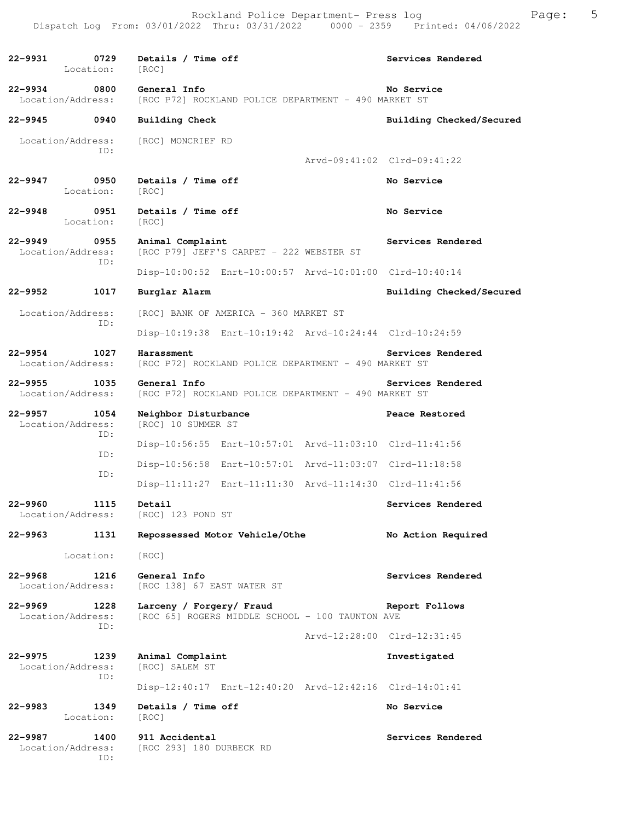**22-9931 0729 Details / Time off Services Rendered**  Location: [ROC] **22-9934 0800 General Info No Service**<br>Location/Address: [ROC P72] ROCKLAND POLICE DEPARTMENT - 490 MARKET ST [ROC P72] ROCKLAND POLICE DEPARTMENT - 490 MARKET ST **22-9945 0940 Building Check Building Checked/Secured**  Location/Address: [ROC] MONCRIEF RD ID: Arvd-09:41:02 Clrd-09:41:22 **22-9947 0950 Details / Time off No Service**  Location: [ROC] **22-9948 0951 Details / Time off No Service**  Location: [ROC] **22-9949 0955 Animal Complaint Services Rendered Services Rendered Iocation/Address:** [ROC P79] JEFF'S CARPET - 222 WEBSTER ST [ROC P79] JEFF'S CARPET - 222 WEBSTER ST ID: Disp-10:00:52 Enrt-10:00:57 Arvd-10:01:00 Clrd-10:40:14 **22-9952 1017 Burglar Alarm Building Checked/Secured**  Location/Address: [ROC] BANK OF AMERICA - 360 MARKET ST ID: Disp-10:19:38 Enrt-10:19:42 Arvd-10:24:44 Clrd-10:24:59 **22-9954 1027 Harassment Services Rendered**  Location/Address: [ROC P72] ROCKLAND POLICE DEPARTMENT - 490 MARKET ST **22-9955 1035 General Info Services Rendered**  Location/Address: [ROC P72] ROCKLAND POLICE DEPARTMENT - 490 MARKET ST **22-9957 1054 Neighbor Disturbance Peace Restored**  Location/Address: [ROC] 10 SUMMER ST ID: Disp-10:56:55 Enrt-10:57:01 Arvd-11:03:10 Clrd-11:41:56 ID: Disp-10:56:58 Enrt-10:57:01 Arvd-11:03:07 Clrd-11:18:58 ID: Disp-11:11:27 Enrt-11:11:30 Arvd-11:14:30 Clrd-11:41:56 **22-9960 1115 Detail Services Rendered**  Location/Address: [ROC] 123 POND ST **22-9963 1131 Repossessed Motor Vehicle/Othe No Action Required**  Location: [ROC] **22-9968 1216 General Info Services Rendered**  Location/Address: [ROC 138] 67 EAST WATER ST **22-9969 1228 Larceny / Forgery/ Fraud Report Follows**  Location/Address: [ROC 65] ROGERS MIDDLE SCHOOL - 100 TAUNTON AVE ID: Arvd-12:28:00 Clrd-12:31:45 **22-9975 1239 Animal Complaint Investigated**  Location/Address: [ROC] SALEM ST ID: Disp-12:40:17 Enrt-12:40:20 Arvd-12:42:16 Clrd-14:01:41 **22-9983 1349 Details / Time off No Service**  Location: [ROC] **22-9987 1400 911 Accidental Services Rendered**  Location/Address: [ROC 293] 180 DURBECK RD ID: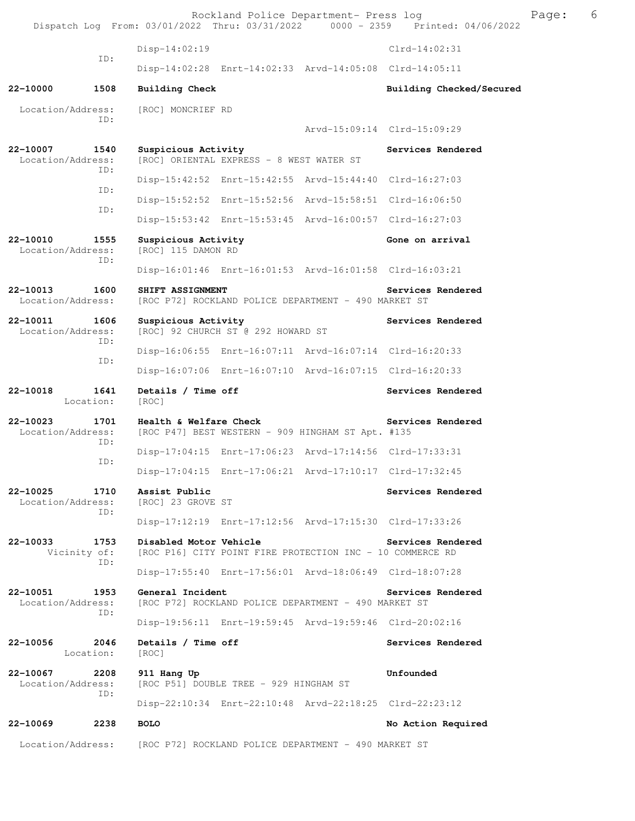Dispatch Log From: 03/01/2022 Thru: 03/31/2022 0000 - 2359 Printed: 04/06/2022 Disp-14:02:19 Clrd-14:02:31 ID: Disp-14:02:28 Enrt-14:02:33 Arvd-14:05:08 Clrd-14:05:11 **22-10000 1508 Building Check Building Checked/Secured**  Location/Address: [ROC] MONCRIEF RD ID: Arvd-15:09:14 Clrd-15:09:29 22-10007 1540 Suspicious Activity **1540** Services Rendered Location/Address: [ROC] ORIENTAL EXPRESS - 8 WEST WATER ST ID: Disp-15:42:52 Enrt-15:42:55 Arvd-15:44:40 Clrd-16:27:03 ID: Disp-15:52:52 Enrt-15:52:56 Arvd-15:58:51 Clrd-16:06:50 ID: Disp-15:53:42 Enrt-15:53:45 Arvd-16:00:57 Clrd-16:27:03 **22-10010** 1555 Suspicious Activity<br>
Location/Address: [ROC] 115 DAMON RD [ROC] 115 DAMON RD ID: Disp-16:01:46 Enrt-16:01:53 Arvd-16:01:58 Clrd-16:03:21 **22-10013 1600 SHIFT ASSIGNMENT Services Rendered**  Location/Address: [ROC P72] ROCKLAND POLICE DEPARTMENT - 490 MARKET ST 22-10011 1606 Suspicious Activity **1606** Services Rendered Location/Address: [ROC] 92 CHURCH ST @ 292 HOWARD ST ID: Disp-16:06:55 Enrt-16:07:11 Arvd-16:07:14 Clrd-16:20:33 ID: Disp-16:07:06 Enrt-16:07:10 Arvd-16:07:15 Clrd-16:20:33 22-10018 1641 Details / Time off **Services Rendered**  Location: [ROC] **22-10023 1701 Health & Welfare Check Services Rendered**  Location/Address: [ROC P47] BEST WESTERN - 909 HINGHAM ST Apt. #135 ID: Disp-17:04:15 Enrt-17:06:23 Arvd-17:14:56 Clrd-17:33:31 ID: Disp-17:04:15 Enrt-17:06:21 Arvd-17:10:17 Clrd-17:32:45 **22-10025 1710 Assist Public Services Rendered Location/Address:** [ROC] 23 GROVE ST Location/Address: ID: Disp-17:12:19 Enrt-17:12:56 Arvd-17:15:30 Clrd-17:33:26 **22-10033 1753 Disabled Motor Vehicle Services Rendered**  Vicinity of: [ROC P16] CITY POINT FIRE PROTECTION INC - 10 COMMERCE RD ID: Disp-17:55:40 Enrt-17:56:01 Arvd-18:06:49 Clrd-18:07:28 22-10051 1953 General Incident Services Rendered Location/Address: [ROC P72] ROCKLAND POLICE DEPARTMENT - 490 MARKET ST [ROC P72] ROCKLAND POLICE DEPARTMENT - 490 MARKET ST ID: Disp-19:56:11 Enrt-19:59:45 Arvd-19:59:46 Clrd-20:02:16 22-10056 2046 Details / Time off **Services Rendered Services** Rendered Location: [ROC] **22-10067 2208 911 Hang Up Unfounded**  Location/Address: [ROC P51] DOUBLE TREE - 929 HINGHAM ST ID: Disp-22:10:34 Enrt-22:10:48 Arvd-22:18:25 Clrd-22:23:12 **22-10069 2238 BOLO No Action Required**  Location/Address: [ROC P72] ROCKLAND POLICE DEPARTMENT - 490 MARKET ST

Rockland Police Department- Press log extended by Page: 6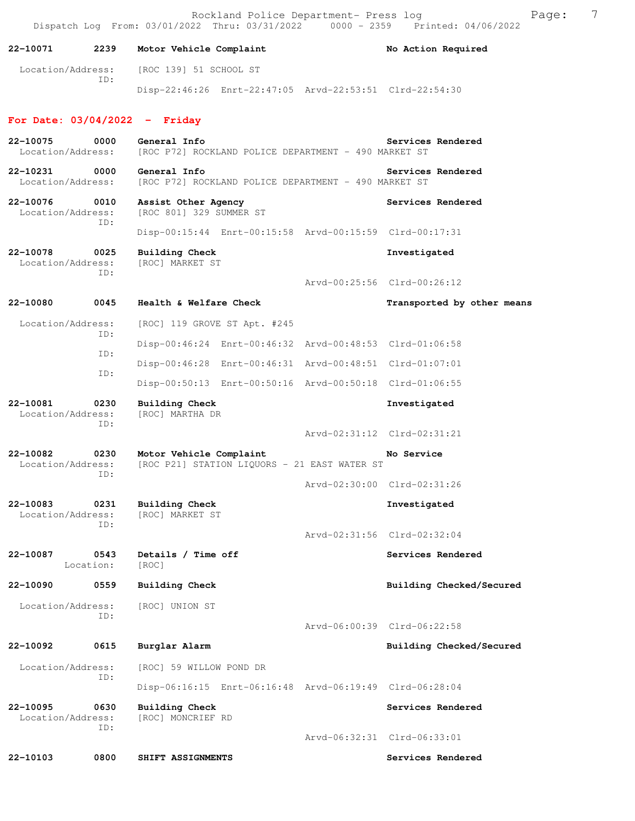Rockland Police Department- Press log entitled and Page: 7 Dispatch Log From: 03/01/2022 Thru: 03/31/2022 0000 - 2359 Printed: 04/06/2022

# 22-10071 2239 Motor Vehicle Complaint **No Action Required**

 Location/Address: [ROC 139] 51 SCHOOL ST ID: Disp-22:46:26 Enrt-22:47:05 Arvd-22:53:51 Clrd-22:54:30

### **For Date: 03/04/2022 - Friday**

| 22-10075<br>Location/Address: | 0000              | General Info<br>[ROC P72] ROCKLAND POLICE DEPARTMENT - 490 MARKET ST    |                             | Services Rendered           |
|-------------------------------|-------------------|-------------------------------------------------------------------------|-----------------------------|-----------------------------|
| 22-10231<br>Location/Address: | 0000              | General Info<br>[ROC P72] ROCKLAND POLICE DEPARTMENT - 490 MARKET ST    |                             | Services Rendered           |
| 22-10076<br>Location/Address: | 0010<br>TD:       | Assist Other Agency<br>[ROC 801] 329 SUMMER ST                          |                             | Services Rendered           |
|                               |                   | Disp-00:15:44 Enrt-00:15:58 Arvd-00:15:59 Clrd-00:17:31                 |                             |                             |
| 22-10078<br>Location/Address: | 0025<br>TD:       | <b>Building Check</b><br>[ROC] MARKET ST                                |                             | Investigated                |
|                               |                   |                                                                         |                             | Arvd-00:25:56 Clrd-00:26:12 |
| 22-10080                      | 0045              | Health & Welfare Check                                                  |                             | Transported by other means  |
| Location/Address:             | ID:               | [ROC] 119 GROVE ST Apt. #245                                            |                             |                             |
|                               | ID:               | Disp-00:46:24 Enrt-00:46:32 Arvd-00:48:53 Clrd-01:06:58                 |                             |                             |
|                               | ID:               | Disp-00:46:28 Enrt-00:46:31 Arvd-00:48:51 Clrd-01:07:01                 |                             |                             |
|                               |                   | Disp-00:50:13 Enrt-00:50:16 Arvd-00:50:18 Clrd-01:06:55                 |                             |                             |
| 22-10081<br>Location/Address: | 0230<br>ID:       | Building Check<br>[ROC] MARTHA DR                                       |                             | Investigated                |
|                               |                   |                                                                         | Arvd-02:31:12 Clrd-02:31:21 |                             |
| 22-10082<br>Location/Address: | 0230<br>ID:       | Motor Vehicle Complaint<br>[ROC P21] STATION LIQUORS - 21 EAST WATER ST |                             | No Service                  |
|                               |                   |                                                                         | Arvd-02:30:00 Clrd-02:31:26 |                             |
| 22-10083<br>Location/Address: | 0231<br>ID:       | <b>Building Check</b><br>[ROC] MARKET ST                                |                             | Investigated                |
|                               |                   |                                                                         | Arvd-02:31:56 Clrd-02:32:04 |                             |
| 22-10087                      | 0543<br>Location: | Details / Time off<br>[ROC]                                             |                             | Services Rendered           |
| 22-10090                      | 0559              | <b>Building Check</b>                                                   |                             | Building Checked/Secured    |
| Location/Address:             | TD:               | [ROC] UNION ST                                                          |                             |                             |
|                               |                   |                                                                         |                             | Arvd-06:00:39 Clrd-06:22:58 |
| 22-10092                      | 0615              | Burglar Alarm                                                           |                             | Building Checked/Secured    |
| Location/Address:             | ID:               | [ROC] 59 WILLOW POND DR                                                 |                             |                             |
|                               |                   | Disp-06:16:15 Enrt-06:16:48 Arvd-06:19:49 Clrd-06:28:04                 |                             |                             |
| 22-10095<br>Location/Address: | 0630              | <b>Building Check</b><br>[ROC] MONCRIEF RD                              |                             | Services Rendered           |
|                               | ID:               |                                                                         | Arvd-06:32:31 Clrd-06:33:01 |                             |
|                               |                   |                                                                         |                             |                             |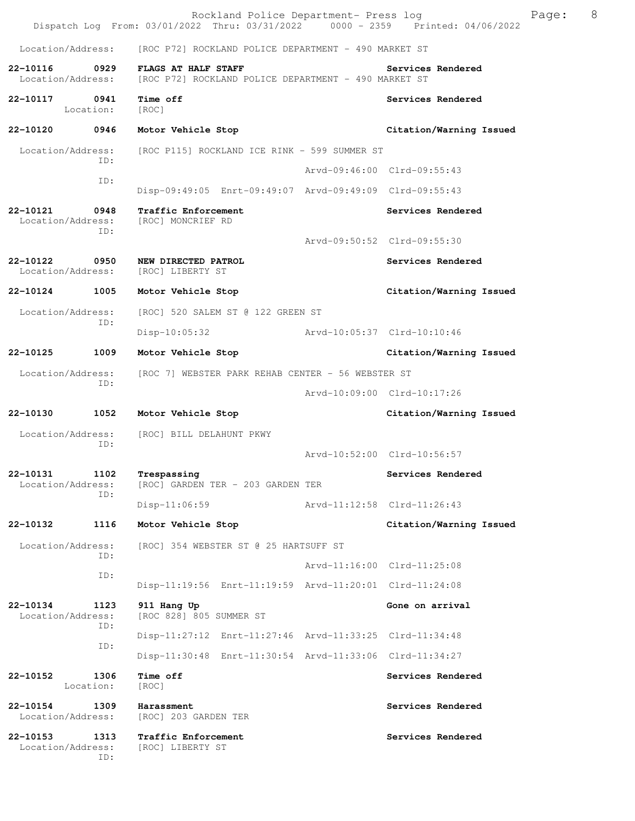|                               |             | Rockland Police Department- Press log<br>Dispatch Log From: 03/01/2022 Thru: 03/31/2022 0000 - 2359 Printed: 04/06/2022 |                             |                         | Page: | 8 |
|-------------------------------|-------------|-------------------------------------------------------------------------------------------------------------------------|-----------------------------|-------------------------|-------|---|
| Location/Address:             |             | [ROC P72] ROCKLAND POLICE DEPARTMENT - 490 MARKET ST                                                                    |                             |                         |       |   |
| 22-10116<br>Location/Address: | 0929        | FLAGS AT HALF STAFF<br>[ROC P72] ROCKLAND POLICE DEPARTMENT - 490 MARKET ST                                             |                             | Services Rendered       |       |   |
| 22-10117 0941                 | Location:   | Time off<br>[ROC]                                                                                                       |                             | Services Rendered       |       |   |
| 22-10120                      | 0946        | Motor Vehicle Stop                                                                                                      |                             | Citation/Warning Issued |       |   |
| Location/Address:             | ID:         | [ROC P115] ROCKLAND ICE RINK - 599 SUMMER ST                                                                            |                             |                         |       |   |
|                               | ID:         |                                                                                                                         | Arvd-09:46:00 Clrd-09:55:43 |                         |       |   |
|                               |             | Disp-09:49:05 Enrt-09:49:07 Arvd-09:49:09 Clrd-09:55:43                                                                 |                             |                         |       |   |
| 22-10121<br>Location/Address: | 0948<br>ID: | Traffic Enforcement<br>[ROC] MONCRIEF RD                                                                                |                             | Services Rendered       |       |   |
|                               |             |                                                                                                                         | Arvd-09:50:52 Clrd-09:55:30 |                         |       |   |
| 22-10122<br>Location/Address: | 0950        | NEW DIRECTED PATROL<br>[ROC] LIBERTY ST                                                                                 |                             | Services Rendered       |       |   |
| 22-10124                      | 1005        | Motor Vehicle Stop                                                                                                      |                             | Citation/Warning Issued |       |   |
| Location/Address:             | ID:         | [ROC] 520 SALEM ST @ 122 GREEN ST                                                                                       |                             |                         |       |   |
|                               |             | Disp-10:05:32 Arvd-10:05:37 Clrd-10:10:46                                                                               |                             |                         |       |   |
| 22-10125                      | 1009        | Motor Vehicle Stop                                                                                                      |                             | Citation/Warning Issued |       |   |
| Location/Address:<br>ID:      |             | [ROC 7] WEBSTER PARK REHAB CENTER - 56 WEBSTER ST                                                                       |                             |                         |       |   |
|                               |             |                                                                                                                         | Arvd-10:09:00 Clrd-10:17:26 |                         |       |   |
| 22-10130                      | 1052        | Motor Vehicle Stop                                                                                                      |                             | Citation/Warning Issued |       |   |
| Location/Address:             | ID:         | [ROC] BILL DELAHUNT PKWY                                                                                                | Arvd-10:52:00 Clrd-10:56:57 |                         |       |   |
| 22-10131                      | 1102        | Trespassing                                                                                                             |                             | Services Rendered       |       |   |
| Location/Address:             | ID:         | [ROC] GARDEN TER - 203 GARDEN TER                                                                                       |                             |                         |       |   |
|                               |             | $Disp-11:06:59$                                                                                                         | Arvd-11:12:58 Clrd-11:26:43 |                         |       |   |
| 22-10132                      | 1116        | Motor Vehicle Stop                                                                                                      |                             | Citation/Warning Issued |       |   |
| Location/Address:             | ID:         | [ROC] 354 WEBSTER ST @ 25 HARTSUFF ST                                                                                   |                             |                         |       |   |
|                               | ID:         |                                                                                                                         | Arvd-11:16:00 Clrd-11:25:08 |                         |       |   |
|                               |             | Disp-11:19:56 Enrt-11:19:59 Arvd-11:20:01 Clrd-11:24:08                                                                 |                             |                         |       |   |
| 22-10134<br>Location/Address: | 1123<br>ID: | 911 Hang Up<br>[ROC 828] 805 SUMMER ST                                                                                  |                             | Gone on arrival         |       |   |
|                               | ID:         | Disp-11:27:12 Enrt-11:27:46 Arvd-11:33:25 Clrd-11:34:48                                                                 |                             |                         |       |   |
|                               |             | Disp-11:30:48 Enrt-11:30:54 Arvd-11:33:06 Clrd-11:34:27                                                                 |                             |                         |       |   |
| 22-10152<br>Location:         | 1306        | Time off<br>[ROC]                                                                                                       |                             | Services Rendered       |       |   |
| 22-10154<br>Location/Address: | 1309        | Harassment<br>[ROC] 203 GARDEN TER                                                                                      |                             | Services Rendered       |       |   |
| 22-10153<br>Location/Address: | 1313<br>ID: | Traffic Enforcement<br>[ROC] LIBERTY ST                                                                                 |                             | Services Rendered       |       |   |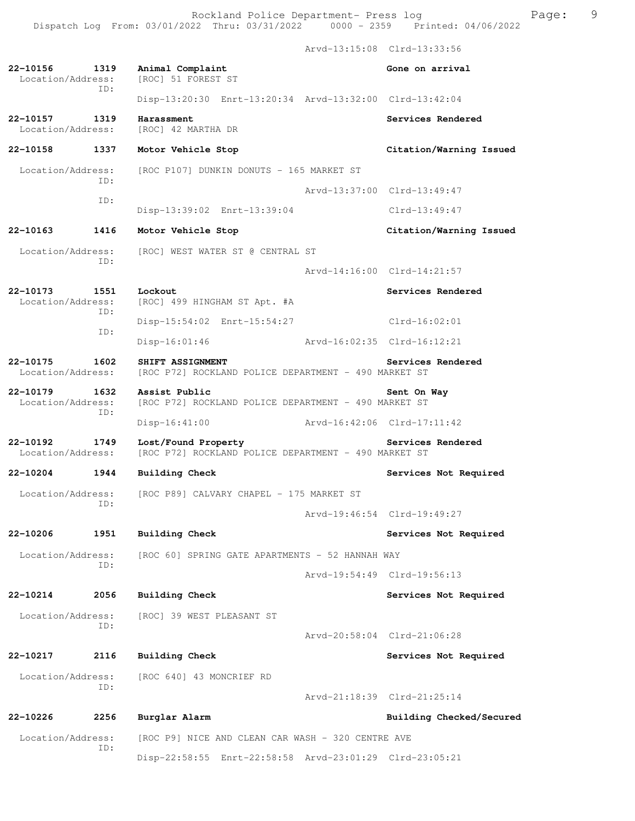Arvd-13:15:08 Clrd-13:33:56 **22-10156 1319 Animal Complaint Gone on arrival** Gone on arrival Location/Address: [ROC] 51 FOREST ST [ROC] 51 FOREST ST ID: Disp-13:20:30 Enrt-13:20:34 Arvd-13:32:00 Clrd-13:42:04 **22-10157 1319 Harassment Services Rendered**  Location/Address: [ROC] 42 MARTHA DR **22-10158 1337 Motor Vehicle Stop Citation/Warning Issued**  Location/Address: [ROC P107] DUNKIN DONUTS - 165 MARKET ST ID: Arvd-13:37:00 Clrd-13:49:47 ID: Disp-13:39:02 Enrt-13:39:04 Clrd-13:49:47 **22-10163 1416 Motor Vehicle Stop Citation/Warning Issued**  Location/Address: [ROC] WEST WATER ST @ CENTRAL ST ID: Arvd-14:16:00 Clrd-14:21:57 **22-10173 1551 Lockout Services Rendered**  Location/Address: [ROC] 499 HINGHAM ST Apt. #A ID: Disp-15:54:02 Enrt-15:54:27 Clrd-16:02:01 ID: Disp-16:01:46 Arvd-16:02:35 Clrd-16:12:21 **22-10175 1602 SHIFT ASSIGNMENT BELOCATE SERVICES Rendered** Location/Address: [ROC P72] ROCKLAND POLICE DEPARTMENT - 490 MARKET ST [ROC P72] ROCKLAND POLICE DEPARTMENT - 490 MARKET ST **22-10179 1632 Assist Public Sent On Way**  Location/Address: [ROC P72] ROCKLAND POLICE DEPARTMENT - 490 MARKET ST ID: Disp-16:41:00 Arvd-16:42:06 Clrd-17:11:42 **22-10192 1749 Lost/Found Property Services Rendered**  Location/Address: [ROC P72] ROCKLAND POLICE DEPARTMENT - 490 MARKET ST **22-10204 1944 Building Check Services Not Required**  Location/Address: [ROC P89] CALVARY CHAPEL - 175 MARKET ST ID: Arvd-19:46:54 Clrd-19:49:27 **22-10206 1951 Building Check Services Not Required**  Location/Address: [ROC 60] SPRING GATE APARTMENTS - 52 HANNAH WAY ID: Arvd-19:54:49 Clrd-19:56:13 **22-10214 2056 Building Check Services Not Required**  Location/Address: [ROC] 39 WEST PLEASANT ST ID: Arvd-20:58:04 Clrd-21:06:28 **22-10217 2116 Building Check Services Not Required**  Location/Address: [ROC 640] 43 MONCRIEF RD ID: Arvd-21:18:39 Clrd-21:25:14 **22-10226 2256 Burglar Alarm Building Checked/Secured**  Location/Address: [ROC P9] NICE AND CLEAN CAR WASH - 320 CENTRE AVE

Disp-22:58:55 Enrt-22:58:58 Arvd-23:01:29 Clrd-23:05:21

ID: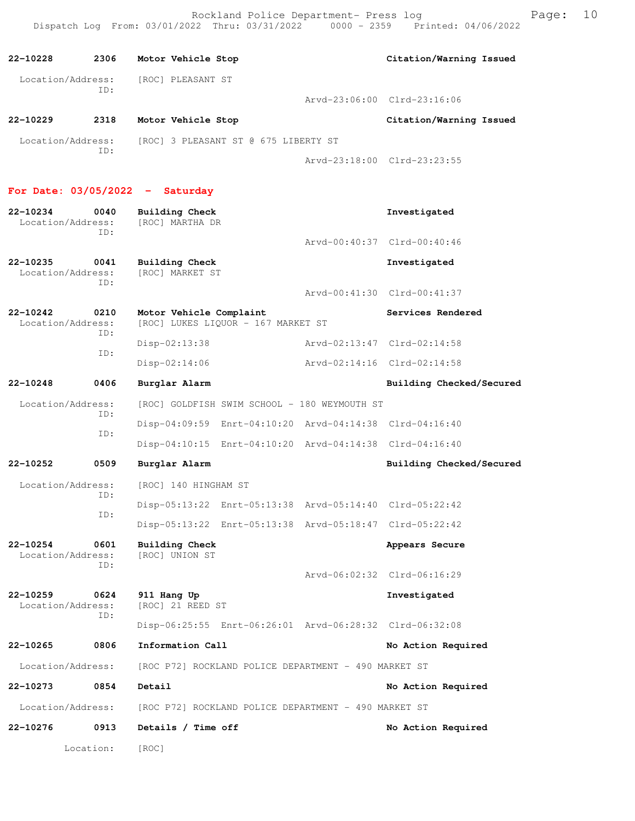**22-10228 2306 Motor Vehicle Stop Citation/Warning Issued**  Location/Address: [ROC] PLEASANT ST ID: Arvd-23:06:00 Clrd-23:16:06 **22-10229 2318 Motor Vehicle Stop Citation/Warning Issued**  Location/Address: [ROC] 3 PLEASANT ST @ 675 LIBERTY ST ID: Arvd-23:18:00 Clrd-23:23:55 **For Date: 03/05/2022 - Saturday 22-10234 0040 Building Check Investigated**  Location/Address: ID: Arvd-00:40:37 Clrd-00:40:46 **22-10235 0041 Building Check Investigated**  Location/Address: [ROC] MARKET ST ID: Arvd-00:41:30 Clrd-00:41:37 **22-10242 0210 Motor Vehicle Complaint Services Rendered**  Location/Address: [ROC] LUKES LIQUOR - 167 MARKET ST ID: Disp-02:13:38 Arvd-02:13:47 Clrd-02:14:58 ID: Disp-02:14:06 Arvd-02:14:16 Clrd-02:14:58 **22-10248 0406 Burglar Alarm Building Checked/Secured**  Location/Address: [ROC] GOLDFISH SWIM SCHOOL - 180 WEYMOUTH ST ID: Disp-04:09:59 Enrt-04:10:20 Arvd-04:14:38 Clrd-04:16:40 ID: Disp-04:10:15 Enrt-04:10:20 Arvd-04:14:38 Clrd-04:16:40 **22-10252 0509 Burglar Alarm Building Checked/Secured**  Location/Address: [ROC] 140 HINGHAM ST ID: Disp-05:13:22 Enrt-05:13:38 Arvd-05:14:40 Clrd-05:22:42 ID: Disp-05:13:22 Enrt-05:13:38 Arvd-05:18:47 Clrd-05:22:42 **22-10254 0601 Building Check Appears Secure**  Location/Address: [ROC] UNION ST ID: Arvd-06:02:32 Clrd-06:16:29 **22-10259 0624 911 Hang Up Investigated**  Location/Address: ID: Disp-06:25:55 Enrt-06:26:01 Arvd-06:28:32 Clrd-06:32:08 **22-10265 0806 Information Call No Action Required**  Location/Address: [ROC P72] ROCKLAND POLICE DEPARTMENT - 490 MARKET ST **22-10273 0854 Detail No Action Required**  Location/Address: [ROC P72] ROCKLAND POLICE DEPARTMENT - 490 MARKET ST **22-10276 0913 Details / Time off No Action Required**  Location: [ROC]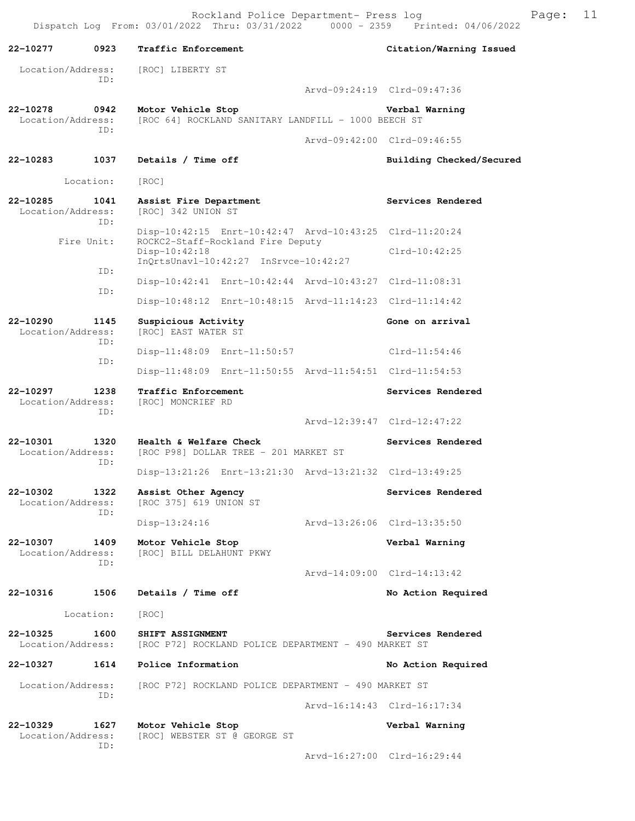Rockland Police Department- Press log Fage: 11 Dispatch Log From: 03/01/2022 Thru: 03/31/2022 0000 - 2359 Printed: 04/06/2022

**22-10277 0923 Traffic Enforcement Citation/Warning Issued**  Location/Address: [ROC] LIBERTY ST ID: Arvd-09:24:19 Clrd-09:47:36 **22-10278 0942 Motor Vehicle Stop Verbal Warning**  Location/Address: [ROC 64] ROCKLAND SANITARY LANDFILL - 1000 BEECH ST ID: Arvd-09:42:00 Clrd-09:46:55 **22-10283 1037 Details / Time off Building Checked/Secured**  Location: [ROC] **22-10285 1041 Assist Fire Department Services Rendered**  Location/Address: [ROC] 342 UNION ST ID: Disp-10:42:15 Enrt-10:42:47 Arvd-10:43:25 Clrd-11:20:24<br>Fire Unit: ROCKC2-Staff-Rockland Fire Deputy ROCKC2-Staff-Rockland Fire Deputy Disp-10:42:18 Clrd-10:42:25 InQrtsUnavl-10:42:27 InSrvce-10:42:27 ID: Disp-10:42:41 Enrt-10:42:44 Arvd-10:43:27 Clrd-11:08:31 ID: Disp-10:48:12 Enrt-10:48:15 Arvd-11:14:23 Clrd-11:14:42 **22-10290 1145 Suspicious Activity Gone on arrival**  Location/Address: [ROC] EAST WATER ST ID: Disp-11:48:09 Enrt-11:50:57 Clrd-11:54:46 ID: Disp-11:48:09 Enrt-11:50:55 Arvd-11:54:51 Clrd-11:54:53 **22-10297 1238 Traffic Enforcement Services Rendered**  Location/Address: [ROC] MONCRIEF RD ID: Arvd-12:39:47 Clrd-12:47:22 **22-10301 1320 Health & Welfare Check Services Rendered**  Location/Address: [ROC P98] DOLLAR TREE - 201 MARKET ST ID: Disp-13:21:26 Enrt-13:21:30 Arvd-13:21:32 Clrd-13:49:25 22-10302 1322 Assist Other Agency **1322** Services Rendered Location/Address: [ROC 375] 619 UNION ST ID: Disp-13:24:16 Arvd-13:26:06 Clrd-13:35:50 **22-10307 1409 Motor Vehicle Stop Verbal Warning**  Location/Address: [ROC] BILL DELAHUNT PKWY ID: Arvd-14:09:00 Clrd-14:13:42 **22-10316 1506 Details / Time off No Action Required**  Location: [ROC] **22-10325 1600 SHIFT ASSIGNMENT Services Rendered**  Location/Address: [ROC P72] ROCKLAND POLICE DEPARTMENT - 490 MARKET ST **22-10327 1614 Police Information No Action Required**  Location/Address: [ROC P72] ROCKLAND POLICE DEPARTMENT - 490 MARKET ST ID: Arvd-16:14:43 Clrd-16:17:34 **22-10329 1627 Motor Vehicle Stop Verbal Warning**  Location/Address: [ROC] WEBSTER ST @ GEORGE ST ID: Arvd-16:27:00 Clrd-16:29:44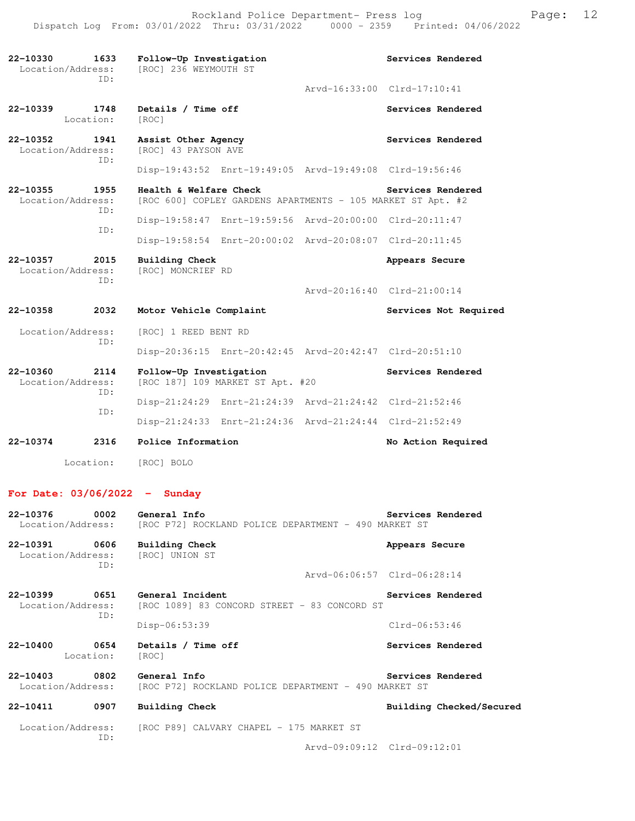| 22-10330<br>Location/Address: | 1633<br>ID: | Follow-Up Investigation<br>[ROC] 236 WEYMOUTH ST                                      | Services Rendered           |
|-------------------------------|-------------|---------------------------------------------------------------------------------------|-----------------------------|
|                               |             |                                                                                       | Arvd-16:33:00 Clrd-17:10:41 |
| 22-10339<br>Location:         | 1748        | Details / Time off<br>[ROC]                                                           | Services Rendered           |
| 22-10352<br>Location/Address: | 1941        | Assist Other Agency<br>[ROC] 43 PAYSON AVE                                            | Services Rendered           |
|                               | TD:         | Disp-19:43:52 Enrt-19:49:05 Arvd-19:49:08 Clrd-19:56:46                               |                             |
| 22-10355<br>Location/Address: | 1955        | Health & Welfare Check<br>[ROC 600] COPLEY GARDENS APARTMENTS - 105 MARKET ST Apt. #2 | Services Rendered           |
|                               | ID:         | Disp-19:58:47 Enrt-19:59:56 Arvd-20:00:00 Clrd-20:11:47                               |                             |
|                               | ID:         | Disp-19:58:54 Enrt-20:00:02 Arvd-20:08:07 Clrd-20:11:45                               |                             |
| 22-10357<br>Location/Address: | 2015        | Building Check<br>[ROC] MONCRIEF RD                                                   | Appears Secure              |
|                               | ID:         |                                                                                       | Arvd-20:16:40 Clrd-21:00:14 |
| 22-10358                      | 2032        | Motor Vehicle Complaint                                                               | Services Not Required       |
| Location/Address:<br>ID:      |             | [ROC] 1 REED BENT RD                                                                  |                             |
|                               |             | Disp-20:36:15 Enrt-20:42:45 Arvd-20:42:47 Clrd-20:51:10                               |                             |
| 22-10360<br>Location/Address: | 2114        | Follow-Up Investigation<br>[ROC 187] 109 MARKET ST Apt. #20                           | Services Rendered           |
| ID:                           |             | Disp-21:24:29 Enrt-21:24:39 Arvd-21:24:42 Clrd-21:52:46                               |                             |
|                               | ID:         | Disp-21:24:33 Enrt-21:24:36 Arvd-21:24:44 Clrd-21:52:49                               |                             |
| 22-10374                      | 2316        | Police Information                                                                    | No Action Required          |
| Location:                     |             | [ROC] BOLO                                                                            |                             |
| For Date: $03/06/2022 -$      |             | Sundav                                                                                |                             |
| 22-10376<br>Location/Address: | 0002        | General Info<br>[ROC P72] ROCKLAND POLICE DEPARTMENT - 490 MARKET ST                  | Services Rendered           |
| 22-10391<br>Location/Address: | 0606<br>ID: | Building Check<br>[ROC] UNION ST                                                      | Appears Secure              |
|                               |             |                                                                                       | Arvd-06:06:57 Clrd-06:28:14 |
| 22-10399<br>Location/Address: | 0651<br>ID: | General Incident<br>[ROC 1089] 83 CONCORD STREET - 83 CONCORD ST                      | Services Rendered           |
|                               |             | Disp-06:53:39                                                                         | $Clrd-06:53:46$             |
| 22-10400<br>Location:         | 0654        | Details / Time off<br>[ROC]                                                           | Services Rendered           |
| 22-10403<br>Location/Address: | 0802        | General Info<br>[ROC P72] ROCKLAND POLICE DEPARTMENT - 490 MARKET ST                  | Services Rendered           |
| 22-10411                      | 0907        | Building Check                                                                        | Building Checked/Secured    |

Location/Address: [ROC P89] CALVARY CHAPEL - 175 MARKET ST ID:

Arvd-09:09:12 Clrd-09:12:01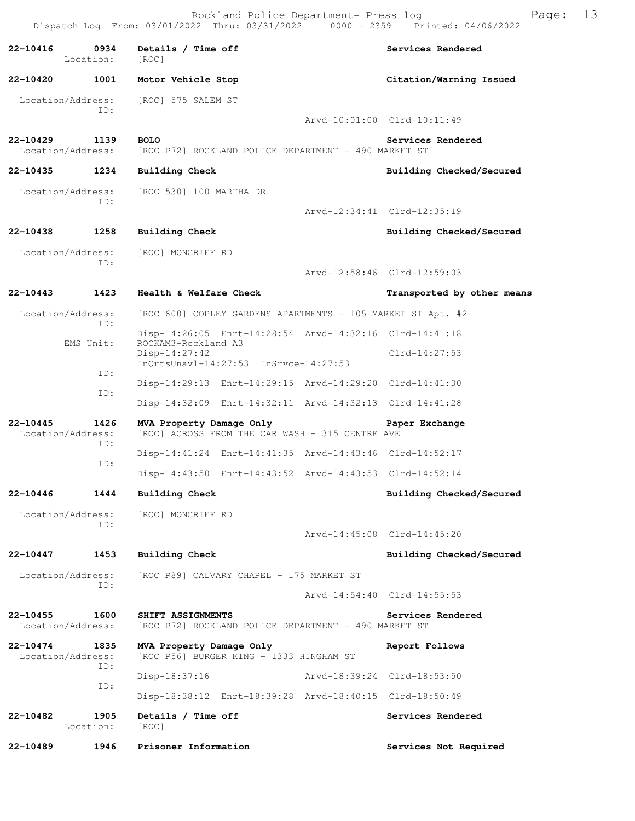Rockland Police Department- Press log Page: 13 Dispatch Log From: 03/01/2022 Thru: 03/31/2022

22-10416 **0934** Details / Time off **Services Rendered Services** Rendered Location: [ROC] **22-10420 1001 Motor Vehicle Stop Citation/Warning Issued**  Location/Address: [ROC] 575 SALEM ST ID: Arvd-10:01:00 Clrd-10:11:49 **22-10429 1139 BOLO Services Rendered**  Location/Address: [ROC P72] ROCKLAND POLICE DEPARTMENT - 490 MARKET ST **22-10435 1234 Building Check Building Checked/Secured**  Location/Address: [ROC 530] 100 MARTHA DR ID: Arvd-12:34:41 Clrd-12:35:19 **22-10438 1258 Building Check Building Checked/Secured**  Location/Address: [ROC] MONCRIEF RD ID: Arvd-12:58:46 Clrd-12:59:03 **22-10443 1423 Health & Welfare Check Transported by other means**  Location/Address: [ROC 600] COPLEY GARDENS APARTMENTS - 105 MARKET ST Apt. #2 ID: Disp-14:26:05 Enrt-14:28:54 Arvd-14:32:16 Clrd-14:41:18<br>EMS Unit: ROCKAM3-Rockland A3 ROCKAM3-Rockland A3 Disp-14:27:42 Clrd-14:27:53 InQrtsUnavl-14:27:53 InSrvce-14:27:53 ID: Disp-14:29:13 Enrt-14:29:15 Arvd-14:29:20 Clrd-14:41:30 ID: Disp-14:32:09 Enrt-14:32:11 Arvd-14:32:13 Clrd-14:41:28 **22-10445 1426 MVA Property Damage Only Paper Exchange**  Location/Address: [ROC] ACROSS FROM THE CAR WASH - 315 CENTRE AVE ID: Disp-14:41:24 Enrt-14:41:35 Arvd-14:43:46 Clrd-14:52:17 ID: Disp-14:43:50 Enrt-14:43:52 Arvd-14:43:53 Clrd-14:52:14 **22-10446 1444 Building Check Building Checked/Secured**  Location/Address: [ROC] MONCRIEF RD ID: Arvd-14:45:08 Clrd-14:45:20 **22-10447 1453 Building Check Building Checked/Secured**  Location/Address: [ROC P89] CALVARY CHAPEL - 175 MARKET ST ID: Arvd-14:54:40 Clrd-14:55:53 **22-10455 1600 SHIFT ASSIGNMENTS Services Rendered**  Location/Address: [ROC P72] ROCKLAND POLICE DEPARTMENT - 490 MARKET ST **22-10474 1835 MVA Property Damage Only Report Follows**  Location/Address: [ROC P56] BURGER KING - 1333 HINGHAM ST ID: Disp-18:37:16 Arvd-18:39:24 Clrd-18:53:50 ID: Disp-18:38:12 Enrt-18:39:28 Arvd-18:40:15 Clrd-18:50:49 22-10482 1905 Details / Time off **Services Rendered Services** Rendered Location: [ROC] **22-10489 1946 Prisoner Information Services Not Required**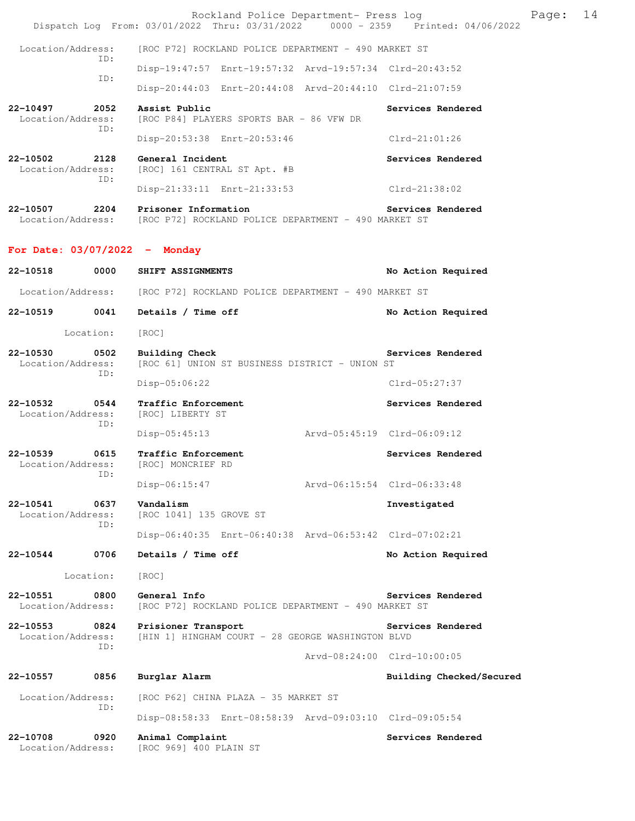|                                 |             | Rockland Police Department- Press log<br>Dispatch Log From: 03/01/2022 Thru: 03/31/2022 0000 - 2359 Printed: 04/06/2022 |                             | Page: | 14 |
|---------------------------------|-------------|-------------------------------------------------------------------------------------------------------------------------|-----------------------------|-------|----|
| Location/Address:               |             | [ROC P72] ROCKLAND POLICE DEPARTMENT - 490 MARKET ST                                                                    |                             |       |    |
|                                 | ID:         | Disp-19:47:57 Enrt-19:57:32 Arvd-19:57:34 Clrd-20:43:52                                                                 |                             |       |    |
|                                 | ID:         | Disp-20:44:03 Enrt-20:44:08 Arvd-20:44:10 Clrd-21:07:59                                                                 |                             |       |    |
| 22-10497<br>Location/Address:   | 2052        | Assist Public<br>[ROC P84] PLAYERS SPORTS BAR - 86 VFW DR                                                               | Services Rendered           |       |    |
|                                 | ID:         | Disp-20:53:38 Enrt-20:53:46                                                                                             | $Clrd-21:01:26$             |       |    |
| 22-10502<br>Location/Address:   | 2128<br>ID: | General Incident<br>[ROC] 161 CENTRAL ST Apt. #B                                                                        | Services Rendered           |       |    |
|                                 |             | Disp-21:33:11 Enrt-21:33:53                                                                                             | Clrd-21:38:02               |       |    |
| 22-10507<br>Location/Address:   | 2204        | Prisoner Information<br>[ROC P72] ROCKLAND POLICE DEPARTMENT - 490 MARKET ST                                            | Services Rendered           |       |    |
| For Date: $03/07/2022 -$ Monday |             |                                                                                                                         |                             |       |    |
| 22-10518                        | 0000        | SHIFT ASSIGNMENTS                                                                                                       | No Action Required          |       |    |
| Location/Address:               |             | [ROC P72] ROCKLAND POLICE DEPARTMENT - 490 MARKET ST                                                                    |                             |       |    |
| 22-10519                        | 0041        | Details / Time off                                                                                                      | No Action Required          |       |    |
| Location:                       |             | [ROC]                                                                                                                   |                             |       |    |
| 22-10530<br>Location/Address:   | 0502<br>ID: | Building Check<br>[ROC 61] UNION ST BUSINESS DISTRICT - UNION ST                                                        | Services Rendered           |       |    |
|                                 |             | $Disp-05:06:22$                                                                                                         | Clrd-05:27:37               |       |    |
| 22-10532<br>Location/Address:   | 0544<br>ID: | Traffic Enforcement<br>[ROC] LIBERTY ST                                                                                 | Services Rendered           |       |    |
|                                 |             | $Disp-05:45:13$                                                                                                         | Arvd-05:45:19 Clrd-06:09:12 |       |    |
| 22-10539<br>Location/Address:   | 0615<br>ID: | Traffic Enforcement<br>[ROC] MONCRIEF RD                                                                                | Services Rendered           |       |    |
|                                 |             | $Disp-06:15:47$                                                                                                         | Arvd-06:15:54 Clrd-06:33:48 |       |    |
| 22-10541<br>Location/Address:   | 0637<br>ID: | Vandalism<br>[ROC 1041] 135 GROVE ST                                                                                    | Investigated                |       |    |
|                                 |             | Disp-06:40:35 Enrt-06:40:38 Arvd-06:53:42 Clrd-07:02:21                                                                 |                             |       |    |
| 22-10544                        | 0706        | Details / Time off                                                                                                      | No Action Required          |       |    |
| Location:                       |             | [ROC]                                                                                                                   |                             |       |    |
| 22-10551<br>Location/Address:   | 0800        | General Info<br>[ROC P72] ROCKLAND POLICE DEPARTMENT - 490 MARKET ST                                                    | Services Rendered           |       |    |
| 22-10553<br>Location/Address:   | 0824        | Prisioner Transport<br>[HIN 1] HINGHAM COURT - 28 GEORGE WASHINGTON BLVD                                                | Services Rendered           |       |    |
|                                 | ID:         |                                                                                                                         | Arvd-08:24:00 Clrd-10:00:05 |       |    |
| 22-10557                        | 0856        | Burglar Alarm                                                                                                           | Building Checked/Secured    |       |    |
| Location/Address:               |             | [ROC P62] CHINA PLAZA - 35 MARKET ST                                                                                    |                             |       |    |
|                                 | ID:         | Disp-08:58:33 Enrt-08:58:39 Arvd-09:03:10 Clrd-09:05:54                                                                 |                             |       |    |
| 22-10708<br>Location/Address:   | 0920        | Animal Complaint<br>[ROC 969] 400 PLAIN ST                                                                              | Services Rendered           |       |    |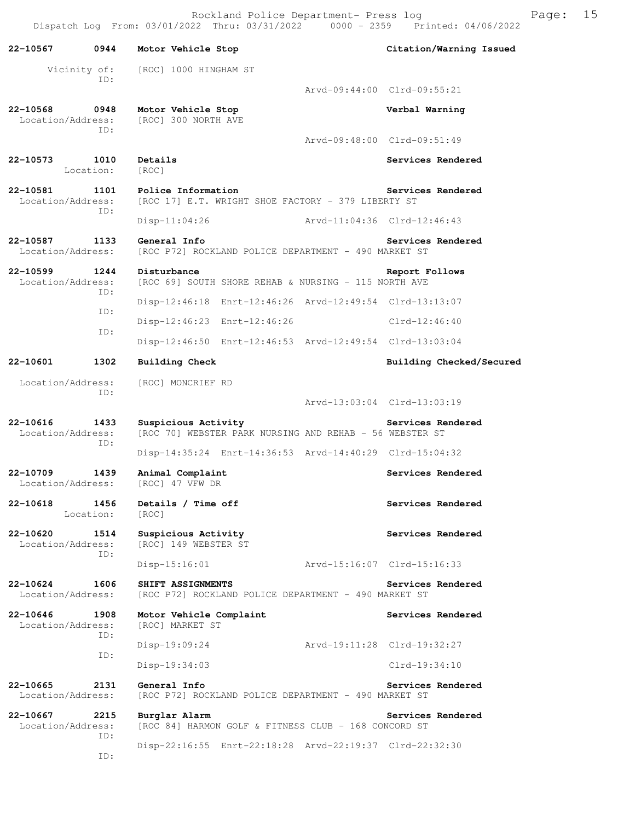Rockland Police Department- Press log Frank Page: 15 Dispatch Log From: 03/01/2022 Thru: 03/31/2022 0000 - 2359 Printed: 04/06/2022

**22-10567 0944 Motor Vehicle Stop Citation/Warning Issued**  Vicinity of: [ROC] 1000 HINGHAM ST ID: Arvd-09:44:00 Clrd-09:55:21 **22-10568 0948 Motor Vehicle Stop Verbal Warning**  Location/Address: [ROC] 300 NORTH AVE ID: Arvd-09:48:00 Clrd-09:51:49 **22-10573 1010 Details Services Rendered Services Rendered** Location: **22-10581 1101 Police Information Services Rendered** Location/Address: [ROC 17] E.T. WRIGHT SHOE FACTORY - 379 LIBERTY ST [ROC 17] E.T. WRIGHT SHOE FACTORY - 379 LIBERTY ST ID: Disp-11:04:26 Arvd-11:04:36 Clrd-12:46:43 **22-10587 1133 General Info Services Rendered**  Location/Address: [ROC P72] ROCKLAND POLICE DEPARTMENT - 490 MARKET ST **22-10599 1244 Disturbance Report Follows**  Location/Address: [ROC 69] SOUTH SHORE REHAB & NURSING - 115 NORTH AVE ID: Disp-12:46:18 Enrt-12:46:26 Arvd-12:49:54 Clrd-13:13:07 ID: Disp-12:46:23 Enrt-12:46:26 Clrd-12:46:40 ID: Disp-12:46:50 Enrt-12:46:53 Arvd-12:49:54 Clrd-13:03:04 **22-10601 1302 Building Check Building Checked/Secured**  Location/Address: [ROC] MONCRIEF RD ID: Arvd-13:03:04 Clrd-13:03:19 22-10616 1433 Suspicious Activity<br>
Location/Address: [ROC 70] WEBSTER PARK NURSING AND REHAB - 56 WEBSTER ST [ROC 70] WEBSTER PARK NURSING AND REHAB - 56 WEBSTER ST ID: Disp-14:35:24 Enrt-14:36:53 Arvd-14:40:29 Clrd-15:04:32 **22-10709 1439 Animal Complaint Services Rendered**  Location/Address: [ROC] 47 VFW DR 22-10618 1456 Details / Time off **Services Rendered**  Location: [ROC] **22-10620 1514 Suspicious Activity Services Rendered**  Location/Address: [ROC] 149 WEBSTER ST ID: Disp-15:16:01 Arvd-15:16:07 Clrd-15:16:33 **22-10624 1606 SHIFT ASSIGNMENTS Services Rendered**  Location/Address: [ROC P72] ROCKLAND POLICE DEPARTMENT - 490 MARKET ST **22-10646 1908 Motor Vehicle Complaint Services Rendered**  Location/Address: [ROC] MARKET ST ID: Disp-19:09:24 Arvd-19:11:28 Clrd-19:32:27 ID: Disp-19:34:03 Clrd-19:34:10 **22-10665** 2131 General Info<br>
Location/Address: [ROC P72] ROCKLAND POLICE DEPARTMENT - 490 MARKET ST [ROC P72] ROCKLAND POLICE DEPARTMENT - 490 MARKET ST **22-10667 2215 Burglar Alarm Services Rendered**  Location/Address: [ROC 84] HARMON GOLF & FITNESS CLUB - 168 CONCORD ST ID: Disp-22:16:55 Enrt-22:18:28 Arvd-22:19:37 Clrd-22:32:30 ID: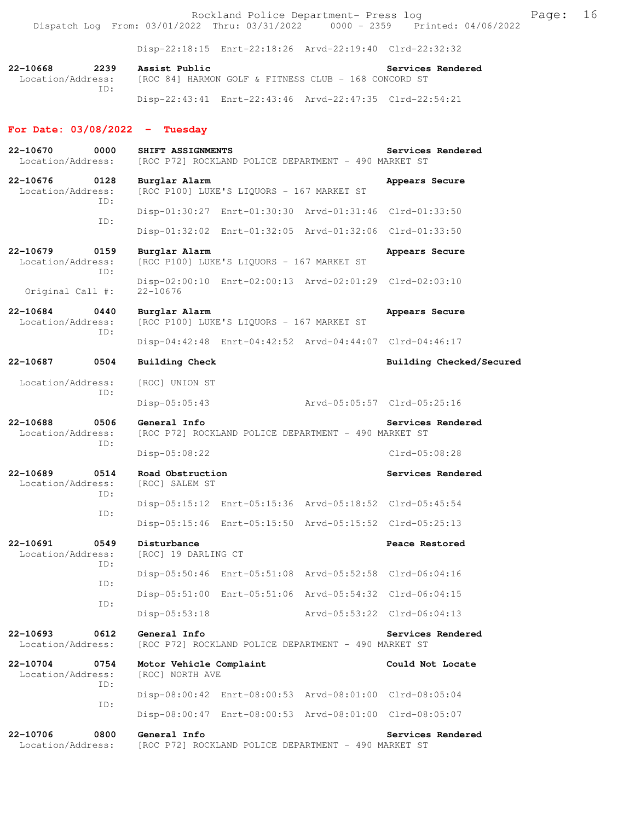Rockland Police Department- Press log extended by Page: 16 Dispatch Log From: 03/01/2022 Thru: 03/31/2022 0000 - 2359 Printed: 04/06/2022

Disp-22:18:15 Enrt-22:18:26 Arvd-22:19:40 Clrd-22:32:32

**22-10668 2239 Assist Public Services Rendered**  Location/Address: [ROC 84] HARMON GOLF & FITNESS CLUB - 168 CONCORD ST ID: Disp-22:43:41 Enrt-22:43:46 Arvd-22:47:35 Clrd-22:54:21

#### **For Date: 03/08/2022 - Tuesday**

**22-10670 0000 SHIFT ASSIGNMENTS Services Rendered**  Location/Address: [ROC P72] ROCKLAND POLICE DEPARTMENT - 490 MARKET ST **22-10676 0128 Burglar Alarm Appears Secure**  Location/Address: [ROC P100] LUKE'S LIQUORS - 167 MARKET ST ID: Disp-01:30:27 Enrt-01:30:30 Arvd-01:31:46 Clrd-01:33:50 ID: Disp-01:32:02 Enrt-01:32:05 Arvd-01:32:06 Clrd-01:33:50 **22-10679 0159 Burglar Alarm Appears Secure**  Location/Address: [ROC P100] LUKE'S LIQUORS - 167 MARKET ST ID: Disp-02:00:10 Enrt-02:00:13 Arvd-02:01:29 Clrd-02:03:10 Original Call #: 22-10676 **22-10684 0440 Burglar Alarm Appears Secure**  Location/Address: [ROC P100] LUKE'S LIQUORS - 167 MARKET ST ID: Disp-04:42:48 Enrt-04:42:52 Arvd-04:44:07 Clrd-04:46:17 **22-10687 0504 Building Check Building Checked/Secured**  Location/Address: [ROC] UNION ST ID: Disp-05:05:43 Arvd-05:05:57 Clrd-05:25:16 **22-10688 0506 General Info Services Rendered**  Location/Address: [ROC P72] ROCKLAND POLICE DEPARTMENT - 490 MARKET ST ID: Disp-05:08:22 Clrd-05:08:28 **22-10689 0514 Road Obstruction Services Rendered**  Location/Address: [ROC] SALEM ST ID: Disp-05:15:12 Enrt-05:15:36 Arvd-05:18:52 Clrd-05:45:54 ID: Disp-05:15:46 Enrt-05:15:50 Arvd-05:15:52 Clrd-05:25:13 **22-10691 0549 Disturbance Peace Restored**  Location/Address: [ROC] 19 DARLING CT ID: Disp-05:50:46 Enrt-05:51:08 Arvd-05:52:58 Clrd-06:04:16 ID: Disp-05:51:00 Enrt-05:51:06 Arvd-05:54:32 Clrd-06:04:15 ID: Disp-05:53:18 Arvd-05:53:22 Clrd-06:04:13 **22-10693 0612 General Info Services Rendered**<br>Location/Address: [ROC P72] ROCKLAND POLICE DEPARTMENT - 490 MARKET ST [ROC P72] ROCKLAND POLICE DEPARTMENT - 490 MARKET ST **22-10704 0754 Motor Vehicle Complaint Could Not Locate**  Location/Address: [ROC] NORTH AVE ID: Disp-08:00:42 Enrt-08:00:53 Arvd-08:01:00 Clrd-08:05:04 ID: Disp-08:00:47 Enrt-08:00:53 Arvd-08:01:00 Clrd-08:05:07 **22-10706 0800 General Info Services Rendered**  Location/Address: [ROC P72] ROCKLAND POLICE DEPARTMENT - 490 MARKET ST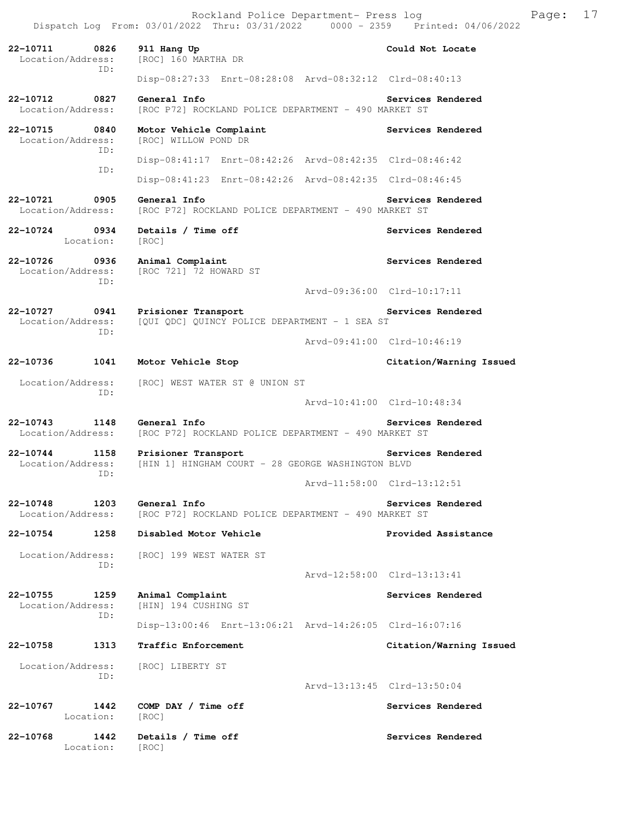**22-10711 0826 911 Hang Up Could Not Locate**  Location/Address: [ROC] 160 MARTHA DR ID: Disp-08:27:33 Enrt-08:28:08 Arvd-08:32:12 Clrd-08:40:13 **22-10712 0827 General Info Services Rendered**  Location/Address: [ROC P72] ROCKLAND POLICE DEPARTMENT - 490 MARKET ST **22-10715 0840 Motor Vehicle Complaint Services Rendered**  Location/Address: [ROC] WILLOW POND DR ID: Disp-08:41:17 Enrt-08:42:26 Arvd-08:42:35 Clrd-08:46:42 ID: Disp-08:41:23 Enrt-08:42:26 Arvd-08:42:35 Clrd-08:46:45 **22-10721 0905 General Info Services Rendered**  Location/Address: [ROC P72] ROCKLAND POLICE DEPARTMENT - 490 MARKET ST 22-10724 0934 Details / Time off Services Rendered Location: [ROC] **22-10726 0936 Animal Complaint Services Rendered**  Location/Address: [ROC 721] 72 HOWARD ST ID: Arvd-09:36:00 Clrd-10:17:11 **22-10727 0941 Prisioner Transport Services Rendered**  Location/Address: [QUI QDC] QUINCY POLICE DEPARTMENT - 1 SEA ST ID: Arvd-09:41:00 Clrd-10:46:19 **22-10736 1041 Motor Vehicle Stop Citation/Warning Issued**  Location/Address: [ROC] WEST WATER ST @ UNION ST ID: Arvd-10:41:00 Clrd-10:48:34 **22-10743 1148 General Info Services Rendered**  Location/Address: [ROC P72] ROCKLAND POLICE DEPARTMENT - 490 MARKET ST **22-10744 1158 Prisioner Transport Services Rendered**  Location/Address: [HIN 1] HINGHAM COURT - 28 GEORGE WASHINGTON BLVD ID: Arvd-11:58:00 Clrd-13:12:51 **22-10748 1203 General Info Services Rendered**  Location/Address: [ROC P72] ROCKLAND POLICE DEPARTMENT - 490 MARKET ST **22-10754 1258 Disabled Motor Vehicle Provided Assistance**  Location/Address: [ROC] 199 WEST WATER ST ID: Arvd-12:58:00 Clrd-13:13:41 **22-10755 1259 Animal Complaint Services Rendered**  Location/Address: [HIN] 194 CUSHING ST ID: Disp-13:00:46 Enrt-13:06:21 Arvd-14:26:05 Clrd-16:07:16 **22-10758 1313 Traffic Enforcement Citation/Warning Issued**  Location/Address: [ROC] LIBERTY ST ID: Arvd-13:13:45 Clrd-13:50:04 **22-10767 1442 COMP DAY / Time off Services Rendered**  Location: [ROC] **22-10768 1442 Details / Time off Services Rendered**  Location: [ROC]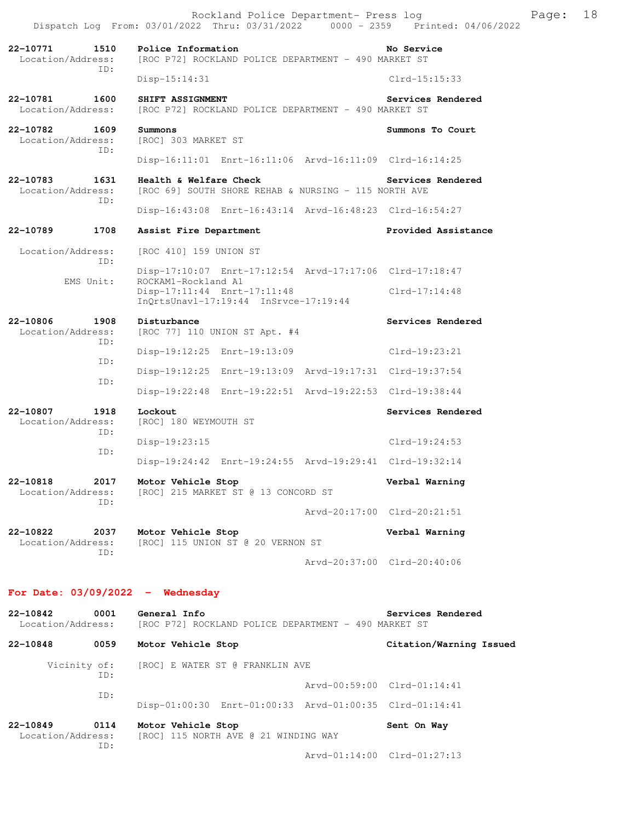|                                              | Rockland Police Department- Press log<br>Dispatch Log From: 03/01/2022 Thru: 03/31/2022 0000 - 2359 Printed: 04/06/2022 | 18<br>Page:                 |
|----------------------------------------------|-------------------------------------------------------------------------------------------------------------------------|-----------------------------|
| 22-10771<br>1510<br>Location/Address:<br>ID: | Police Information<br>[ROC P72] ROCKLAND POLICE DEPARTMENT - 490 MARKET ST                                              | No Service                  |
|                                              | $Disp-15:14:31$                                                                                                         | $Clrd-15:15:33$             |
| 1600<br>22-10781<br>Location/Address:        | SHIFT ASSIGNMENT<br>[ROC P72] ROCKLAND POLICE DEPARTMENT - 490 MARKET ST                                                | Services Rendered           |
| 22-10782<br>1609<br>Location/Address:        | Summons<br>[ROC] 303 MARKET ST                                                                                          | Summons To Court            |
| ID:                                          |                                                                                                                         |                             |
| 22-10783<br>1631<br>Location/Address:<br>ID: | Health & Welfare Check<br>[ROC 69] SOUTH SHORE REHAB & NURSING - 115 NORTH AVE                                          | Services Rendered           |
|                                              | Disp-16:43:08 Enrt-16:43:14 Arvd-16:48:23 Clrd-16:54:27                                                                 |                             |
| 22-10789<br>1708                             | Assist Fire Department                                                                                                  | Provided Assistance         |
| Location/Address:<br>ID:                     | [ROC 410] 159 UNION ST                                                                                                  |                             |
| EMS Unit:                                    | Disp-17:10:07 Enrt-17:12:54 Arvd-17:17:06 Clrd-17:18:47<br>ROCKAM1-Rockland A1                                          |                             |
|                                              | Disp-17:11:44 Enrt-17:11:48<br>InQrtsUnavl-17:19:44 InSrvce-17:19:44                                                    | Clrd-17:14:48               |
| 22-10806<br>1908                             | Disturbance                                                                                                             | Services Rendered           |
| Location/Address:<br>ID:                     | [ROC 77] 110 UNION ST Apt. #4                                                                                           |                             |
| ID:                                          | Disp-19:12:25 Enrt-19:13:09                                                                                             | Clrd-19:23:21               |
| ID:                                          | Disp-19:12:25 Enrt-19:13:09 Arvd-19:17:31 Clrd-19:37:54                                                                 |                             |
|                                              | Disp-19:22:48 Enrt-19:22:51 Arvd-19:22:53 Clrd-19:38:44                                                                 |                             |
| 22-10807<br>1918<br>Location/Address:<br>ID: | Lockout<br>[ROC] 180 WEYMOUTH ST                                                                                        | Services Rendered           |
| ID:                                          | $Disp-19:23:15$                                                                                                         | $Clrd-19:24:53$             |
|                                              | Disp-19:24:42 Enrt-19:24:55 Arvd-19:29:41 Clrd-19:32:14                                                                 |                             |
| 22-10818<br>2017<br>Location/Address:<br>TD: | Motor Vehicle Stop<br>[ROC] 215 MARKET ST @ 13 CONCORD ST                                                               | Verbal Warning              |
|                                              |                                                                                                                         | Arvd-20:17:00 Clrd-20:21:51 |
| 22-10822<br>2037<br>Location/Address:<br>ID: | Motor Vehicle Stop<br>[ROC] 115 UNION ST @ 20 VERNON ST                                                                 | Verbal Warning              |
|                                              |                                                                                                                         | Arvd-20:37:00 Clrd-20:40:06 |
| For Date: $03/09/2022 -$ Wednesday           |                                                                                                                         |                             |
| 22-10842<br>0001<br>Location/Address:        | General Info<br>[ROC P72] ROCKLAND POLICE DEPARTMENT - 490 MARKET ST                                                    | Services Rendered           |
| 22-10848<br>0059                             | Motor Vehicle Stop                                                                                                      | Citation/Warning Issued     |
| Vicinity of:                                 | [ROC] E WATER ST @ FRANKLIN AVE                                                                                         |                             |
| ID:                                          |                                                                                                                         | Arvd-00:59:00 Clrd-01:14:41 |
| ID:                                          | Disp-01:00:30 Enrt-01:00:33 Arvd-01:00:35 Clrd-01:14:41                                                                 |                             |
| 22-10849<br>0114<br>Location/Address:<br>ID: | Motor Vehicle Stop<br>[ROC] 115 NORTH AVE @ 21 WINDING WAY                                                              | Sent On Way                 |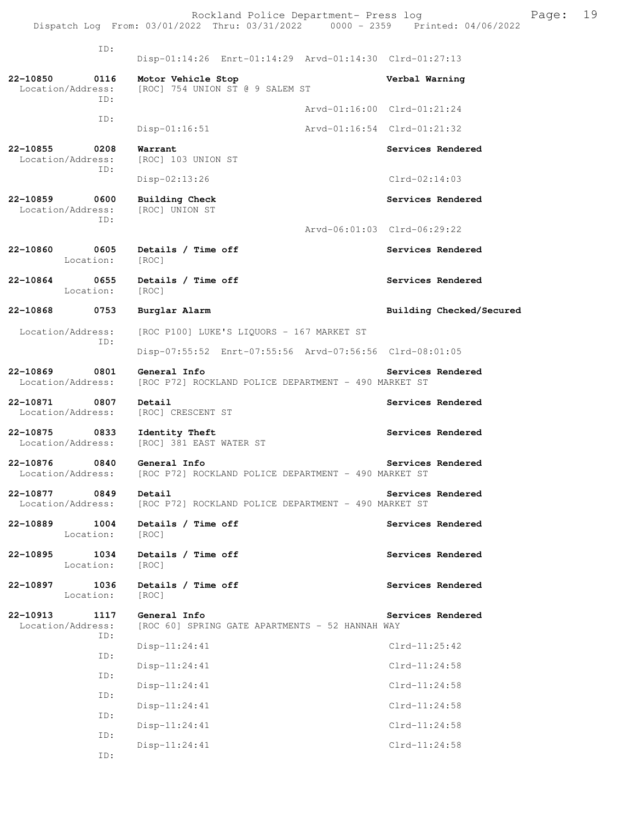Rockland Police Department- Press log Freed Page: 19 Dispatch Log From: 03/01/2022 Thru: 03/31/2022 0000 - 2359 Printed: 04/06/2022

 ID: Disp-01:14:26 Enrt-01:14:29 Arvd-01:14:30 Clrd-01:27:13 **22-10850 0116 Motor Vehicle Stop Verbal Warning**  Location/Address: [ROC] 754 UNION ST @ 9 SALEM ST ID: Arvd-01:16:00 Clrd-01:21:24 ID: Disp-01:16:51 Arvd-01:16:54 Clrd-01:21:32 **22-10855 0208 Warrant Services Rendered**  Location/Address: [ROC] 103 UNION ST ID: Disp-02:13:26 Clrd-02:14:03 **22-10859 0600 Building Check Services Rendered**  Location/Address: [ROC] UNION ST ID: Arvd-06:01:03 Clrd-06:29:22 **22-10860 0605 Details / Time off Services Rendered**  Location: [ROC] 22-10864 0655 Details / Time off **Services Rendered Services** Rendered Location: [ROC] **22-10868 0753 Burglar Alarm Building Checked/Secured**  Location/Address: [ROC P100] LUKE'S LIQUORS - 167 MARKET ST ID: Disp-07:55:52 Enrt-07:55:56 Arvd-07:56:56 Clrd-08:01:05 **22-10869 0801 General Info Services Rendered** Location/Address: [ROC P72] ROCKLAND POLICE DEPARTMENT - 490 MARKET ST [ROC P72] ROCKLAND POLICE DEPARTMENT - 490 MARKET ST **22-10871 0807 Detail Services Rendered**  Location/Address: [ROC] CRESCENT ST 22-10875 0833 Identity Theft **Services Rendered** Services Rendered Location/Address: [ROC] 381 EAST WATER ST **22-10876 0840 General Info Services Rendered**  Location/Address: [ROC P72] ROCKLAND POLICE DEPARTMENT - 490 MARKET ST **22-10877** 0849 Detail Services Rendered Location/Address: [ROC P72] ROCKLAND POLICE DEPARTMENT - 490 MARKET ST **22-10889 1004 Details / Time off Services Rendered**  Location: [ROC] **22-10895 1034 Details / Time off Services Rendered**  Location: [ROC] 22-10897 1036 Details / Time off **Services Rendered Services** Rendered Location: [ROC] **22-10913 1117 General Info Services Rendered** Location/Address: [ROC 60] SPRING GATE APARTMENTS - 52 HANNAH WAY [ROC 60] SPRING GATE APARTMENTS - 52 HANNAH WAY ID: Disp-11:24:41 Clrd-11:25:42 ID: Disp-11:24:41 Clrd-11:24:58 ID: Disp-11:24:41 Clrd-11:24:58 ID: Disp-11:24:41 Clrd-11:24:58 ID: Disp-11:24:41 Clrd-11:24:58 ID: Disp-11:24:41 Clrd-11:24:58 ID: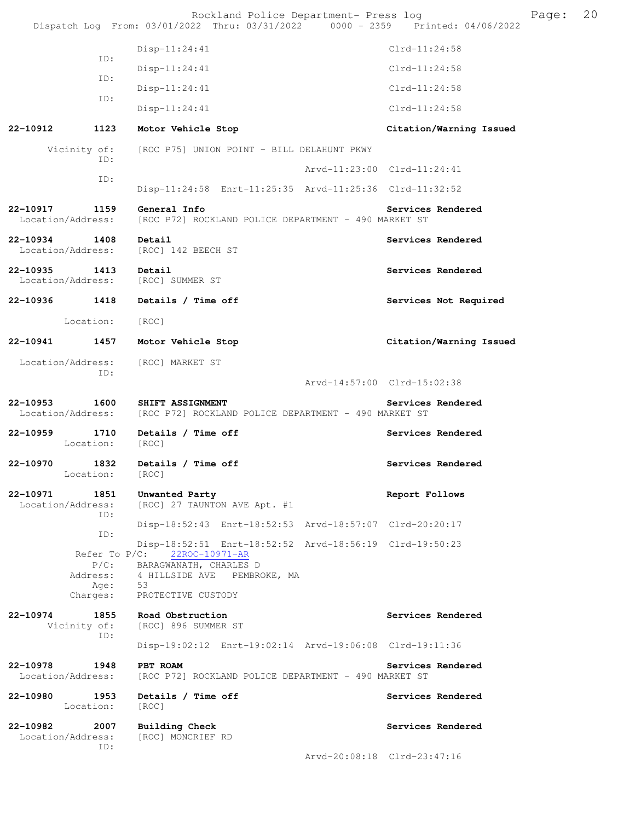|          |                                                          | Rockland Police Department- Press log<br>Dispatch Log From: 03/01/2022 Thru: 03/31/2022 0000 - 2359 Printed: 04/06/2022                                        |                             |                   |                         | Page: | 20 |
|----------|----------------------------------------------------------|----------------------------------------------------------------------------------------------------------------------------------------------------------------|-----------------------------|-------------------|-------------------------|-------|----|
|          |                                                          | $Disp-11:24:41$                                                                                                                                                |                             | $Clrd-11:24:58$   |                         |       |    |
|          | ID:                                                      | $Disp-11:24:41$                                                                                                                                                |                             | $Clrd-11:24:58$   |                         |       |    |
|          | ID:                                                      | $Disp-11:24:41$                                                                                                                                                |                             | $Clrd-11:24:58$   |                         |       |    |
|          | ID:                                                      | $Disp-11:24:41$                                                                                                                                                |                             | $Clrd-11:24:58$   |                         |       |    |
| 22-10912 | 1123                                                     | Motor Vehicle Stop                                                                                                                                             |                             |                   | Citation/Warning Issued |       |    |
|          | Vicinity of:                                             | [ROC P75] UNION POINT - BILL DELAHUNT PKWY                                                                                                                     |                             |                   |                         |       |    |
|          | ID:                                                      |                                                                                                                                                                | Arvd-11:23:00 Clrd-11:24:41 |                   |                         |       |    |
|          | ID:                                                      | Disp-11:24:58 Enrt-11:25:35 Arvd-11:25:36 Clrd-11:32:52                                                                                                        |                             |                   |                         |       |    |
| 22-10917 | 1159<br>Location/Address:                                | General Info<br>[ROC P72] ROCKLAND POLICE DEPARTMENT - 490 MARKET ST                                                                                           |                             | Services Rendered |                         |       |    |
| 22-10934 | 1408<br>Location/Address:                                | Detail<br>[ROC] 142 BEECH ST                                                                                                                                   |                             | Services Rendered |                         |       |    |
| 22-10935 | 1413<br>Location/Address:                                | Detail<br>[ROC] SUMMER ST                                                                                                                                      |                             | Services Rendered |                         |       |    |
| 22-10936 | 1418                                                     | Details / Time off                                                                                                                                             |                             |                   | Services Not Required   |       |    |
|          | Location:                                                | [ROC]                                                                                                                                                          |                             |                   |                         |       |    |
| 22-10941 | 1457                                                     | Motor Vehicle Stop                                                                                                                                             |                             |                   | Citation/Warning Issued |       |    |
|          | Location/Address:<br>ID:                                 | [ROC] MARKET ST                                                                                                                                                |                             |                   |                         |       |    |
| 22-10953 | 1600<br>Location/Address:                                | SHIFT ASSIGNMENT<br>[ROC P72] ROCKLAND POLICE DEPARTMENT - 490 MARKET ST                                                                                       | Arvd-14:57:00 Clrd-15:02:38 | Services Rendered |                         |       |    |
| 22-10959 | 1710<br>Location:                                        | Details / Time off<br>[ROC]                                                                                                                                    |                             | Services Rendered |                         |       |    |
| 22-10970 | 1832<br>Location: [ROC]                                  | Details / Time off                                                                                                                                             |                             | Services Rendered |                         |       |    |
| 22-10971 | 1851<br>Location/Address:<br>TD:                         | Unwanted Party<br>[ROC] 27 TAUNTON AVE Apt. #1                                                                                                                 |                             | Report Follows    |                         |       |    |
|          | ID:                                                      | Disp-18:52:43 Enrt-18:52:53 Arvd-18:57:07 Clrd-20:20:17                                                                                                        |                             |                   |                         |       |    |
|          | Refer To P/C:<br>$P/C$ :<br>Address:<br>Age:<br>Charges: | Disp-18:52:51 Enrt-18:52:52 Arvd-18:56:19 Clrd-19:50:23<br>22ROC-10971-AR<br>BARAGWANATH, CHARLES D<br>4 HILLSIDE AVE PEMBROKE, MA<br>53<br>PROTECTIVE CUSTODY |                             |                   |                         |       |    |
| 22-10974 | 1855<br>Vicinity of:<br>ID:                              | Road Obstruction<br>[ROC] 896 SUMMER ST                                                                                                                        |                             | Services Rendered |                         |       |    |
|          |                                                          | Disp-19:02:12 Enrt-19:02:14 Arvd-19:06:08 Clrd-19:11:36                                                                                                        |                             |                   |                         |       |    |
| 22-10978 | 1948<br>Location/Address:                                | PBT ROAM<br>[ROC P72] ROCKLAND POLICE DEPARTMENT - 490 MARKET ST                                                                                               |                             | Services Rendered |                         |       |    |
| 22-10980 | 1953<br>Location:                                        | Details / Time off<br>[ROC]                                                                                                                                    |                             | Services Rendered |                         |       |    |
| 22-10982 | 2007<br>Location/Address:<br>ID:                         | Building Check<br>[ROC] MONCRIEF RD                                                                                                                            |                             | Services Rendered |                         |       |    |
|          |                                                          |                                                                                                                                                                | Arvd-20:08:18 Clrd-23:47:16 |                   |                         |       |    |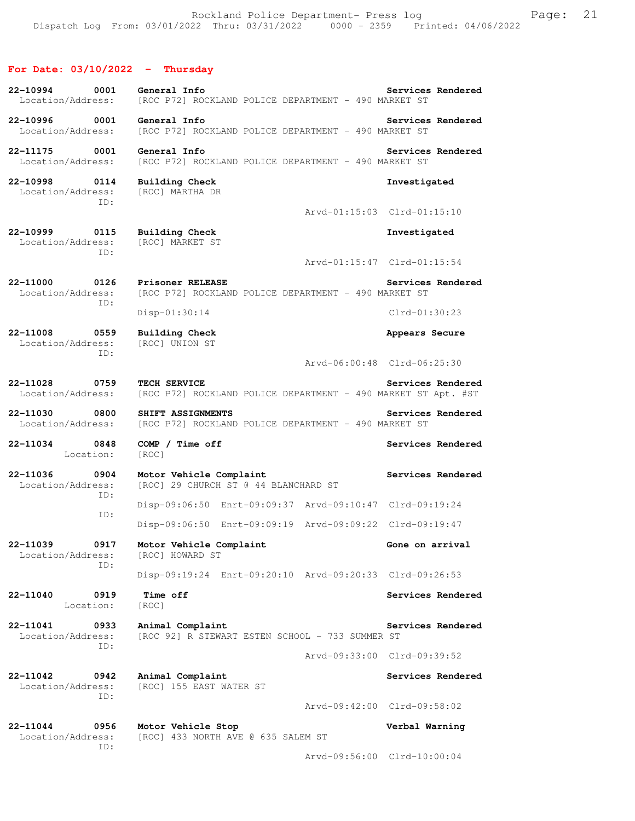# **For Date: 03/10/2022 - Thursday**

| 22-10994<br>Location/Address:         | 0001        | General Info<br>[ROC P72] ROCKLAND POLICE DEPARTMENT - 490 MARKET ST          | Services Rendered           |
|---------------------------------------|-------------|-------------------------------------------------------------------------------|-----------------------------|
| 22-10996<br>Location/Address:         | 0001        | General Info<br>[ROC P72] ROCKLAND POLICE DEPARTMENT - 490 MARKET ST          | Services Rendered           |
| 22-11175<br>Location/Address:         | 0001        | General Info<br>[ROC P72] ROCKLAND POLICE DEPARTMENT - 490 MARKET ST          | Services Rendered           |
| 22-10998<br>Location/Address:         | 0114<br>ID: | <b>Building Check</b><br>[ROC] MARTHA DR                                      | Investigated                |
|                                       |             |                                                                               | Arvd-01:15:03 Clrd-01:15:10 |
| 22-10999<br>Location/Address:         | 0115<br>ID: | <b>Building Check</b><br>[ROC] MARKET ST                                      | Investigated                |
|                                       |             |                                                                               | Arvd-01:15:47 Clrd-01:15:54 |
| 22-11000<br>Location/Address:         | 0126<br>ID: | Prisoner RELEASE<br>[ROC P72] ROCKLAND POLICE DEPARTMENT - 490 MARKET ST      | Services Rendered           |
|                                       |             | $Disp-01:30:14$                                                               | $Clrd-01:30:23$             |
| 22-11008<br>Location/Address:         | 0559<br>TD: | <b>Building Check</b><br>[ROC] UNION ST                                       | Appears Secure              |
|                                       |             |                                                                               | Arvd-06:00:48 Clrd-06:25:30 |
| 22-11028<br>0759<br>Location/Address: |             | TECH SERVICE<br>[ROC P72] ROCKLAND POLICE DEPARTMENT - 490 MARKET ST Apt. #ST | Services Rendered           |
| 22-11030                              | 0800        | SHIFT ASSIGNMENTS                                                             | Services Rendered           |
| Location/Address:                     |             | [ROC P72] ROCKLAND POLICE DEPARTMENT - 490 MARKET ST                          |                             |
| 22-11034<br>Location:                 | 0848        | COMP / Time off<br>[ROC]                                                      | Services Rendered           |
| 22-11036<br>Location/Address:         | 0904        | Motor Vehicle Complaint<br>[ROC] 29 CHURCH ST @ 44 BLANCHARD ST               | Services Rendered           |
|                                       | ID:         | Disp-09:06:50 Enrt-09:09:37 Arvd-09:10:47 Clrd-09:19:24                       |                             |
|                                       | ID:         | Disp-09:06:50 Enrt-09:09:19 Arvd-09:09:22 Clrd-09:19:47                       |                             |
| 22-11039<br>Location/Address:         | 0917        | Motor Vehicle Complaint<br>[ROC] HOWARD ST                                    | Gone on arrival             |
|                                       | ID:         | Disp-09:19:24 Enrt-09:20:10 Arvd-09:20:33 Clrd-09:26:53                       |                             |
| 22-11040<br>Location:                 | 0919        | Time off<br>[ROC]                                                             | Services Rendered           |
| 22-11041<br>Location/Address:         | 0933        | Animal Complaint<br>[ROC 92] R STEWART ESTEN SCHOOL - 733 SUMMER ST           | Services Rendered           |
|                                       | ID:         |                                                                               | Arvd-09:33:00 Clrd-09:39:52 |
| 22-11042<br>Location/Address:         | 0942        | Animal Complaint<br>[ROC] 155 EAST WATER ST                                   | Services Rendered           |
|                                       | ID:         |                                                                               | Arvd-09:42:00 Clrd-09:58:02 |
| 22-11044<br>Location/Address:         | 0956<br>ID: | Motor Vehicle Stop<br>[ROC] 433 NORTH AVE @ 635 SALEM ST                      | Verbal Warning              |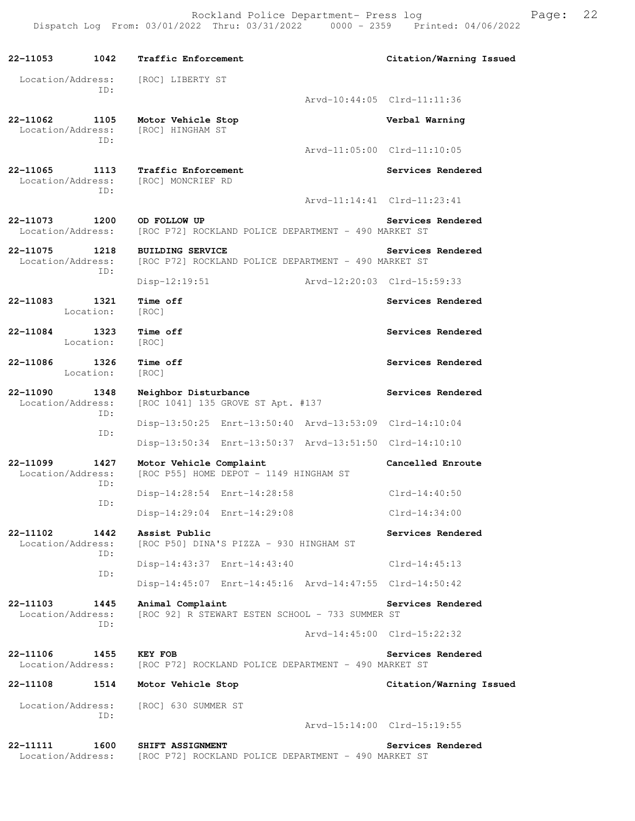Rockland Police Department- Press log Freed Page: 22 Dispatch Log From: 03/01/2022 Thru: 03/31/2022 0000 - 2359 Printed: 04/06/2022

**22-11053 1042 Traffic Enforcement Citation/Warning Issued**  Location/Address: [ROC] LIBERTY ST ID: Arvd-10:44:05 Clrd-11:11:36 **22-11062 1105 Motor Vehicle Stop Verbal Warning**  Location/Address: ID: Arvd-11:05:00 Clrd-11:10:05 **22-11065 1113 Traffic Enforcement Services Rendered**  Location/Address: [ROC] MONCRIEF RD ID: Arvd-11:14:41 Clrd-11:23:41 **22-11073 1200 OD FOLLOW UP Services Rendered** Location/Address: [ROC P72] ROCKLAND POLICE DEPARTMENT - 490 MARKET ST [ROC P72] ROCKLAND POLICE DEPARTMENT - 490 MARKET ST **22-11075 1218 BUILDING SERVICE Services Rendered Location/Address:** [ROC P72] ROCKLAND POLICE DEPARTMENT - 490 MARKET ST [ROC P72] ROCKLAND POLICE DEPARTMENT - 490 MARKET ST ID: Disp-12:19:51 Arvd-12:20:03 Clrd-15:59:33 **22-11083 1321 Time off Services Rendered**  Location: [ROC] **22-11084 1323 Time off Services Rendered**  Location: [ROC] **22-11086 1326 Time off Services Rendered**  Location: [ROC] **22-11090 1348 Neighbor Disturbance Services Rendered**  Location/Address: [ROC 1041] 135 GROVE ST Apt. #137 ID: Disp-13:50:25 Enrt-13:50:40 Arvd-13:53:09 Clrd-14:10:04 ID: Disp-13:50:34 Enrt-13:50:37 Arvd-13:51:50 Clrd-14:10:10 **22-11099 1427 Motor Vehicle Complaint Cancelled Enroute**  Location/Address: [ROC P55] HOME DEPOT - 1149 HINGHAM ST ID: Disp-14:28:54 Enrt-14:28:58 Clrd-14:40:50 ID: Disp-14:29:04 Enrt-14:29:08 Clrd-14:34:00 **22-11102 1442 Assist Public Services Rendered**  Location/Address: [ROC P50] DINA'S PIZZA - 930 HINGHAM ST ID: Disp-14:43:37 Enrt-14:43:40 Clrd-14:45:13 ID: Disp-14:45:07 Enrt-14:45:16 Arvd-14:47:55 Clrd-14:50:42 **22-11103 1445 Animal Complaint Services Rendered**  Location/Address: [ROC 92] R STEWART ESTEN SCHOOL - 733 SUMMER ST ID: Arvd-14:45:00 Clrd-15:22:32 **22-11106 1455 KEY FOB Services Rendered**  Location/Address: [ROC P72] ROCKLAND POLICE DEPARTMENT - 490 MARKET ST **22-11108 1514 Motor Vehicle Stop Citation/Warning Issued**  Location/Address: [ROC] 630 SUMMER ST ID: Arvd-15:14:00 Clrd-15:19:55 **22-11111 1600 SHIFT ASSIGNMENT** Services Rendered Location/Address: [ROC P72] ROCKLAND POLICE DEPARTMENT - 490 MARKET ST [ROC P72] ROCKLAND POLICE DEPARTMENT - 490 MARKET ST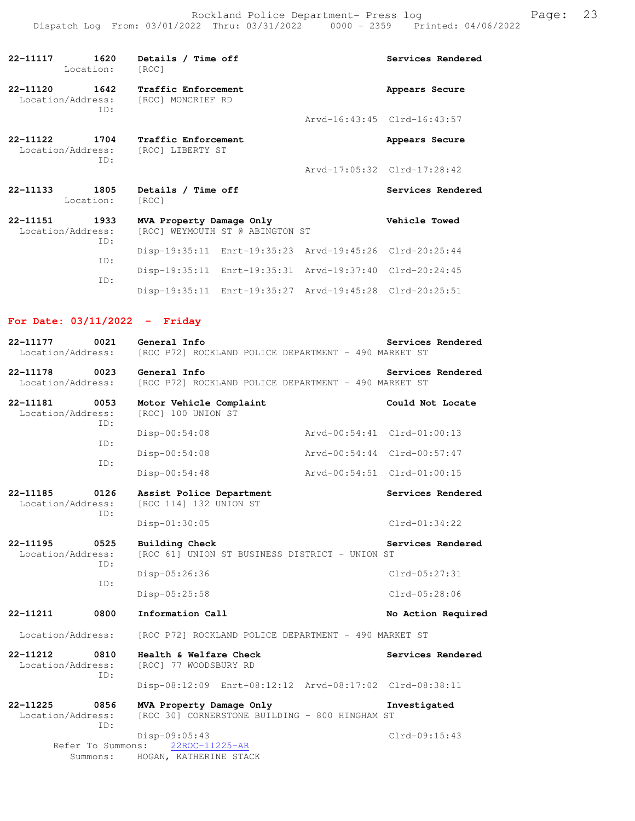Rockland Police Department- Press log entitled and Page: 23 Dispatch Log From: 03/01/2022 Thru: 03/31/2022 0000 - 2359 Printed: 04/06/2022

| 22-11117     | 1620<br>Location:                         | Details / Time off<br>[ROC]                    |                                 |                                                         | Services Rendered           |
|--------------|-------------------------------------------|------------------------------------------------|---------------------------------|---------------------------------------------------------|-----------------------------|
| 22-11120     | 1642<br>Location/Address:<br>TD:          | Traffic Enforcement<br>[ROC] MONCRIEF RD       |                                 |                                                         | Appears Secure              |
|              |                                           |                                                |                                 |                                                         | Arvd-16:43:45 Clrd-16:43:57 |
|              | 22-11122 1704<br>Location/Address:<br>TD: | <b>Traffic Enforcement</b><br>[ROC] LIBERTY ST |                                 |                                                         | Appears Secure              |
|              |                                           |                                                |                                 |                                                         | Arvd-17:05:32 Clrd-17:28:42 |
| $22 - 11133$ | 1805<br>Location:                         | Details / Time off<br>[ROC]                    |                                 |                                                         | Services Rendered           |
| 22-11151     | 1933<br>Location/Address:<br>TD:          | MVA Property Damage Only                       | [ROC] WEYMOUTH ST @ ABINGTON ST |                                                         | Vehicle Towed               |
|              |                                           |                                                |                                 | Disp-19:35:11 Enrt-19:35:23 Arvd-19:45:26 Clrd-20:25:44 |                             |
|              | TD:<br>TD:                                |                                                |                                 | Disp-19:35:11 Enrt-19:35:31 Arvd-19:37:40 Clrd-20:24:45 |                             |
|              |                                           |                                                |                                 | Disp-19:35:11 Enrt-19:35:27 Arvd-19:45:28 Clrd-20:25:51 |                             |

**For Date: 03/11/2022 - Friday**

| 0021<br>22-11177                                 | General Info                                                               | Services Rendered           |
|--------------------------------------------------|----------------------------------------------------------------------------|-----------------------------|
| Location/Address:                                | [ROC P72] ROCKLAND POLICE DEPARTMENT - 490 MARKET ST                       |                             |
| 22-11178<br>0023<br>Location/Address:            | General Info<br>[ROC P72] ROCKLAND POLICE DEPARTMENT - 490 MARKET ST       | Services Rendered           |
| 22-11181<br>0053<br>Location/Address:<br>TD:     | Motor Vehicle Complaint<br>[ROC] 100 UNION ST                              | Could Not Locate            |
|                                                  | Disp-00:54:08                                                              | Arvd-00:54:41 Clrd-01:00:13 |
| ID:<br>TD:                                       | Disp-00:54:08                                                              | Arvd-00:54:44 Clrd-00:57:47 |
|                                                  | $Disp-00:54:48$                                                            | Arvd-00:54:51 Clrd-01:00:15 |
| 22-11185<br>0126<br>Location/Address:<br>ID:     | Assist Police Department<br>[ROC 114] 132 UNION ST                         | Services Rendered           |
|                                                  | Disp-01:30:05                                                              | $Clrd-01:34:22$             |
| $22 - 11195$<br>0525<br>Location/Address:<br>ID: | Building Check<br>[ROC 61] UNION ST BUSINESS DISTRICT - UNION ST           | Services Rendered           |
|                                                  | Disp-05:26:36                                                              | $Clrd-05:27:31$             |
| TD:                                              | Disp-05:25:58                                                              | $Clrd-05:28:06$             |
| 22-11211<br>0800                                 | Information Call                                                           | No Action Required          |
| Location/Address:                                | [ROC P72] ROCKLAND POLICE DEPARTMENT - 490 MARKET ST                       |                             |
| 22-11212<br>0810<br>Location/Address:<br>TD:     | Health & Welfare Check<br>[ROC] 77 WOODSBURY RD                            | Services Rendered           |
|                                                  | Disp-08:12:09 Enrt-08:12:12 Arvd-08:17:02 Clrd-08:38:11                    |                             |
| $22 - 11225$<br>0856<br>Location/Address:<br>TD: | MVA Property Damage Only<br>[ROC 30] CORNERSTONE BUILDING - 800 HINGHAM ST | Investigated                |
| Refer To Summons:                                | Disp-09:05:43<br>22ROC-11225-AR                                            | $Clrd-09:15:43$             |
| Summons:                                         | HOGAN, KATHERINE STACK                                                     |                             |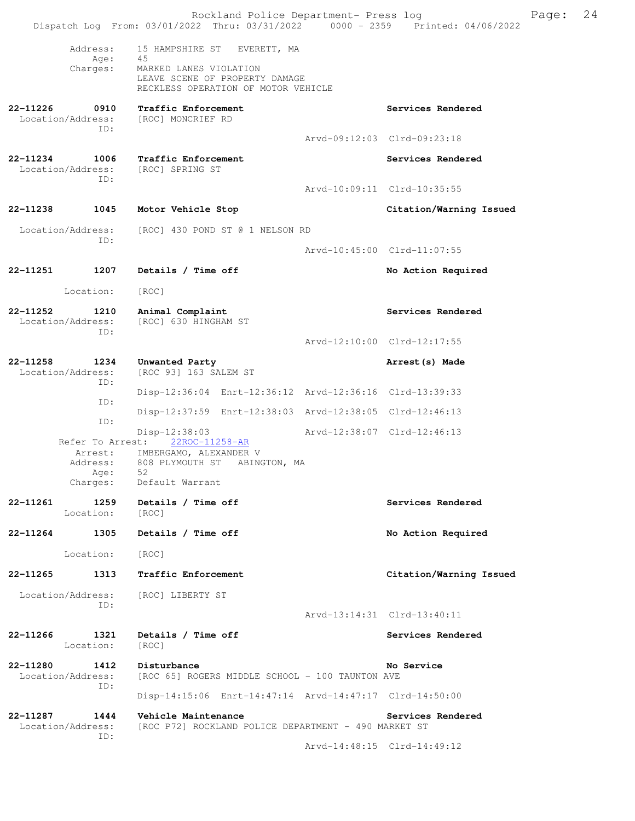|                                              |                                  | Rockland Police Department- Press log<br>Dispatch Log From: 03/01/2022 Thru: 03/31/2022 0000 - 2359 Printed: 04/06/2022 |  |                             | Page: | 24 |
|----------------------------------------------|----------------------------------|-------------------------------------------------------------------------------------------------------------------------|--|-----------------------------|-------|----|
|                                              | Address:                         | 15 HAMPSHIRE ST EVERETT, MA                                                                                             |  |                             |       |    |
|                                              | Age:<br>Charges:                 | 45<br>MARKED LANES VIOLATION<br>LEAVE SCENE OF PROPERTY DAMAGE<br>RECKLESS OPERATION OF MOTOR VEHICLE                   |  |                             |       |    |
| 22-11226                                     | 0910<br>Location/Address:<br>ID: | Traffic Enforcement<br>[ROC] MONCRIEF RD                                                                                |  | Services Rendered           |       |    |
|                                              |                                  |                                                                                                                         |  | Arvd-09:12:03 Clrd-09:23:18 |       |    |
| 22-11234                                     | 1006<br>Location/Address:<br>ID: | Traffic Enforcement<br>[ROC] SPRING ST                                                                                  |  | Services Rendered           |       |    |
|                                              |                                  |                                                                                                                         |  | Arvd-10:09:11 Clrd-10:35:55 |       |    |
| 22-11238                                     | 1045                             | Motor Vehicle Stop                                                                                                      |  | Citation/Warning Issued     |       |    |
|                                              | Location/Address:<br>ID:         | [ROC] 430 POND ST @ 1 NELSON RD                                                                                         |  |                             |       |    |
|                                              |                                  |                                                                                                                         |  | Arvd-10:45:00 Clrd-11:07:55 |       |    |
| 22-11251                                     | 1207                             | Details / Time off                                                                                                      |  | No Action Required          |       |    |
|                                              | Location:                        | [ROC]                                                                                                                   |  |                             |       |    |
| 22-11252<br>1210<br>Location/Address:<br>ID: |                                  | Animal Complaint<br>[ROC] 630 HINGHAM ST                                                                                |  | Services Rendered           |       |    |
|                                              |                                  |                                                                                                                         |  | Arvd-12:10:00 Clrd-12:17:55 |       |    |
| 22-11258                                     | 1234<br>Location/Address:<br>ID: | Unwanted Party<br>[ROC 93] 163 SALEM ST                                                                                 |  | Arrest (s) Made             |       |    |
|                                              | ID:                              | Disp-12:36:04 Enrt-12:36:12 Arvd-12:36:16 Clrd-13:39:33                                                                 |  |                             |       |    |
|                                              | ID:                              | Disp-12:37:59 Enrt-12:38:03 Arvd-12:38:05 Clrd-12:46:13                                                                 |  |                             |       |    |
|                                              | Refer To Arrest:                 | Disp-12:38:03<br>22ROC-11258-AR<br>Arrest: IMBERGAMO, ALEXANDER V                                                       |  | Arvd-12:38:07 Clrd-12:46:13 |       |    |
|                                              | Address:<br>Age: 52<br>Charges:  | 808 PLYMOUTH ST ABINGTON, MA<br>Default Warrant                                                                         |  |                             |       |    |
| 22-11261                                     | 1259<br>Location:                | Details / Time off<br>[ROC]                                                                                             |  | Services Rendered           |       |    |
| 22-11264                                     | 1305                             | Details / Time off                                                                                                      |  | No Action Required          |       |    |
|                                              | Location:                        | [ROC]                                                                                                                   |  |                             |       |    |
| 22-11265                                     | 1313                             | Traffic Enforcement                                                                                                     |  | Citation/Warning Issued     |       |    |
|                                              | Location/Address:<br>ID:         | [ROC] LIBERTY ST                                                                                                        |  | Arvd-13:14:31 Clrd-13:40:11 |       |    |
|                                              |                                  |                                                                                                                         |  |                             |       |    |
| 22-11266                                     | 1321<br>Location:                | Details / Time off<br>[ROC]                                                                                             |  | Services Rendered           |       |    |
| 22-11280                                     | 1412<br>Location/Address:<br>ID: | Disturbance<br>[ROC 65] ROGERS MIDDLE SCHOOL - 100 TAUNTON AVE                                                          |  | No Service                  |       |    |
|                                              |                                  | Disp-14:15:06 Enrt-14:47:14 Arvd-14:47:17 Clrd-14:50:00                                                                 |  |                             |       |    |
| 22-11287                                     | 1444<br>Location/Address:<br>ID: | Vehicle Maintenance<br>[ROC P72] ROCKLAND POLICE DEPARTMENT - 490 MARKET ST                                             |  | Services Rendered           |       |    |
|                                              |                                  |                                                                                                                         |  | Arvd-14:48:15 Clrd-14:49:12 |       |    |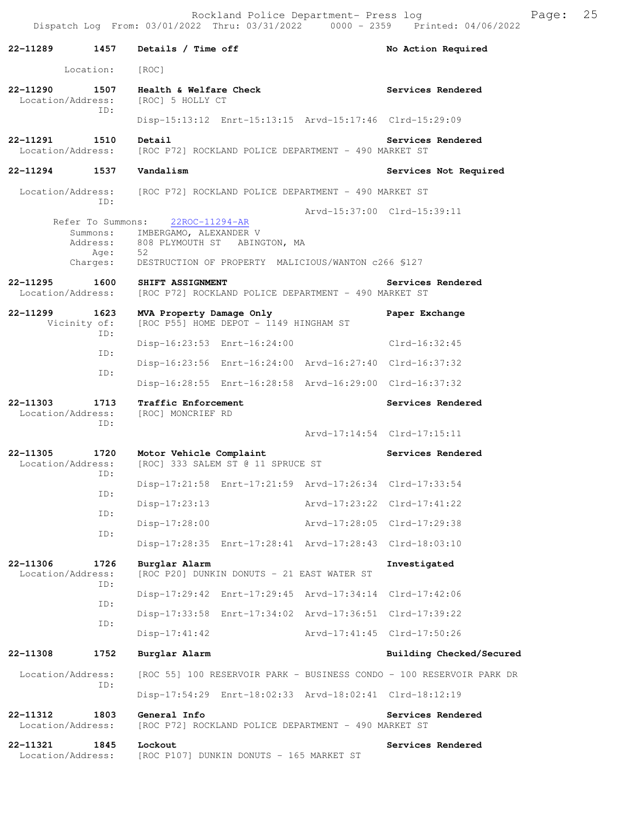Rockland Police Department- Press log Fage: 25 Dispatch Log From: 03/01/2022 Thru: 03/31/2022 0000 - 2359 Printed: 04/06/2022

**22-11289 1457 Details / Time off No Action Required**  Location: [ROC] **22-11290 1507 Health & Welfare Check Services Rendered**  Location/Address: [ROC] 5 HOLLY CT ID: Disp-15:13:12 Enrt-15:13:15 Arvd-15:17:46 Clrd-15:29:09 **22-11291 1510 Detail Services Rendered**  Location/Address: [ROC P72] ROCKLAND POLICE DEPARTMENT - 490 MARKET ST **22-11294 1537 Vandalism Services Not Required**  Location/Address: [ROC P72] ROCKLAND POLICE DEPARTMENT - 490 MARKET ST ID: Arvd-15:37:00 Clrd-15:39:11<br>22ROC-11294-AR Refer To Summons: Summons: IMBERGAMO, ALEXANDER V Address: 808 PLYMOUTH ST ABINGTON, MA Age: Charges: DESTRUCTION OF PROPERTY MALICIOUS/WANTON c266 §127 **22-11295 1600 SHIFT ASSIGNMENT Services Rendered**  Location/Address: [ROC P72] ROCKLAND POLICE DEPARTMENT - 490 MARKET ST **22-11299 1623 MVA Property Damage Only Paper Exchange**  Vicinity of: [ROC P55] HOME DEPOT - 1149 HINGHAM ST ID: Disp-16:23:53 Enrt-16:24:00 Clrd-16:32:45 ID: Disp-16:23:56 Enrt-16:24:00 Arvd-16:27:40 Clrd-16:37:32 ID: Disp-16:28:55 Enrt-16:28:58 Arvd-16:29:00 Clrd-16:37:32 **22-11303 1713 Traffic Enforcement Services Rendered**  Location/Address: [ROC] MONCRIEF RD ID: Arvd-17:14:54 Clrd-17:15:11 **22-11305 1720 Motor Vehicle Complaint Services Rendered**  Location/Address: [ROC] 333 SALEM ST @ 11 SPRUCE ST ID: Disp-17:21:58 Enrt-17:21:59 Arvd-17:26:34 Clrd-17:33:54 ID: Disp-17:23:13 Arvd-17:23:22 Clrd-17:41:22 ID: Disp-17:28:00 Arvd-17:28:05 Clrd-17:29:38 ID: Disp-17:28:35 Enrt-17:28:41 Arvd-17:28:43 Clrd-18:03:10 **22-11306 1726 Burglar Alarm Investigated**  Location/Address: [ROC P20] DUNKIN DONUTS - 21 EAST WATER ST ID: Disp-17:29:42 Enrt-17:29:45 Arvd-17:34:14 Clrd-17:42:06 ID: Disp-17:33:58 Enrt-17:34:02 Arvd-17:36:51 Clrd-17:39:22 ID: Disp-17:41:42 Arvd-17:41:45 Clrd-17:50:26 **22-11308 1752 Burglar Alarm Building Checked/Secured**  Location/Address: [ROC 55] 100 RESERVOIR PARK - BUSINESS CONDO - 100 RESERVOIR PARK DR ID: Disp-17:54:29 Enrt-18:02:33 Arvd-18:02:41 Clrd-18:12:19 **22-11312 1803 General Info Services Rendered**  Location/Address: [ROC P72] ROCKLAND POLICE DEPARTMENT - 490 MARKET ST **22-11321 1845 Lockout Services Rendered**  Location/Address: [ROC P107] DUNKIN DONUTS - 165 MARKET ST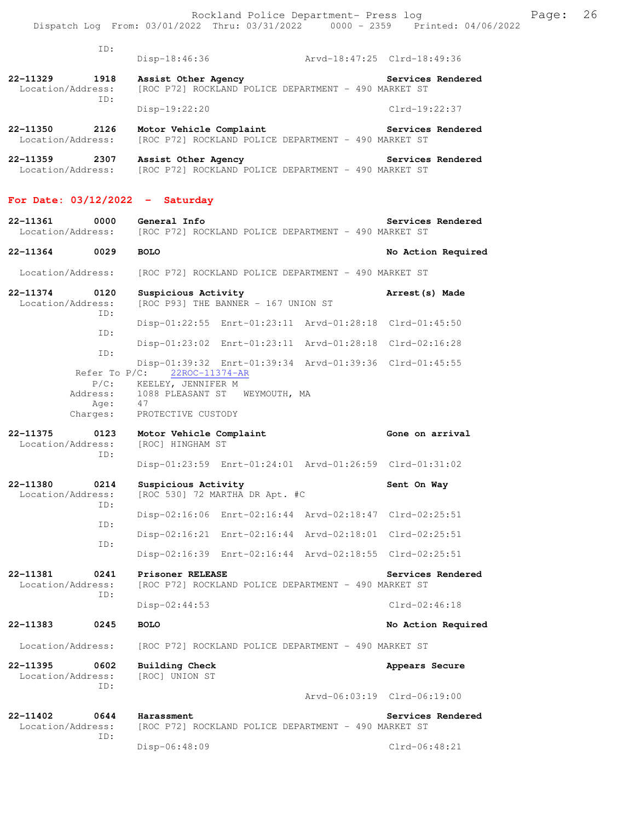|                               |                  | Dispatch Log From: 03/01/2022 Thru: 03/31/2022 0000 - 2359 Printed: 04/06/2022                | Rockland Police Department- Press log                   |                    | Page: | 26 |
|-------------------------------|------------------|-----------------------------------------------------------------------------------------------|---------------------------------------------------------|--------------------|-------|----|
|                               |                  |                                                                                               |                                                         |                    |       |    |
|                               | ID:              |                                                                                               | Disp-18:46:36    Arvd-18:47:25    Clrd-18:49:36         |                    |       |    |
| 22-11329<br>Location/Address: | 1918             | Assist Other Agency                                                                           | [ROC P72] ROCKLAND POLICE DEPARTMENT - 490 MARKET ST    | Services Rendered  |       |    |
|                               | ID:              | $Disp-19:22:20$                                                                               |                                                         | $Clrd-19:22:37$    |       |    |
| 22-11350<br>Location/Address: | 2126             | Motor Vehicle Complaint                                                                       | [ROC P72] ROCKLAND POLICE DEPARTMENT - 490 MARKET ST    | Services Rendered  |       |    |
| 22-11359 2307                 |                  | Assist Other Agency<br>Location/Address: [ROC P72] ROCKLAND POLICE DEPARTMENT - 490 MARKET ST |                                                         | Services Rendered  |       |    |
|                               |                  | For Date: $03/12/2022 -$ Saturday                                                             |                                                         |                    |       |    |
| 22-11361<br>Location/Address: | 0000             | General Info                                                                                  | [ROC P72] ROCKLAND POLICE DEPARTMENT - 490 MARKET ST    | Services Rendered  |       |    |
| 22-11364 0029                 |                  | <b>BOLO</b>                                                                                   |                                                         | No Action Required |       |    |
| Location/Address:             |                  |                                                                                               | [ROC P72] ROCKLAND POLICE DEPARTMENT - 490 MARKET ST    |                    |       |    |
| 22-11374<br>Location/Address: | 0120<br>ID:      | Suspicious Activity                                                                           | [ROC P93] THE BANNER - 167 UNION ST                     | Arrest (s) Made    |       |    |
|                               | ID:              |                                                                                               | Disp-01:22:55 Enrt-01:23:11 Arvd-01:28:18 Clrd-01:45:50 |                    |       |    |
|                               | ID:              |                                                                                               | Disp-01:23:02 Enrt-01:23:11 Arvd-01:28:18 Clrd-02:16:28 |                    |       |    |
|                               |                  | Refer To P/C: 22ROC-11374-AR                                                                  | Disp-01:39:32 Enrt-01:39:34 Arvd-01:39:36 Clrd-01:45:55 |                    |       |    |
|                               | Address:<br>Age: | P/C: KEELEY, JENNIFER M<br>47                                                                 | 1088 PLEASANT ST WEYMOUTH, MA                           |                    |       |    |
|                               | Charges:         | PROTECTIVE CUSTODY                                                                            |                                                         |                    |       |    |
| 22-11375<br>Location/Address: | ID:              | 0123 Motor Vehicle Complaint<br>[ROC] HINGHAM ST                                              |                                                         | Gone on arrival    |       |    |
|                               |                  |                                                                                               | Disp-01:23:59 Enrt-01:24:01 Arvd-01:26:59 Clrd-01:31:02 |                    |       |    |
| 22-11380<br>Location/Address: | 0214<br>ID:      | Suspicious Activity                                                                           | [ROC 530] 72 MARTHA DR Apt. #C                          | Sent On Way        |       |    |
|                               | ID:              |                                                                                               | Disp-02:16:06 Enrt-02:16:44 Arvd-02:18:47 Clrd-02:25:51 |                    |       |    |
|                               | ID:              |                                                                                               | Disp-02:16:21 Enrt-02:16:44 Arvd-02:18:01 Clrd-02:25:51 |                    |       |    |
|                               |                  |                                                                                               | Disp-02:16:39 Enrt-02:16:44 Arvd-02:18:55 Clrd-02:25:51 |                    |       |    |
| 22-11381<br>Location/Address: | 0241<br>ID:      | Prisoner RELEASE                                                                              | [ROC P72] ROCKLAND POLICE DEPARTMENT - 490 MARKET ST    | Services Rendered  |       |    |
|                               |                  | Disp-02:44:53                                                                                 |                                                         | $Clrd-02:46:18$    |       |    |
| 22-11383                      | 0245             | <b>BOLO</b>                                                                                   |                                                         | No Action Required |       |    |
| Location/Address:             |                  |                                                                                               | [ROC P72] ROCKLAND POLICE DEPARTMENT - 490 MARKET ST    |                    |       |    |
| 22-11395<br>Location/Address: | 0602             | <b>Building Check</b><br>[ROC] UNION ST                                                       |                                                         | Appears Secure     |       |    |

Arvd-06:03:19 Clrd-06:19:00

ID:

ID:

**22-11402 0644 Harassment Services Rendered**  Location/Address: [ROC P72] ROCKLAND POLICE DEPARTMENT - 490 MARKET ST

Disp-06:48:09 Clrd-06:48:21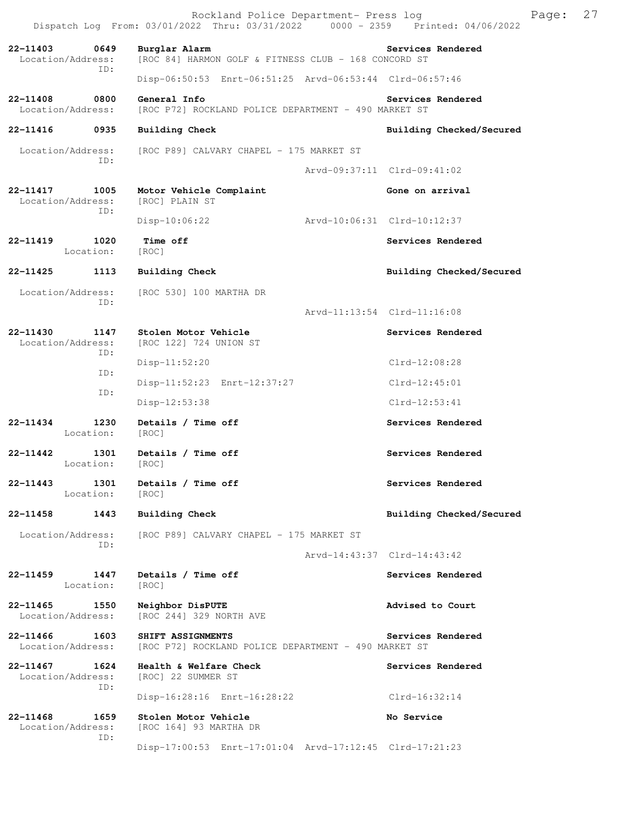|                               |                   | Rockland Police Department- Press log<br>Dispatch Log From: 03/01/2022 Thru: 03/31/2022 0000 - 2359 Printed: 04/06/2022 |                             |                  |                          | Page: | 27 |
|-------------------------------|-------------------|-------------------------------------------------------------------------------------------------------------------------|-----------------------------|------------------|--------------------------|-------|----|
| 22-11403<br>Location/Address: | 0649              | Burglar Alarm<br>[ROC 84] HARMON GOLF & FITNESS CLUB - 168 CONCORD ST                                                   |                             |                  | Services Rendered        |       |    |
|                               | ID:               | Disp-06:50:53 Enrt-06:51:25 Arvd-06:53:44 Clrd-06:57:46                                                                 |                             |                  |                          |       |    |
| 22-11408<br>Location/Address: | 0800              | General Info<br>[ROC P72] ROCKLAND POLICE DEPARTMENT - 490 MARKET ST                                                    |                             |                  | Services Rendered        |       |    |
| 22-11416                      | 0935              | <b>Building Check</b>                                                                                                   |                             |                  | Building Checked/Secured |       |    |
| Location/Address:             |                   | [ROC P89] CALVARY CHAPEL - 175 MARKET ST                                                                                |                             |                  |                          |       |    |
| ID:                           |                   |                                                                                                                         | Arvd-09:37:11 Clrd-09:41:02 |                  |                          |       |    |
| 22-11417<br>Location/Address: | 1005<br>ID:       | Motor Vehicle Complaint<br>[ROC] PLAIN ST                                                                               |                             | Gone on arrival  |                          |       |    |
|                               |                   | $Disp-10:06:22$                                                                                                         | Arvd-10:06:31 Clrd-10:12:37 |                  |                          |       |    |
| 22-11419                      | 1020<br>Location: | Time off<br>[ROC]                                                                                                       |                             |                  | Services Rendered        |       |    |
| 22-11425                      | 1113              | Building Check                                                                                                          |                             |                  | Building Checked/Secured |       |    |
| Location/Address:             | ID:               | [ROC 530] 100 MARTHA DR                                                                                                 |                             |                  |                          |       |    |
|                               |                   |                                                                                                                         | Arvd-11:13:54 Clrd-11:16:08 |                  |                          |       |    |
| 22-11430<br>Location/Address: | 1147<br>ID:       | Stolen Motor Vehicle<br>[ROC 122] 724 UNION ST                                                                          |                             |                  | Services Rendered        |       |    |
|                               | ID:               | $Disp-11:52:20$                                                                                                         |                             | Clrd-12:08:28    |                          |       |    |
|                               | ID:               | Disp-11:52:23 Enrt-12:37:27                                                                                             |                             | $Clrd-12:45:01$  |                          |       |    |
|                               |                   | Disp-12:53:38                                                                                                           |                             | $Clrd-12:53:41$  |                          |       |    |
| 22-11434                      | 1230<br>Location: | Details / Time off<br>[ROC]                                                                                             |                             |                  | Services Rendered        |       |    |
| 22-11442                      | 1301<br>Location: | Details / Time off<br>[ROC]                                                                                             |                             |                  | Services Rendered        |       |    |
| 22-11443                      | 1301<br>Location: | Details / Time off<br>[ROC]                                                                                             |                             |                  | Services Rendered        |       |    |
| 22-11458                      | 1443              | <b>Building Check</b>                                                                                                   |                             |                  | Building Checked/Secured |       |    |
| Location/Address:             | ID:               | [ROC P89] CALVARY CHAPEL - 175 MARKET ST                                                                                |                             |                  |                          |       |    |
|                               |                   |                                                                                                                         | Arvd-14:43:37 Clrd-14:43:42 |                  |                          |       |    |
| 22-11459                      | 1447<br>Location: | Details / Time off<br>[ROC]                                                                                             |                             |                  | Services Rendered        |       |    |
| 22-11465<br>Location/Address: | 1550              | Neighbor DisPUTE<br>[ROC 244] 329 NORTH AVE                                                                             |                             | Advised to Court |                          |       |    |
| 22-11466<br>Location/Address: | 1603              | SHIFT ASSIGNMENTS<br>[ROC P72] ROCKLAND POLICE DEPARTMENT - 490 MARKET ST                                               |                             |                  | Services Rendered        |       |    |
| 22-11467<br>Location/Address: | 1624<br>ID:       | Health & Welfare Check<br>[ROC] 22 SUMMER ST                                                                            |                             |                  | Services Rendered        |       |    |
|                               |                   | Disp-16:28:16 Enrt-16:28:22                                                                                             |                             | Clrd-16:32:14    |                          |       |    |
| 22-11468<br>Location/Address: | 1659<br>ID:       | Stolen Motor Vehicle<br>[ROC 164] 93 MARTHA DR                                                                          |                             | No Service       |                          |       |    |
|                               |                   | Disp-17:00:53 Enrt-17:01:04 Arvd-17:12:45 Clrd-17:21:23                                                                 |                             |                  |                          |       |    |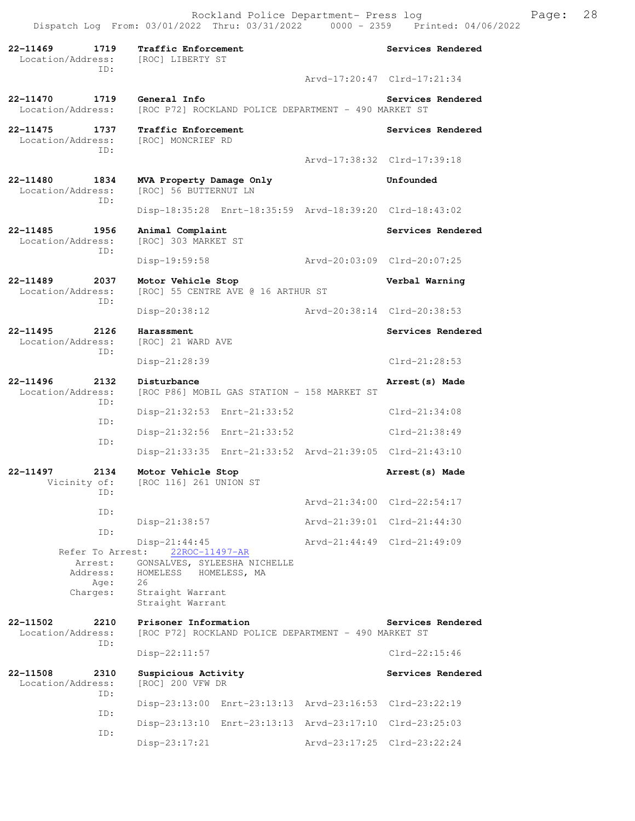**22-11469 1719 Traffic Enforcement Services Rendered**  Location/Address: [ROC] LIBERTY ST ID: Arvd-17:20:47 Clrd-17:21:34 **22-11470 1719 General Info Services Rendered** Location/Address: [ROC P72] ROCKLAND POLICE DEPARTMENT - 490 MARKET ST [ROC P72] ROCKLAND POLICE DEPARTMENT - 490 MARKET ST **22-11475 1737 Traffic Enforcement Services Rendered**  Location/Address: [ROC] MONCRIEF RD ID: Arvd-17:38:32 Clrd-17:39:18 **22-11480 1834 MVA Property Damage Only Unfounded**  Location/Address: [ROC] 56 BUTTERNUT LN ID: Disp-18:35:28 Enrt-18:35:59 Arvd-18:39:20 Clrd-18:43:02 **22-11485 1956 Animal Complaint Services Rendered**  Location/Address: [ROC] 303 MARKET ST ID: Disp-19:59:58 Arvd-20:03:09 Clrd-20:07:25 **22-11489 2037 Motor Vehicle Stop Verbal Warning**  Location/Address: [ROC] 55 CENTRE AVE @ 16 ARTHUR ST ID: Disp-20:38:12 Arvd-20:38:14 Clrd-20:38:53 **22-11495 2126 Harassment Services Rendered Services Rendered Services Rendered** [ROC] 21 WARD AVE ID: Disp-21:28:39 Clrd-21:28:53 **22-11496 2132 Disturbance Arrest(s) Made**  [ROC P86] MOBIL GAS STATION - 158 MARKET ST ID: Disp-21:32:53 Enrt-21:33:52 Clrd-21:34:08 ID: Disp-21:32:56 Enrt-21:33:52 Clrd-21:38:49 ID: Disp-21:33:35 Enrt-21:33:52 Arvd-21:39:05 Clrd-21:43:10 **22-11497 2134 Motor Vehicle Stop Arrest(s) Made**  Vicinity of: [ROC 116] 261 UNION ST ID: Arvd-21:34:00 Clrd-22:54:17 ID: Disp-21:38:57 Arvd-21:39:01 Clrd-21:44:30 ID: Disp-21:44:45<br>st: 22ROC-11497-AR Arvd-21:44:49 Clrd-21:49:09 Refer To Arrest: Arrest: GONSALVES, SYLEESHA NICHELLE<br>Address: HOMELESS HOMELESS, MA HOMELESS HOMELESS, MA Age: 26 Charges: Straight Warrant Straight Warrant **22-11502** 2210 Prisoner Information<br>Location/Address: [ROC P72] ROCKLAND POLICE DEPARTMENT - 490 MARKET ST [ROC P72] ROCKLAND POLICE DEPARTMENT - 490 MARKET ST ID: Disp-22:11:57 Clrd-22:15:46 **22-11508 2310 Suspicious Activity Services Rendered**  Location/Address: [ROC] 200 VFW DR ID: Disp-23:13:00 Enrt-23:13:13 Arvd-23:16:53 Clrd-23:22:19 ID: Disp-23:13:10 Enrt-23:13:13 Arvd-23:17:10 Clrd-23:25:03 ID: Disp-23:17:21 Arvd-23:17:25 Clrd-23:22:24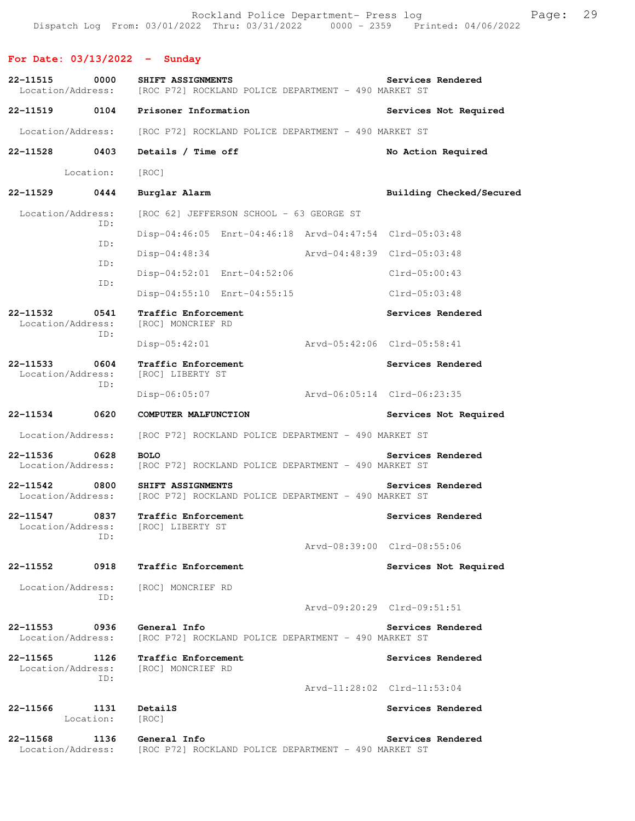Rockland Police Department- Press log Freed Page: 29 Dispatch Log From: 03/01/2022 Thru: 03/31/2022 0000 - 2359 Printed: 04/06/2022

**For Date: 03/13/2022 - Sunday**

**22-11515 0000 SHIFT ASSIGNMENTS Services Rendered**  Location/Address: [ROC P72] ROCKLAND POLICE DEPARTMENT - 490 MARKET ST **22-11519 0104 Prisoner Information Services Not Required**  Location/Address: [ROC P72] ROCKLAND POLICE DEPARTMENT - 490 MARKET ST **22-11528 0403 Details / Time off No Action Required**  Location: [ROC] **22-11529 0444 Burglar Alarm Building Checked/Secured**  Location/Address: [ROC 62] JEFFERSON SCHOOL - 63 GEORGE ST ID: Disp-04:46:05 Enrt-04:46:18 Arvd-04:47:54 Clrd-05:03:48 ID: Disp-04:48:34 Arvd-04:48:39 Clrd-05:03:48 ID: Disp-04:52:01 Enrt-04:52:06 Clrd-05:00:43 ID: Disp-04:55:10 Enrt-04:55:15 Clrd-05:03:48 **22-11532 0541 Traffic Enforcement Services Rendered**  Location/Address: ID: Disp-05:42:01 Arvd-05:42:06 Clrd-05:58:41 **22-11533 0604 Traffic Enforcement Services Rendered**  Location/Address: [ROC] LIBERTY ST ID: Disp-06:05:07 Arvd-06:05:14 Clrd-06:23:35 **22-11534 0620 COMPUTER MALFUNCTION Services Not Required**  Location/Address: [ROC P72] ROCKLAND POLICE DEPARTMENT - 490 MARKET ST **22-11536 0628 BOLO Services Rendered**  Location/Address: [ROC P72] ROCKLAND POLICE DEPARTMENT - 490 MARKET ST **22-11542 0800 SHIFT ASSIGNMENTS Services Rendered**  Location/Address: [ROC P72] ROCKLAND POLICE DEPARTMENT - 490 MARKET ST 22-11547 0837 Traffic Enforcement **Services Rendered** Services Rendered Location/Address: [ROC] LIBERTY ST ID: Arvd-08:39:00 Clrd-08:55:06 **22-11552 0918 Traffic Enforcement Services Not Required**  Location/Address: [ROC] MONCRIEF RD ID: Arvd-09:20:29 Clrd-09:51:51 **22-11553 0936 General Info Services Rendered**  Location/Address: [ROC P72] ROCKLAND POLICE DEPARTMENT - 490 MARKET ST **22-11565 1126 Traffic Enforcement 1126 Services Rendered Location/Address:** [ROC] MONCRIEF RD [ROC] MONCRIEF RD ID: Arvd-11:28:02 Clrd-11:53:04 **22-11566 1131 DetailS Services Rendered**  Location: [ROC] **22-11568 1136 General Info Services Rendered**  Location/Address: [ROC P72] ROCKLAND POLICE DEPARTMENT - 490 MARKET ST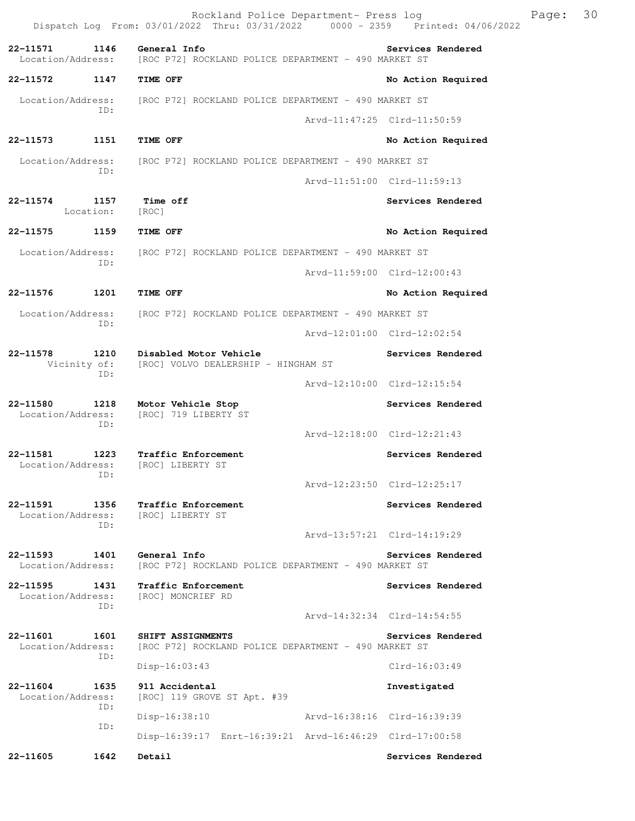**22-11572 1147 TIME OFF No Action Required**  Location/Address: [ROC P72] ROCKLAND POLICE DEPARTMENT - 490 MARKET ST ID:

22-11573 1151 TIME OFF **No Action Required**  Location/Address: [ROC P72] ROCKLAND POLICE DEPARTMENT - 490 MARKET ST ID:

**22-11574 1157 Time off Services Rendered**  Location: [ROC]

**22-11575 1159 TIME OFF No Action Required**  Location/Address: [ROC P72] ROCKLAND POLICE DEPARTMENT - 490 MARKET ST ID:

Arvd-11:59:00 Clrd-12:00:43

Arvd-12:18:00 Clrd-12:21:43

Arvd-12:23:50 Clrd-12:25:17

Arvd-13:57:21 Clrd-14:19:29

Arvd-11:47:25 Clrd-11:50:59

Arvd-11:51:00 Clrd-11:59:13

**22-11576 1201 TIME OFF No Action Required**  Location/Address: [ROC P72] ROCKLAND POLICE DEPARTMENT - 490 MARKET ST

> ID: Arvd-12:01:00 Clrd-12:02:54

**22-11578 1210 Disabled Motor Vehicle Services Rendered** Vicinity of: [ROC] VOLVO DEALERSHIP - HINGHAM ST [ROC] VOLVO DEALERSHIP - HINGHAM ST ID: Arvd-12:10:00 Clrd-12:15:54

**22-11580 1218 Motor Vehicle Stop Services Rendered**  [ROC] 719 LIBERTY ST ID:

**22-11581 1223 Traffic Enforcement Services Rendered**  Location/Address: [ROC] LIBERTY ST ID:

**22-11591 1356 Traffic Enforcement Services Rendered** Location/Address: [ROC] LIBERTY ST Location/Address: ID:

**22-11593 1401 General Info Services Rendered**  Location/Address: [ROC P72] ROCKLAND POLICE DEPARTMENT - 490 MARKET ST

**22-11595 1431 Traffic Enforcement Services Rendered**  Location/Address: [ROC] MONCRIEF RD ID:

 Arvd-14:32:34 Clrd-14:54:55 **22-11601 1601 SHIFT ASSIGNMENTS Services Rendered**  [ROC P72] ROCKLAND POLICE DEPARTMENT - 490 MARKET ST

 ID: Disp-16:03:43 Clrd-16:03:49

**22-11604 1635 911 Accidental Investigated**  Location/Address: [ROC] 119 GROVE ST Apt. #39 ID: Disp-16:38:10 Arvd-16:38:16 Clrd-16:39:39 ID: Disp-16:39:17 Enrt-16:39:21 Arvd-16:46:29 Clrd-17:00:58

**22-11605 1642 Detail Services Rendered**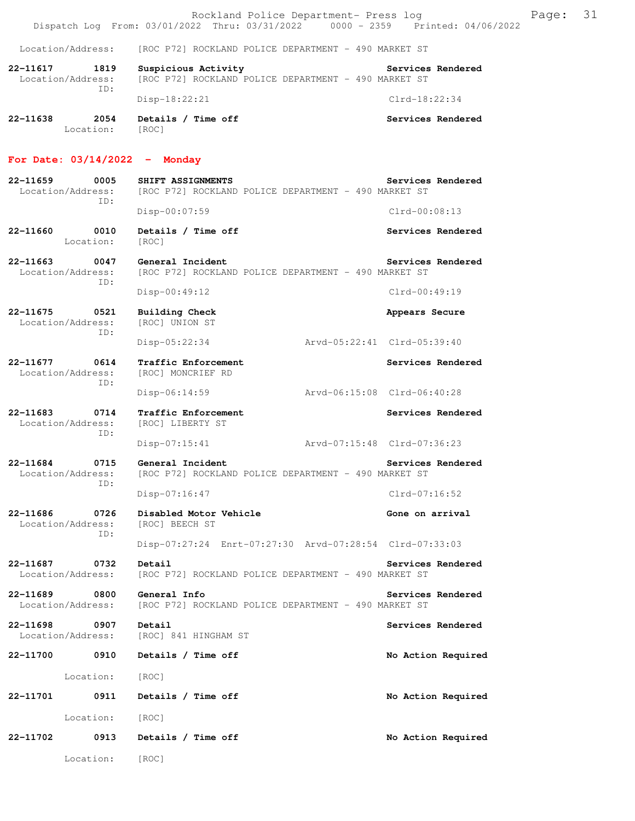|                                              | Rockland Police Department- Press log<br>Dispatch Log From: 03/01/2022 Thru: 03/31/2022 0000 - 2359 Printed: 04/06/2022 | 31<br>Page:                 |
|----------------------------------------------|-------------------------------------------------------------------------------------------------------------------------|-----------------------------|
| Location/Address:                            | [ROC P72] ROCKLAND POLICE DEPARTMENT - 490 MARKET ST                                                                    |                             |
| 22-11617<br>1819<br>Location/Address:<br>ID: | Suspicious Activity<br>[ROC P72] ROCKLAND POLICE DEPARTMENT - 490 MARKET ST                                             | <b>Services Rendered</b>    |
|                                              | Disp-18:22:21                                                                                                           | $Clrd-18:22:34$             |
| 22-11638<br>2054<br>Location: [ROC]          | Details / Time off                                                                                                      | Services Rendered           |
| For Date: $03/14/2022 -$ Monday              |                                                                                                                         |                             |
| 22-11659<br>0005<br>Location/Address:<br>ID: | SHIFT ASSIGNMENTS<br>[ROC P72] ROCKLAND POLICE DEPARTMENT - 490 MARKET ST                                               | Services Rendered           |
|                                              | Disp-00:07:59                                                                                                           | $Clrd-00:08:13$             |
| 22-11660<br>0010<br>Location:                | Details / Time off<br>[ROC]                                                                                             | Services Rendered           |
| 22-11663<br>0047<br>Location/Address:<br>ID: | General Incident<br>[ROC P72] ROCKLAND POLICE DEPARTMENT - 490 MARKET ST                                                | Services Rendered           |
|                                              | $Disp-00:49:12$                                                                                                         | Clrd-00:49:19               |
| 22-11675<br>0521<br>Location/Address:<br>ID: | Building Check<br>[ROC] UNION ST                                                                                        | Appears Secure              |
|                                              | Disp-05:22:34                                                                                                           | Arvd-05:22:41 Clrd-05:39:40 |
| 22-11677 0614<br>Location/Address:<br>ID:    | Traffic Enforcement<br>[ROC] MONCRIEF RD                                                                                | Services Rendered           |
|                                              | Disp-06:14:59                                                                                                           | Arvd-06:15:08 Clrd-06:40:28 |
| 22-11683<br>0714<br>Location/Address:<br>ID: | Traffic Enforcement<br>[ROC] LIBERTY ST                                                                                 | Services Rendered           |
|                                              | Disp-07:15:41                                                                                                           | Arvd-07:15:48 Clrd-07:36:23 |
| 0715<br>22-11684<br>ID:                      | General Incident<br>Location/Address: [ROC P72] ROCKLAND POLICE DEPARTMENT - 490 MARKET ST                              | Services Rendered           |
|                                              | $Disp-07:16:47$                                                                                                         | $Clrd-07:16:52$             |
| 22-11686<br>0726<br>Location/Address:<br>ID: | Disabled Motor Vehicle<br>[ROC] BEECH ST                                                                                | Gone on arrival             |
|                                              | Disp-07:27:24 Enrt-07:27:30 Arvd-07:28:54 Clrd-07:33:03                                                                 |                             |
| 22-11687<br>0732<br>Location/Address:        | Detail<br>[ROC P72] ROCKLAND POLICE DEPARTMENT - 490 MARKET ST                                                          | Services Rendered           |
| 22-11689<br>0800<br>Location/Address:        | General Info<br>[ROC P72] ROCKLAND POLICE DEPARTMENT - 490 MARKET ST                                                    | Services Rendered           |
| 22-11698<br>0907<br>Location/Address:        | Detail<br>[ROC] 841 HINGHAM ST                                                                                          | Services Rendered           |
| 22-11700 0910                                | Details / Time off                                                                                                      | No Action Required          |
| Location:                                    | [ROC]                                                                                                                   |                             |
| 0911<br>22-11701                             | Details / Time off                                                                                                      | No Action Required          |
| Location:                                    | [ROC]                                                                                                                   |                             |
| 22-11702<br>0913                             | Details / Time off                                                                                                      | No Action Required          |
| Location:                                    | [ROC]                                                                                                                   |                             |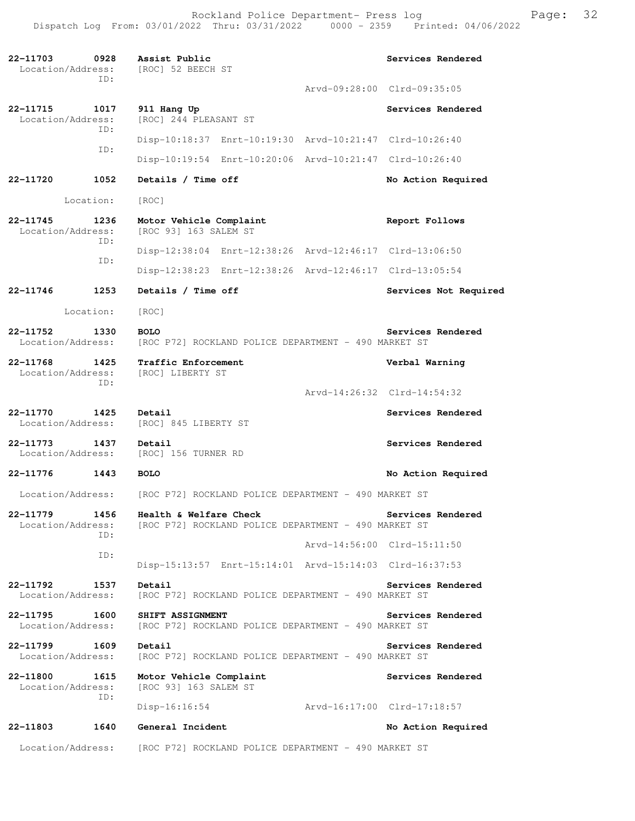**22-11703 0928 Assist Public Services Rendered**  Location/Address: ID: Arvd-09:28:00 Clrd-09:35:05 **22-11715 1017 911 Hang Up Services Rendered Services Rendered Integral Control Control** Constant ST Location/Address: [ROC] 244 PLEASANT ST ID: Disp-10:18:37 Enrt-10:19:30 Arvd-10:21:47 Clrd-10:26:40 ID: Disp-10:19:54 Enrt-10:20:06 Arvd-10:21:47 Clrd-10:26:40 **22-11720 1052 Details / Time off No Action Required**  Location: [ROC] **22-11745 1236 Motor Vehicle Complaint Report Follows**  Location/Address: [ROC 93] 163 SALEM ST ID: Disp-12:38:04 Enrt-12:38:26 Arvd-12:46:17 Clrd-13:06:50 ID: Disp-12:38:23 Enrt-12:38:26 Arvd-12:46:17 Clrd-13:05:54 **22-11746 1253 Details / Time off Services Not Required**  Location: [ROC] **22-11752 1330 BOLO Services Rendered**  Location/Address: [ROC P72] ROCKLAND POLICE DEPARTMENT - 490 MARKET ST **22-11768 1425 Traffic Enforcement Verbal Warning**  Location/Address: [ROC] LIBERTY ST ID: Arvd-14:26:32 Clrd-14:54:32 **22-11770** 1425 Detail Services Rendered Location/Address: [ROC] 845 LIBERTY ST **22-11773 1437 Detail Services Rendered**  Location/Address: [ROC] 156 TURNER RD **22-11776 1443 BOLO No Action Required**  Location/Address: [ROC P72] ROCKLAND POLICE DEPARTMENT - 490 MARKET ST **22-11779 1456 Health & Welfare Check Services Rendered**  Location/Address: [ROC P72] ROCKLAND POLICE DEPARTMENT - 490 MARKET ST ID: Arvd-14:56:00 Clrd-15:11:50 ID: Disp-15:13:57 Enrt-15:14:01 Arvd-15:14:03 Clrd-16:37:53 **22-11792** 1537 Detail Services Rendered Location/Address: [ROC P72] ROCKLAND POLICE DEPARTMENT - 490 MARKET ST **22-11795 1600 SHIFT ASSIGNMENT Services Rendered**  Location/Address: [ROC P72] ROCKLAND POLICE DEPARTMENT - 490 MARKET ST **22-11799 1609 Detail Services Rendered 1609 Detail Services Rendered Location/Address:** [ROC P72] ROCKLAND POLICE DEPARTMENT - 490 MARKET ST [ROC P72] ROCKLAND POLICE DEPARTMENT - 490 MARKET ST **22-11800 1615 Motor Vehicle Complaint Services Rendered**  Location/Address: [ROC 93] 163 SALEM ST ID: Disp-16:16:54 Arvd-16:17:00 Clrd-17:18:57 **22-11803 1640 General Incident No Action Required**  Location/Address: [ROC P72] ROCKLAND POLICE DEPARTMENT - 490 MARKET ST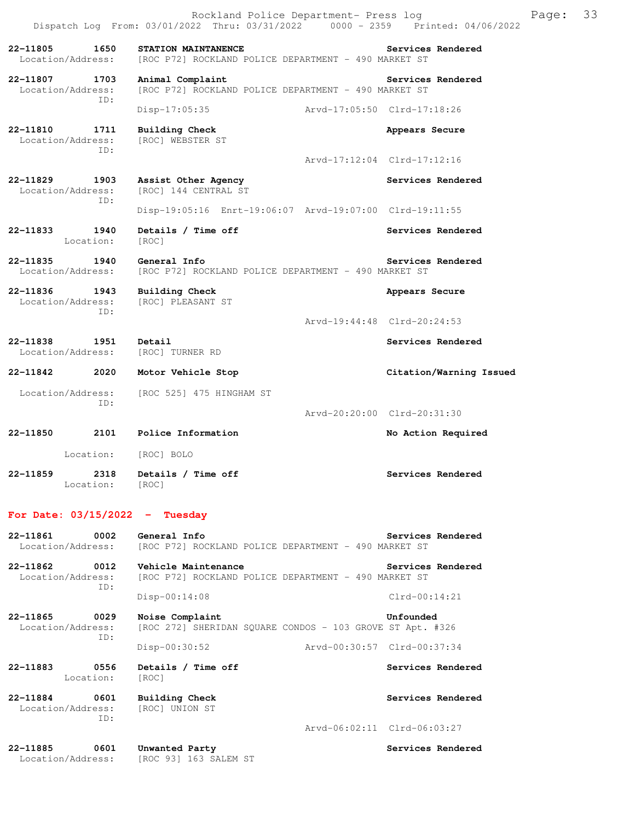Rockland Police Department- Press log Franch Page: 33 Dispatch Log From: 03/01/2022 Thru: 03/31/2022 0000 - 2359 Printed: 04/06/2022 **22-11805 1650 STATION MAINTANENCE Services Rendered**  Location/Address: [ROC P72] ROCKLAND POLICE DEPARTMENT - 490 MARKET ST **22-11807 1703 Animal Complaint Services Rendered**  Location/Address: [ROC P72] ROCKLAND POLICE DEPARTMENT - 490 MARKET ST ID: Disp-17:05:35 Arvd-17:05:50 Clrd-17:18:26 **22-11810 1711 Building Check Appears Secure**  Location/Address: [ROC] WEBSTER ST ID: Arvd-17:12:04 Clrd-17:12:16 **22-11829 1903 Assist Other Agency Services Rendered**  Location/Address: [ROC] 144 CENTRAL ST ID: Disp-19:05:16 Enrt-19:06:07 Arvd-19:07:00 Clrd-19:11:55 22-11833 1940 Details / Time off Services Rendered Location: [ROC] **22-11835 1940 General Info Services Rendered**  Location/Address: [ROC P72] ROCKLAND POLICE DEPARTMENT - 490 MARKET ST **22-11836 1943 Building Check Appears Secure** Appears Secure Location/Address: [ROC] PLEASANT ST [ROC] PLEASANT ST ID: Arvd-19:44:48 Clrd-20:24:53 **22-11838 1951 Detail Services Rendered**  Location/Address: [ROC] TURNER RD **22-11842 2020 Motor Vehicle Stop Citation/Warning Issued**  Location/Address: [ROC 525] 475 HINGHAM ST ID: Arvd-20:20:00 Clrd-20:31:30 **22-11850 2101 Police Information No Action Required**  Location: [ROC] BOLO **22-11859 2318 Details / Time off Services Rendered**  Location: [ROC] **For Date: 03/15/2022 - Tuesday**

**22-11861** 0002 General Info<br>
Location/Address: [ROC P72] ROCKLAND POLICE DEPARTMENT - 490 MARKET ST [ROC P72] ROCKLAND POLICE DEPARTMENT - 490 MARKET ST **22-11862 0012 Vehicle Maintenance Services Rendered**  Location/Address: [ROC P72] ROCKLAND POLICE DEPARTMENT - 490 MARKET ST ID: Disp-00:14:08 Clrd-00:14:21 **22-11865 0029 Noise Complaint Unfounded**  Location/Address: [ROC 272] SHERIDAN SQUARE CONDOS - 103 GROVE ST Apt. #326 ID: Disp-00:30:52 Arvd-00:30:57 Clrd-00:37:34 22-11883 **0556** Details / Time off **Services Rendered Services** Rendered Location: [ROC] **22-11884 0601 Building Check Services Rendered**  Location/Address: [ROC] UNION ST ID: Arvd-06:02:11 Clrd-06:03:27 **22-11885 0601 Unwanted Party Services Rendered**  Location/Address: [ROC 93] 163 SALEM ST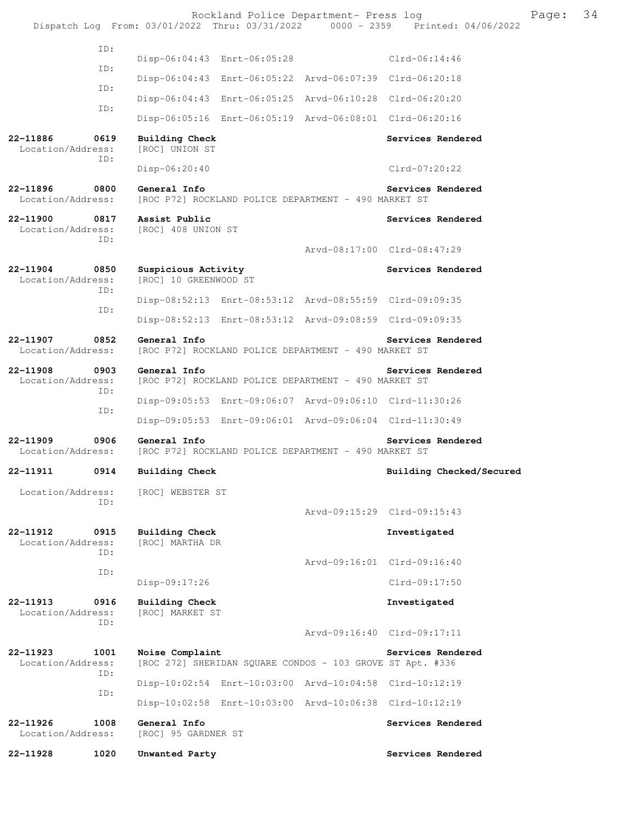|                                   |             |                                                                              | Rockland Police Department- Press log | Dispatch Log From: 03/01/2022 Thru: 03/31/2022 0000 - 2359 Printed: 04/06/2022 | Page: | 34 |
|-----------------------------------|-------------|------------------------------------------------------------------------------|---------------------------------------|--------------------------------------------------------------------------------|-------|----|
|                                   | ID:         | Disp-06:04:43 Enrt-06:05:28                                                  |                                       | Clrd-06:14:46                                                                  |       |    |
|                                   | ID:         | Disp-06:04:43 Enrt-06:05:22 Arvd-06:07:39 Clrd-06:20:18                      |                                       |                                                                                |       |    |
|                                   | ID:         | Disp-06:04:43 Enrt-06:05:25 Arvd-06:10:28 Clrd-06:20:20                      |                                       |                                                                                |       |    |
|                                   | ID:         | Disp-06:05:16 Enrt-06:05:19 Arvd-06:08:01 Clrd-06:20:16                      |                                       |                                                                                |       |    |
| 22-11886<br>Location/Address:     | 0619        | <b>Building Check</b><br>[ROC] UNION ST                                      |                                       | Services Rendered                                                              |       |    |
|                                   | ID:         | Disp-06:20:40                                                                |                                       | $Clrd-07:20:22$                                                                |       |    |
| 22-11896<br>Location/Address:     | 0800        | General Info<br>[ROC P72] ROCKLAND POLICE DEPARTMENT - 490 MARKET ST         |                                       | Services Rendered                                                              |       |    |
| 22-11900<br>Location/Address:     | 0817        | Assist Public<br>[ROC] 408 UNION ST                                          |                                       | Services Rendered                                                              |       |    |
|                                   | ID:         |                                                                              |                                       | Arvd-08:17:00 Clrd-08:47:29                                                    |       |    |
| 22-11904<br>Location/Address:     | 0850<br>ID: | Suspicious Activity<br>[ROC] 10 GREENWOOD ST                                 |                                       | Services Rendered                                                              |       |    |
|                                   |             | Disp-08:52:13 Enrt-08:53:12 Arvd-08:55:59 Clrd-09:09:35                      |                                       |                                                                                |       |    |
|                                   | ID:         | Disp-08:52:13 Enrt-08:53:12 Arvd-09:08:59 Clrd-09:09:35                      |                                       |                                                                                |       |    |
| 22-11907<br>Location/Address:     | 0852        | General Info<br>[ROC P72] ROCKLAND POLICE DEPARTMENT - 490 MARKET ST         |                                       | Services Rendered                                                              |       |    |
| 22-11908<br>Location/Address:     | 0903<br>ID: | General Info<br>[ROC P72] ROCKLAND POLICE DEPARTMENT - 490 MARKET ST         |                                       | Services Rendered                                                              |       |    |
|                                   | ID:         | Disp-09:05:53 Enrt-09:06:07 Arvd-09:06:10 Clrd-11:30:26                      |                                       |                                                                                |       |    |
|                                   |             | Disp-09:05:53 Enrt-09:06:01 Arvd-09:06:04 Clrd-11:30:49                      |                                       |                                                                                |       |    |
| $22 - 11909$<br>Location/Address: | 0906        | General Info<br>[ROC P72] ROCKLAND POLICE DEPARTMENT - 490 MARKET ST         |                                       | Services Rendered                                                              |       |    |
| 22-11911                          | 0914        | <b>Building Check</b>                                                        |                                       | Building Checked/Secured                                                       |       |    |
| Location/Address:                 |             | [ROC] WEBSTER ST                                                             |                                       |                                                                                |       |    |
|                                   | ID:         |                                                                              |                                       | Arvd-09:15:29 Clrd-09:15:43                                                    |       |    |
| 22-11912<br>Location/Address:     | 0915        | <b>Building Check</b><br>[ROC] MARTHA DR                                     |                                       | Investigated                                                                   |       |    |
|                                   | ID:         |                                                                              |                                       | Arvd-09:16:01 Clrd-09:16:40                                                    |       |    |
|                                   | ID:         | Disp-09:17:26                                                                |                                       | Clrd-09:17:50                                                                  |       |    |
| 22-11913<br>Location/Address:     | 0916        | <b>Building Check</b><br>[ROC] MARKET ST                                     |                                       | Investigated                                                                   |       |    |
|                                   | ID:         |                                                                              |                                       | Arvd-09:16:40 Clrd-09:17:11                                                    |       |    |
| 22-11923<br>Location/Address:     | 1001        | Noise Complaint<br>[ROC 272] SHERIDAN SQUARE CONDOS - 103 GROVE ST Apt. #336 |                                       | Services Rendered                                                              |       |    |
|                                   | ID:         | Disp-10:02:54 Enrt-10:03:00 Arvd-10:04:58 Clrd-10:12:19                      |                                       |                                                                                |       |    |
|                                   | ID:         | Disp-10:02:58 Enrt-10:03:00 Arvd-10:06:38 Clrd-10:12:19                      |                                       |                                                                                |       |    |
| 22-11926<br>Location/Address:     | 1008        | General Info<br>[ROC] 95 GARDNER ST                                          |                                       | Services Rendered                                                              |       |    |
| 22-11928                          | 1020        | Unwanted Party                                                               |                                       | Services Rendered                                                              |       |    |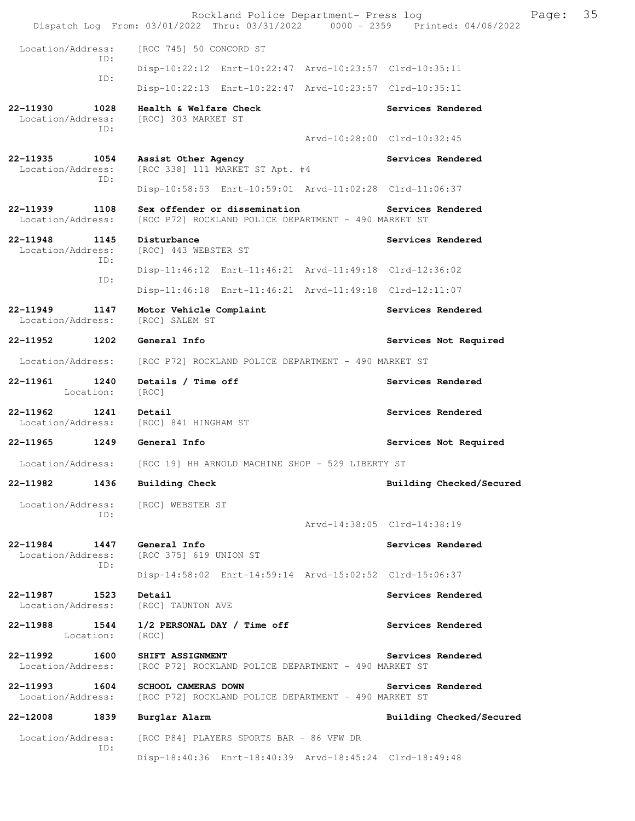|                                              | Rockland Police Department- Press log<br>Dispatch Log From: 03/01/2022 Thru: 03/31/2022 0000 - 2359 Printed: 04/06/2022 |                             |                          | Page: | 35 |  |
|----------------------------------------------|-------------------------------------------------------------------------------------------------------------------------|-----------------------------|--------------------------|-------|----|--|
| Location/Address:                            | [ROC 745] 50 CONCORD ST                                                                                                 |                             |                          |       |    |  |
| ID:                                          | Disp-10:22:12 Enrt-10:22:47 Arvd-10:23:57 Clrd-10:35:11                                                                 |                             |                          |       |    |  |
| ID:                                          | Disp-10:22:13 Enrt-10:22:47 Arvd-10:23:57 Clrd-10:35:11                                                                 |                             |                          |       |    |  |
| 22-11930<br>1028<br>Location/Address:<br>ID: | Health & Welfare Check<br>[ROC] 303 MARKET ST                                                                           | Arvd-10:28:00 Clrd-10:32:45 | Services Rendered        |       |    |  |
| 22-11935<br>1054<br>Location/Address:        | Assist Other Agency<br>[ROC 338] 111 MARKET ST Apt. #4                                                                  |                             | Services Rendered        |       |    |  |
| ID:                                          | Disp-10:58:53 Enrt-10:59:01 Arvd-11:02:28 Clrd-11:06:37                                                                 |                             |                          |       |    |  |
| 22-11939<br>1108<br>Location/Address:        | Sex offender or dissemination<br>[ROC P72] ROCKLAND POLICE DEPARTMENT - 490 MARKET ST                                   |                             | <b>Services Rendered</b> |       |    |  |
| 22-11948<br>1145<br>Location/Address:        | Disturbance<br>[ROC] 443 WEBSTER ST                                                                                     |                             | Services Rendered        |       |    |  |
| ID:                                          | Disp-11:46:12 Enrt-11:46:21 Arvd-11:49:18 Clrd-12:36:02                                                                 |                             |                          |       |    |  |
| ID:                                          | Disp-11:46:18 Enrt-11:46:21 Arvd-11:49:18 Clrd-12:11:07                                                                 |                             |                          |       |    |  |
| 22-11949<br>1147<br>Location/Address:        | Motor Vehicle Complaint<br>[ROC] SALEM ST                                                                               |                             | Services Rendered        |       |    |  |
| 1202<br>22-11952                             | General Info                                                                                                            |                             | Services Not Required    |       |    |  |
| Location/Address:                            | [ROC P72] ROCKLAND POLICE DEPARTMENT - 490 MARKET ST                                                                    |                             |                          |       |    |  |
| 1240<br>22-11961<br>Location:                | Details / Time off<br>[ROC]                                                                                             |                             | Services Rendered        |       |    |  |
| 22-11962<br>1241<br>Location/Address:        | Detail<br>[ROC] 841 HINGHAM ST                                                                                          |                             | Services Rendered        |       |    |  |
| 22-11965 1249                                | General Info                                                                                                            |                             | Services Not Required    |       |    |  |
| Location/Address:                            | [ROC 19] HH ARNOLD MACHINE SHOP - 529 LIBERTY ST                                                                        |                             |                          |       |    |  |
| 22-11982<br>1436                             | <b>Building Check</b>                                                                                                   |                             | Building Checked/Secured |       |    |  |
| Location/Address: [ROC] WEBSTER ST<br>ID:    |                                                                                                                         |                             |                          |       |    |  |
|                                              |                                                                                                                         | Arvd-14:38:05 Clrd-14:38:19 |                          |       |    |  |
| 22-11984 1447<br>Location/Address:<br>ID:    | General Info<br>[ROC 375] 619 UNION ST                                                                                  |                             | Services Rendered        |       |    |  |
|                                              | Disp-14:58:02 Enrt-14:59:14 Arvd-15:02:52 Clrd-15:06:37                                                                 |                             |                          |       |    |  |
| 22-11987 1523<br>Location/Address:           | Detail<br>[ROC] TAUNTON AVE                                                                                             |                             | Services Rendered        |       |    |  |
| 1544<br>22-11988<br>Location:                | 1/2 PERSONAL DAY / Time off<br>[ROC]                                                                                    |                             | Services Rendered        |       |    |  |
| 22-11992<br>1600<br>Location/Address:        | SHIFT ASSIGNMENT<br>[ROC P72] ROCKLAND POLICE DEPARTMENT - 490 MARKET ST                                                |                             | Services Rendered        |       |    |  |
| 22-11993<br>1604<br>Location/Address:        | <b>SCHOOL CAMERAS DOWN</b><br>[ROC P72] ROCKLAND POLICE DEPARTMENT - 490 MARKET ST                                      |                             | Services Rendered        |       |    |  |
| 1839<br>22-12008                             | Burglar Alarm                                                                                                           |                             | Building Checked/Secured |       |    |  |
| Location/Address:<br>ID:                     | [ROC P84] PLAYERS SPORTS BAR - 86 VFW DR                                                                                |                             |                          |       |    |  |
|                                              | Disp-18:40:36 Enrt-18:40:39 Arvd-18:45:24 Clrd-18:49:48                                                                 |                             |                          |       |    |  |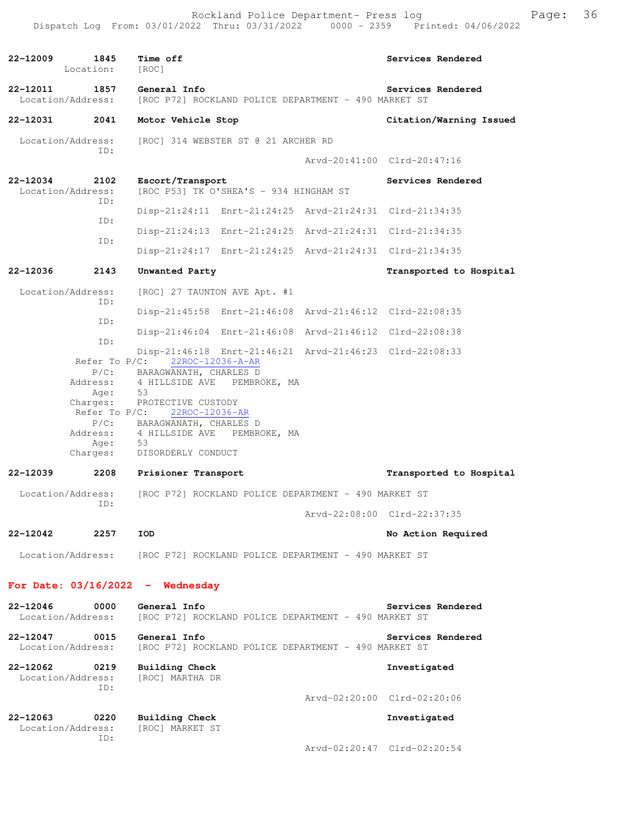| 22-12009                                  | 1845<br>Location:                                                                                  | Time off<br>[ROC]                                                                                                                                                                                                                                                                                                                                                                              |  | Services Rendered                                                            |
|-------------------------------------------|----------------------------------------------------------------------------------------------------|------------------------------------------------------------------------------------------------------------------------------------------------------------------------------------------------------------------------------------------------------------------------------------------------------------------------------------------------------------------------------------------------|--|------------------------------------------------------------------------------|
| 22-12011<br>Location/Address:             | 1857                                                                                               | General Info<br>[ROC P72] ROCKLAND POLICE DEPARTMENT - 490 MARKET ST                                                                                                                                                                                                                                                                                                                           |  | Services Rendered                                                            |
| 22-12031                                  | 2041                                                                                               | Motor Vehicle Stop                                                                                                                                                                                                                                                                                                                                                                             |  | Citation/Warning Issued                                                      |
| Location/Address:                         | ID:                                                                                                | [ROC] 314 WEBSTER ST @ 21 ARCHER RD                                                                                                                                                                                                                                                                                                                                                            |  |                                                                              |
|                                           |                                                                                                    |                                                                                                                                                                                                                                                                                                                                                                                                |  | Arvd-20:41:00 Clrd-20:47:16                                                  |
| 22-12034<br>Location/Address:             | 2102<br>ID:                                                                                        | Escort/Transport<br>[ROC P53] TK O'SHEA'S - 934 HINGHAM ST                                                                                                                                                                                                                                                                                                                                     |  | Services Rendered                                                            |
|                                           | ID:                                                                                                | Disp-21:24:11 Enrt-21:24:25 Arvd-21:24:31 Clrd-21:34:35                                                                                                                                                                                                                                                                                                                                        |  |                                                                              |
|                                           | ID:                                                                                                | Disp-21:24:13 Enrt-21:24:25 Arvd-21:24:31 Clrd-21:34:35                                                                                                                                                                                                                                                                                                                                        |  |                                                                              |
|                                           |                                                                                                    | Disp-21:24:17 Enrt-21:24:25 Arvd-21:24:31 Clrd-21:34:35                                                                                                                                                                                                                                                                                                                                        |  |                                                                              |
| $22 - 12036$                              | 2143                                                                                               | Unwanted Party                                                                                                                                                                                                                                                                                                                                                                                 |  | Transported to Hospital                                                      |
| Location/Address:                         |                                                                                                    | [ROC] 27 TAUNTON AVE Apt. #1                                                                                                                                                                                                                                                                                                                                                                   |  |                                                                              |
|                                           | ID:                                                                                                | Disp-21:45:58 Enrt-21:46:08 Arvd-21:46:12 Clrd-22:08:35                                                                                                                                                                                                                                                                                                                                        |  |                                                                              |
|                                           | ID:                                                                                                | Disp-21:46:04 Enrt-21:46:08 Arvd-21:46:12 Clrd-22:08:38                                                                                                                                                                                                                                                                                                                                        |  |                                                                              |
| 22-12039<br>Location/Address:<br>22-12042 | ID:<br>Address:<br>Age:<br>Refer To $P/C$ :<br>Address:<br>Age:<br>Charges:<br>2208<br>ID:<br>2257 | Disp-21:46:18 Enrt-21:46:21 Arvd-21:46:23 Clrd-22:08:33<br>Refer To P/C: 22ROC-12036-A-AR<br>P/C: BARAGWANATH, CHARLES D<br>4 HILLSIDE AVE PEMBROKE, MA<br>53<br>Charges: PROTECTIVE CUSTODY<br>22ROC-12036-AR<br>P/C: BARAGWANATH, CHARLES D<br>4 HILLSIDE AVE PEMBROKE, MA<br>53<br>DISORDERLY CONDUCT<br>Prisioner Transport<br>[ROC P72] ROCKLAND POLICE DEPARTMENT - 490 MARKET ST<br>IOD |  | Transported to Hospital<br>Arvd-22:08:00 Clrd-22:37:35<br>No Action Required |
| Location/Address:                         |                                                                                                    | [ROC P72] ROCKLAND POLICE DEPARTMENT - 490 MARKET ST                                                                                                                                                                                                                                                                                                                                           |  |                                                                              |
|                                           |                                                                                                    | For Date: $03/16/2022 -$ Wednesday                                                                                                                                                                                                                                                                                                                                                             |  |                                                                              |
| 22-12046<br>Location/Address:             | 0000                                                                                               | General Info<br>[ROC P72] ROCKLAND POLICE DEPARTMENT - 490 MARKET ST                                                                                                                                                                                                                                                                                                                           |  | Services Rendered                                                            |
| 22-12047<br>Location/Address:             | 0015                                                                                               | General Info<br>[ROC P72] ROCKLAND POLICE DEPARTMENT - 490 MARKET ST                                                                                                                                                                                                                                                                                                                           |  | Services Rendered                                                            |
| 22-12062<br>Location/Address:             | 0219<br>ID:                                                                                        | <b>Building Check</b><br>[ROC] MARTHA DR                                                                                                                                                                                                                                                                                                                                                       |  | Investigated<br>Arvd-02:20:00 Clrd-02:20:06                                  |
|                                           |                                                                                                    |                                                                                                                                                                                                                                                                                                                                                                                                |  |                                                                              |
| 22-12063<br>Location/Address:             | 0220                                                                                               | Building Check<br>[ROC] MARKET ST                                                                                                                                                                                                                                                                                                                                                              |  | Investigated                                                                 |
|                                           | ID:                                                                                                |                                                                                                                                                                                                                                                                                                                                                                                                |  | Arvd-02:20:47 Clrd-02:20:54                                                  |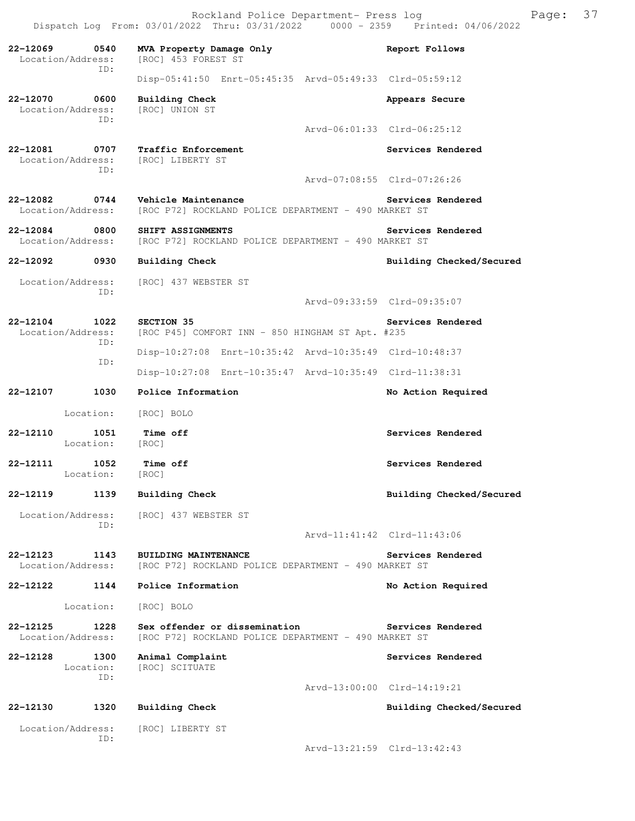Rockland Police Department- Press log Fage: 37 Dispatch Log From: 03/01/2022 Thru: 03/31/2022 0000 - 2359 Printed: 04/06/2022

**22-12069 0540 MVA Property Damage Only Report Follows**  Location/Address: [ROC] 453 FOREST ST ID: Disp-05:41:50 Enrt-05:45:35 Arvd-05:49:33 Clrd-05:59:12 **22-12070 0600 Building Check Appears Secure** Appears Secure Location/Address: [ROC] UNION ST Location/Address: ID: Arvd-06:01:33 Clrd-06:25:12 **22-12081 0707 Traffic Enforcement 122-12081 Constant Services Rendered Location/Address:** [ROC] LIBERTY ST Location/Address: ID: Arvd-07:08:55 Clrd-07:26:26 **22-12082 0744 Vehicle Maintenance Services Rendered**  Location/Address: [ROC P72] ROCKLAND POLICE DEPARTMENT - 490 MARKET ST **22-12084** 0800 SHIFT ASSIGNMENTS Services Rendered Location/Address: [ROC P72] ROCKLAND POLICE DEPARTMENT - 490 MARKET ST [ROC P72] ROCKLAND POLICE DEPARTMENT - 490 MARKET ST 22-12092 0930 Building Check **Building Checked/Secured** Location/Address: [ROC] 437 WEBSTER ST ID: Arvd-09:33:59 Clrd-09:35:07 **22-12104 1022 SECTION 35 Services Rendered**  Location/Address: [ROC P45] COMFORT INN - 850 HINGHAM ST Apt. #235 ID: Disp-10:27:08 Enrt-10:35:42 Arvd-10:35:49 Clrd-10:48:37 ID: Disp-10:27:08 Enrt-10:35:47 Arvd-10:35:49 Clrd-11:38:31 **22-12107 1030 Police Information No Action Required**  Location: [ROC] BOLO **22-12110 1051 Time off Services Rendered Services Rendered** Location: **22-12111 1052 Time off Services Rendered**  Location: [ROC] **22-12119 1139 Building Check Building Checked/Secured**  Location/Address: [ROC] 437 WEBSTER ST ID: Arvd-11:41:42 Clrd-11:43:06 **22-12123 1143 BUILDING MAINTENANCE Services Rendered**  Location/Address: [ROC P72] ROCKLAND POLICE DEPARTMENT - 490 MARKET ST **22-12122 1144 Police Information No Action Required**  Location: [ROC] BOLO **22-12125 1228 Sex offender or dissemination Services Rendered**  Location/Address: [ROC P72] ROCKLAND POLICE DEPARTMENT - 490 MARKET ST **22-12128 1300 Animal Complaint Services Rendered**  Location: [ROC] SCITUATE ID: Arvd-13:00:00 Clrd-14:19:21 **22-12130 1320 Building Check Building Checked/Secured**  Location/Address: [ROC] LIBERTY ST ID: Arvd-13:21:59 Clrd-13:42:43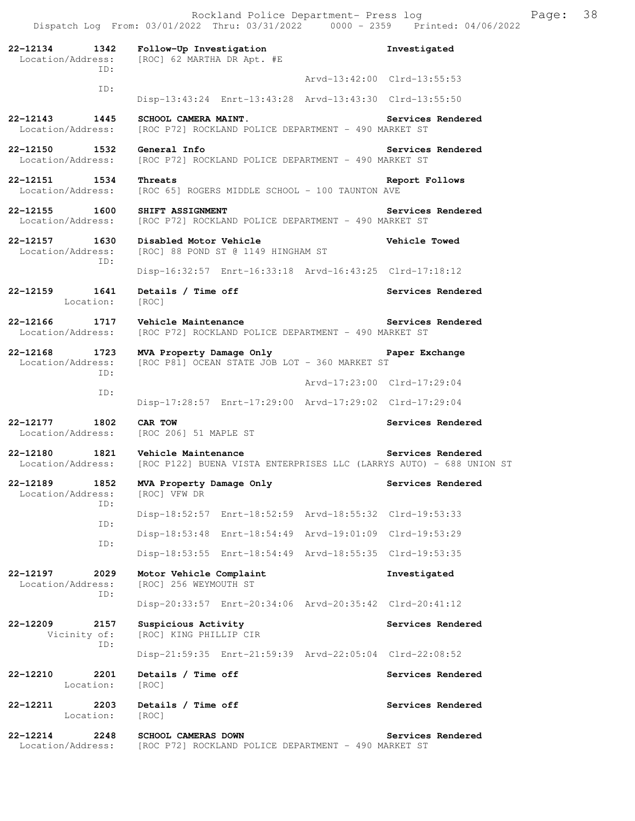**22-12134 1342 Follow-Up Investigation Investigated**  Location/Address: [ROC] 62 MARTHA DR Apt. #E ID: Arvd-13:42:00 Clrd-13:55:53 ID: Disp-13:43:24 Enrt-13:43:28 Arvd-13:43:30 Clrd-13:55:50 **22-12143 1445 SCHOOL CAMERA MAINT. Services Rendered**  Location/Address: [ROC P72] ROCKLAND POLICE DEPARTMENT - 490 MARKET ST **22-12150 1532 General Info Services Rendered**<br>Location/Address: [ROC P72] ROCKLAND POLICE DEPARTMENT - 490 MARKET ST [ROC P72] ROCKLAND POLICE DEPARTMENT - 490 MARKET ST **22-12151 1534 Threats Report Follows**  Location/Address: [ROC 65] ROGERS MIDDLE SCHOOL - 100 TAUNTON AVE **22-12155 1600 SHIFT ASSIGNMENT** POLICE DEPARTMENT - 490 MARKET ST Location/Address: [ROC P72] ROCKLAND POLICE DEPARTMENT - 490 MARKET ST [ROC P72] ROCKLAND POLICE DEPARTMENT - 490 MARKET ST **22-12157 1630 Disabled Motor Vehicle Vehicle Towed**  Location/Address: [ROC] 88 POND ST @ 1149 HINGHAM ST ID: Disp-16:32:57 Enrt-16:33:18 Arvd-16:43:25 Clrd-17:18:12 22-12159 1641 Details / Time off **Services Rendered Services** Rendered Location: [ROC] **22-12166 1717 Vehicle Maintenance Services Rendered**  Location/Address: [ROC P72] ROCKLAND POLICE DEPARTMENT - 490 MARKET ST **22-12168 1723 MVA Property Damage Only Paper Exchange**  [ROC P81] OCEAN STATE JOB LOT - 360 MARKET ST ID: Arvd-17:23:00 Clrd-17:29:04 ID: Disp-17:28:57 Enrt-17:29:00 Arvd-17:29:02 Clrd-17:29:04 **22-12177 1802 CAR TOW Services Rendered**  [ROC 206] 51 MAPLE ST **22-12180 1821 Vehicle Maintenance Services Rendered**  Location/Address: [ROC P122] BUENA VISTA ENTERPRISES LLC (LARRYS AUTO) - 688 UNION ST **22-12189 1852 MVA Property Damage Only Services Rendered**  Location/Address: [ROC] VFW DR ID: Disp-18:52:57 Enrt-18:52:59 Arvd-18:55:32 Clrd-19:53:33 ID: Disp-18:53:48 Enrt-18:54:49 Arvd-19:01:09 Clrd-19:53:29 ID: Disp-18:53:55 Enrt-18:54:49 Arvd-18:55:35 Clrd-19:53:35 **22-12197 2029 Motor Vehicle Complaint Investigated**  Location/Address: [ROC] 256 WEYMOUTH ST ID: Disp-20:33:57 Enrt-20:34:06 Arvd-20:35:42 Clrd-20:41:12 22-12209 2157 Suspicious Activity **22-12209** Services Rendered Vicinity of: [ROC] KING PHILLIP CIR ID: Disp-21:59:35 Enrt-21:59:39 Arvd-22:05:04 Clrd-22:08:52 **22-12210 2201 Details / Time off Services Rendered**  Location: [ROC] 22-12211 2203 Details / Time off **Services Rendered** Location: [ROC] **22-12214 2248 SCHOOL CAMERAS DOWN Services Rendered**  Location/Address: [ROC P72] ROCKLAND POLICE DEPARTMENT - 490 MARKET ST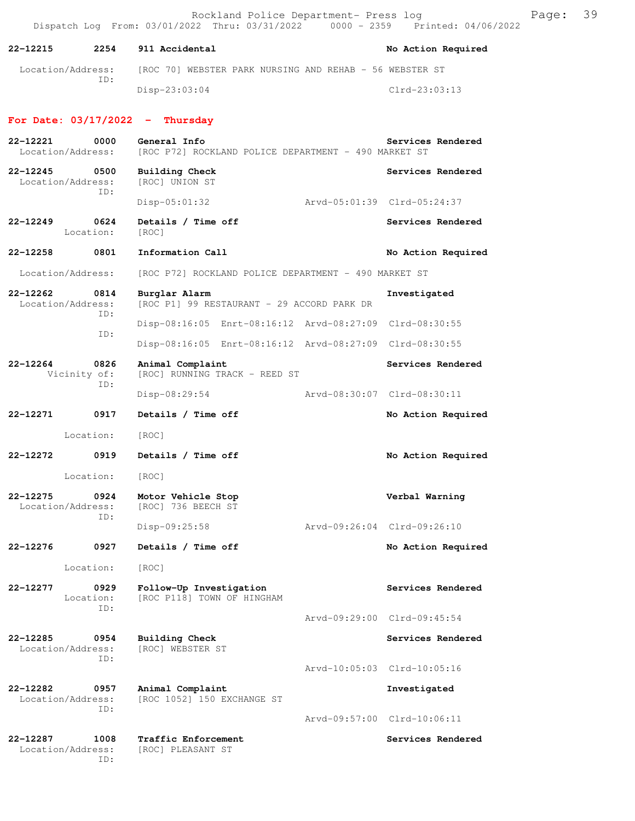Rockland Police Department- Press log Fage: 39 Dispatch Log From: 03/01/2022 Thru: 03/31/2022 0000 - 2359 Printed: 04/06/2022

**22-12215 2254 911 Accidental No Action Required**  Location/Address: [ROC 70] WEBSTER PARK NURSING AND REHAB - 56 WEBSTER ST ID: Disp-23:03:04 Clrd-23:03:13 **For Date: 03/17/2022 - Thursday 22-12221 0000 General Info Services Rendered**  Location/Address: [ROC P72] ROCKLAND POLICE DEPARTMENT - 490 MARKET ST **22-12245 0500 Building Check Services Rendered**  Location/Address: ID: Disp-05:01:32 Arvd-05:01:39 Clrd-05:24:37 **22-12249 0624 Details / Time off Services Rendered**  Location: [ROC] **22-12258 0801 Information Call No Action Required**  Location/Address: [ROC P72] ROCKLAND POLICE DEPARTMENT - 490 MARKET ST **22-12262 0814 Burglar Alarm Investigated**  Location/Address: [ROC P1] 99 RESTAURANT - 29 ACCORD PARK DR ID: Disp-08:16:05 Enrt-08:16:12 Arvd-08:27:09 Clrd-08:30:55 ID: Disp-08:16:05 Enrt-08:16:12 Arvd-08:27:09 Clrd-08:30:55 **22-12264 0826 Animal Complaint Services Rendered**  Vicinity of: [ROC] RUNNING TRACK - REED ST ID: Disp-08:29:54 Arvd-08:30:07 Clrd-08:30:11 **22-12271 0917 Details / Time off No Action Required**  Location: [ROC] **22-12272 0919 Details / Time off No Action Required**  Location: [ROC] **22-12275 0924 Motor Vehicle Stop Constrainer Stop Verbal Warning** Location/Address: [ROC] 736 BEECH ST [ROC] 736 BEECH ST ID: Disp-09:25:58 Arvd-09:26:04 Clrd-09:26:10 **22-12276 0927 Details / Time off No Action Required**  Location: [ROC] **22-12277 0929 Follow-Up Investigation Services Rendered**  Location: [ROC P118] TOWN OF HINGHAM ID: Arvd-09:29:00 Clrd-09:45:54 **22-12285 0954 Building Check Services Rendered** Services Rendered Location/Address: [ROC] WEBSTER ST Location/Address: ID: Arvd-10:05:03 Clrd-10:05:16 **22-12282 0957 Animal Complaint Investigated**  Location/Address: [ROC 1052] 150 EXCHANGE ST ID: Arvd-09:57:00 Clrd-10:06:11 22-12287 1008 Traffic Enforcement **Services Rendered** Location/Address: [ROC] PLEASANT ST

ID: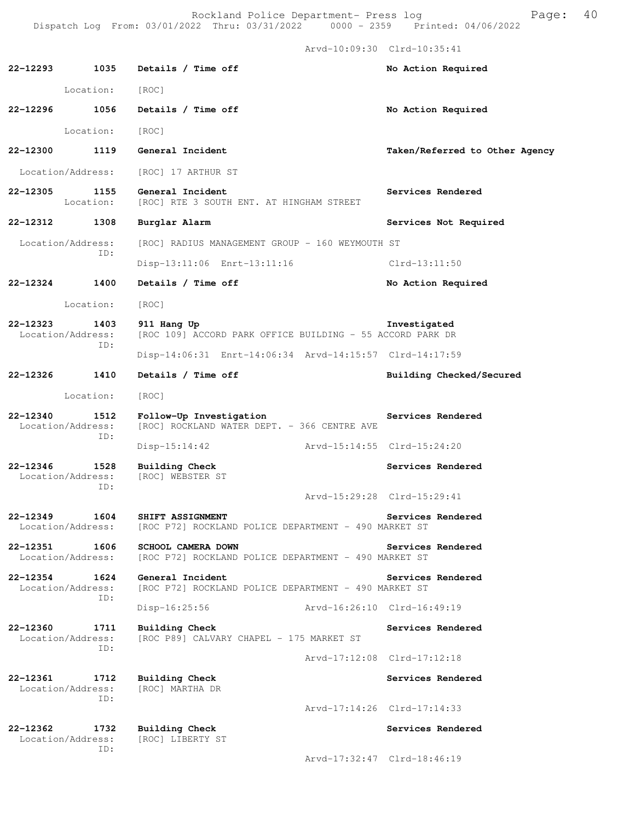Arvd-10:09:30 Clrd-10:35:41

| 22-12293     | 1035                             | Details / Time off                                                                | No Action Required             |
|--------------|----------------------------------|-----------------------------------------------------------------------------------|--------------------------------|
|              | Location:                        | [ROC]                                                                             |                                |
| 22-12296     | 1056                             | Details / Time off                                                                | No Action Required             |
|              | Location:                        | [ROC]                                                                             |                                |
| 22-12300     | 1119                             | General Incident                                                                  | Taken/Referred to Other Agency |
|              | Location/Address:                | [ROC] 17 ARTHUR ST                                                                |                                |
| 22-12305     | 1155<br>Location:                | General Incident<br>[ROC] RTE 3 SOUTH ENT. AT HINGHAM STREET                      | Services Rendered              |
| 22-12312     | 1308                             | Burglar Alarm                                                                     | Services Not Required          |
|              | Location/Address:<br>TD:         | [ROC] RADIUS MANAGEMENT GROUP - 160 WEYMOUTH ST<br>Disp-13:11:06 Enrt-13:11:16    | $Clrd-13:11:50$                |
| 22-12324     | 1400                             | Details / Time off                                                                |                                |
|              |                                  |                                                                                   | No Action Required             |
|              | Location:                        | [ROC]                                                                             |                                |
| 22-12323     | 1403<br>Location/Address:<br>ID: | 911 Hang Up<br>[ROC 109] ACCORD PARK OFFICE BUILDING - 55 ACCORD PARK DR          | Investigated                   |
|              |                                  | Disp-14:06:31 Enrt-14:06:34 Arvd-14:15:57 Clrd-14:17:59                           |                                |
| 22-12326     | 1410                             | Details / Time off                                                                | Building Checked/Secured       |
|              | Location:                        | [ROC]                                                                             |                                |
| 22-12340     | 1512<br>Location/Address:<br>ID: | Follow-Up Investigation<br>[ROC] ROCKLAND WATER DEPT. - 366 CENTRE AVE            | Services Rendered              |
|              |                                  | $Disp-15:14:42$                                                                   | Arvd-15:14:55 Clrd-15:24:20    |
| $22 - 12346$ | 1528<br>Location/Address:<br>ID: | <b>Building Check</b><br><b>IROCI WEBSTER ST</b>                                  | Services Rendered              |
|              |                                  |                                                                                   | Arvd-15:29:28 Clrd-15:29:41    |
| 22-12349     | 1604<br>Location/Address:        | SHIFT ASSIGNMENT<br>[ROC P72] ROCKLAND POLICE DEPARTMENT - 490 MARKET ST          | Services Rendered              |
| 22-12351     | 1606<br>Location/Address:        | <b>SCHOOL CAMERA DOWN</b><br>[ROC P72] ROCKLAND POLICE DEPARTMENT - 490 MARKET ST | Services Rendered              |
| 22-12354     | 1624<br>Location/Address:<br>ID: | General Incident<br>[ROC P72] ROCKLAND POLICE DEPARTMENT - 490 MARKET ST          | Services Rendered              |
|              |                                  | Aryd-16:26:10 Clrd-16:49:19<br>Disp-16:25:56                                      |                                |
| 22-12360     | 1711<br>Location/Address:<br>TD: | <b>Building Check</b><br>[ROC P89] CALVARY CHAPEL - 175 MARKET ST                 | Services Rendered              |
|              |                                  |                                                                                   | Arvd-17:12:08 Clrd-17:12:18    |
| 22-12361     | 1712<br>Location/Address:        | <b>Building Check</b><br>[ROC] MARTHA DR                                          | Services Rendered              |
|              | ID:                              |                                                                                   | Arvd-17:14:26 Clrd-17:14:33    |
| 22-12362     | 1732<br>Location/Address:<br>ID: | <b>Building Check</b><br>[ROC] LIBERTY ST                                         | Services Rendered              |
|              |                                  |                                                                                   | Arvd-17:32:47 Clrd-18:46:19    |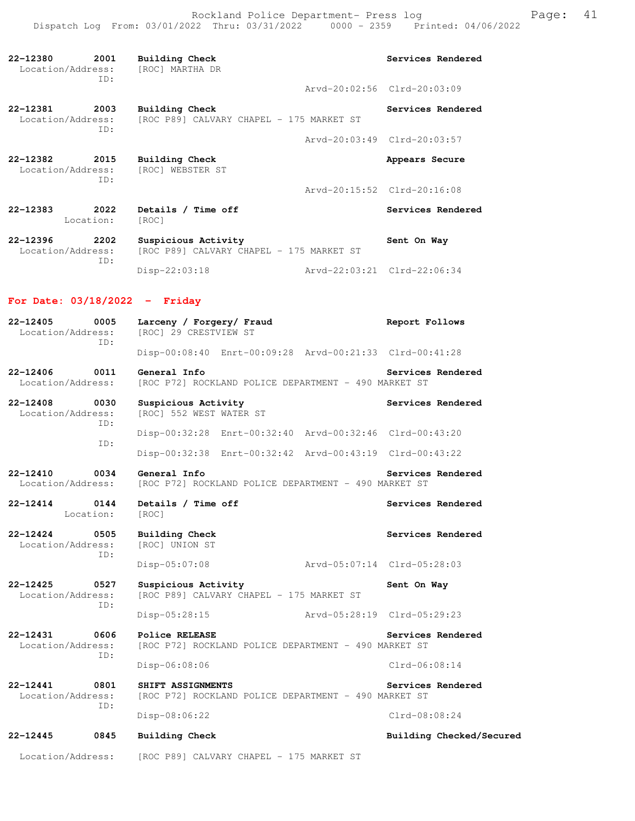Rockland Police Department- Press log entitled and Page: 41 Dispatch Log From: 03/01/2022 Thru: 03/31/2022 0000 - 2359 Printed: 04/06/2022

| 22-12380<br>2001<br>Location/Address:<br>TD: | Building Check<br>[ROC] MARTHA DR                               | Services Rendered           |
|----------------------------------------------|-----------------------------------------------------------------|-----------------------------|
|                                              |                                                                 | Arvd-20:02:56 Clrd-20:03:09 |
| 22-12381<br>2003<br>Location/Address:<br>TD: | Building Check<br>[ROC P89] CALVARY CHAPEL - 175 MARKET ST      | Services Rendered           |
|                                              |                                                                 | Arvd-20:03:49 Clrd-20:03:57 |
| 22-12382<br>2015<br>Location/Address:<br>TD: | Building Check<br>[ROC] WEBSTER ST                              | Appears Secure              |
|                                              |                                                                 | Arvd-20:15:52 Clrd-20:16:08 |
| 2022<br>22-12383<br>Location:                | Details / Time off<br>[ROC]                                     | Services Rendered           |
| 22-12396<br>2202<br>Location/Address:<br>TD: | Suspicious Activity<br>[ROC P89] CALVARY CHAPEL - 175 MARKET ST | Sent On Way                 |
|                                              | $Disp-22:03:18$                                                 | Arvd-22:03:21 Clrd-22:06:34 |

### **For Date: 03/18/2022 - Friday**

| $22 - 12405$<br>0005<br>Location/Address:<br>ID: |             | Larceny / Forgery/ Fraud<br>[ROC] 29 CRESTVIEW ST                                           | Report Follows              |  |  |  |
|--------------------------------------------------|-------------|---------------------------------------------------------------------------------------------|-----------------------------|--|--|--|
|                                                  |             | Disp-00:08:40 Enrt-00:09:28 Arvd-00:21:33 Clrd-00:41:28                                     |                             |  |  |  |
| 0011<br>22-12406<br>Location/Address:            |             | General Info<br>[ROC P72] ROCKLAND POLICE DEPARTMENT - 490 MARKET ST                        | Services Rendered           |  |  |  |
| 22-12408<br>0030<br>Location/Address:            | ID:         | Suspicious Activity<br>[ROC] 552 WEST WATER ST                                              | Services Rendered           |  |  |  |
|                                                  | ID:         | Disp-00:32:28 Enrt-00:32:40 Arvd-00:32:46 Clrd-00:43:20                                     |                             |  |  |  |
|                                                  |             | Disp-00:32:38 Enrt-00:32:42 Arvd-00:43:19 Clrd-00:43:22                                     |                             |  |  |  |
| 22-12410<br>0034<br>Location/Address:            |             | General Info<br>[ROC P72] ROCKLAND POLICE DEPARTMENT - 490 MARKET ST                        | Services Rendered           |  |  |  |
| 22-12414<br>0144<br>Location:                    |             | Details / Time off<br>[ROC]                                                                 | Services Rendered           |  |  |  |
| 0505<br>22-12424<br>Location/Address:<br>ID:     |             | <b>Building Check</b><br>[ROC] UNION ST                                                     | Services Rendered           |  |  |  |
|                                                  |             | $Disp-05:07:08$                                                                             | Arvd-05:07:14 Clrd-05:28:03 |  |  |  |
| $22 - 12425$<br>Location/Address:                | 0527<br>TD: | Suspicious Activity<br>Sent On Way<br>[ROC P89] CALVARY CHAPEL - 175 MARKET ST              |                             |  |  |  |
|                                                  |             | Disp-05:28:15                                                                               | Arvd-05:28:19 Clrd-05:29:23 |  |  |  |
| 22-12431<br>Location/Address:                    | 0606<br>ID: | Police RELEASE<br>Services Rendered<br>[ROC P72] ROCKLAND POLICE DEPARTMENT - 490 MARKET ST |                             |  |  |  |
|                                                  |             | Disp-06:08:06                                                                               | $Clrd-06:08:14$             |  |  |  |
| $22 - 12441$<br>Location/Address:                | 0801<br>ID: | SHIFT ASSIGNMENTS<br>[ROC P72] ROCKLAND POLICE DEPARTMENT - 490 MARKET ST                   | Services Rendered           |  |  |  |
|                                                  |             | Disp-08:06:22                                                                               | $Clrd-08:08:24$             |  |  |  |
| 22-12445                                         | 0845        | Building Check                                                                              | Building Checked/Secured    |  |  |  |
| Location/Address:                                |             | [ROC P89] CALVARY CHAPEL - 175 MARKET ST                                                    |                             |  |  |  |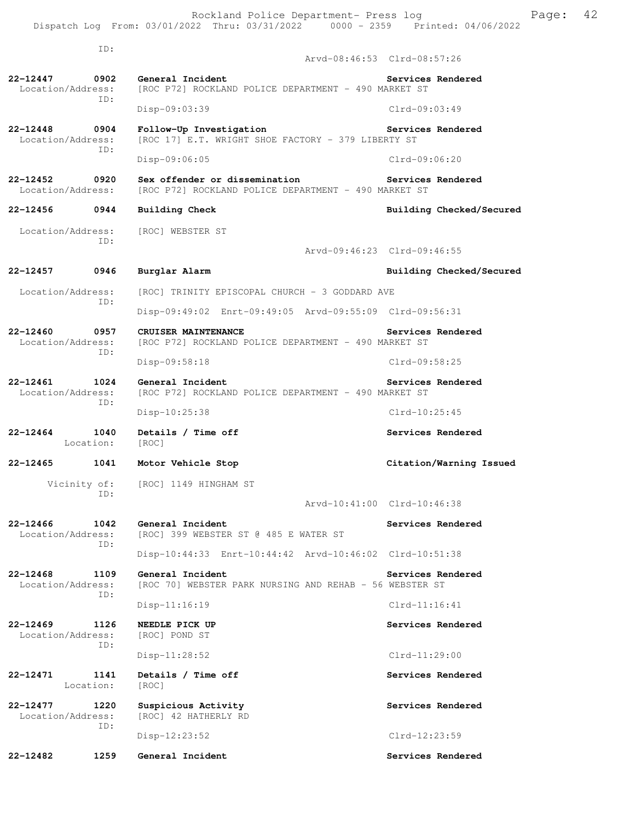ID: Arvd-08:46:53 Clrd-08:57:26 **22-12447 0902 General Incident Services Rendered**  Location/Address: [ROC P72] ROCKLAND POLICE DEPARTMENT - 490 MARKET ST ID: Disp-09:03:39 Clrd-09:03:49 **22-12448 0904 Follow-Up Investigation Services Rendered**  Location/Address: [ROC 17] E.T. WRIGHT SHOE FACTORY - 379 LIBERTY ST ID: Disp-09:06:05 Clrd-09:06:20 **22-12452 0920 Sex offender or dissemination Services Rendered**  Location/Address: [ROC P72] ROCKLAND POLICE DEPARTMENT - 490 MARKET ST **22-12456 0944 Building Check Building Checked/Secured**  Location/Address: [ROC] WEBSTER ST ID: Arvd-09:46:23 Clrd-09:46:55 **22-12457 0946 Burglar Alarm Building Checked/Secured**  Location/Address: [ROC] TRINITY EPISCOPAL CHURCH - 3 GODDARD AVE ID: Disp-09:49:02 Enrt-09:49:05 Arvd-09:55:09 Clrd-09:56:31 **22-12460 0957 CRUISER MAINTENANCE Services Rendered**  Location/Address: [ROC P72] ROCKLAND POLICE DEPARTMENT - 490 MARKET ST ID: Disp-09:58:18 Clrd-09:58:25 **22-12461 1024 General Incident Services Rendered**  Location/Address: [ROC P72] ROCKLAND POLICE DEPARTMENT - 490 MARKET ST ID: Disp-10:25:38 Clrd-10:25:45 **22-12464 1040 Details / Time off Services Rendered**  Location: [ROC] **22-12465 1041 Motor Vehicle Stop Citation/Warning Issued**  Vicinity of: [ROC] 1149 HINGHAM ST

Arvd-10:41:00 Clrd-10:46:38

- **22-12466 1042 General Incident Services Rendered**  Location/Address: [ROC] 399 WEBSTER ST @ 485 E WATER ST ID: Disp-10:44:33 Enrt-10:44:42 Arvd-10:46:02 Clrd-10:51:38
- **22-12468 1109 General Incident Services Rendered**  Location/Address: [ROC 70] WEBSTER PARK NURSING AND REHAB - 56 WEBSTER ST ID: Disp-11:16:19 Clrd-11:16:41

**22-12469 1126 NEEDLE PICK UP Services Rendered**  Location/Address: [ROC] POND ST ID: Disp-11:28:52 Clrd-11:29:00 **22-12471 1141 Details / Time off Services Rendered** 

Location: [ROC]

ID:

**22-12477 1220 Suspicious Activity Services Rendered**  Location/Address: [ROC] 42 HATHERLY RD ID: Disp-12:23:52 Clrd-12:23:59

**22-12482 1259 General Incident Services Rendered**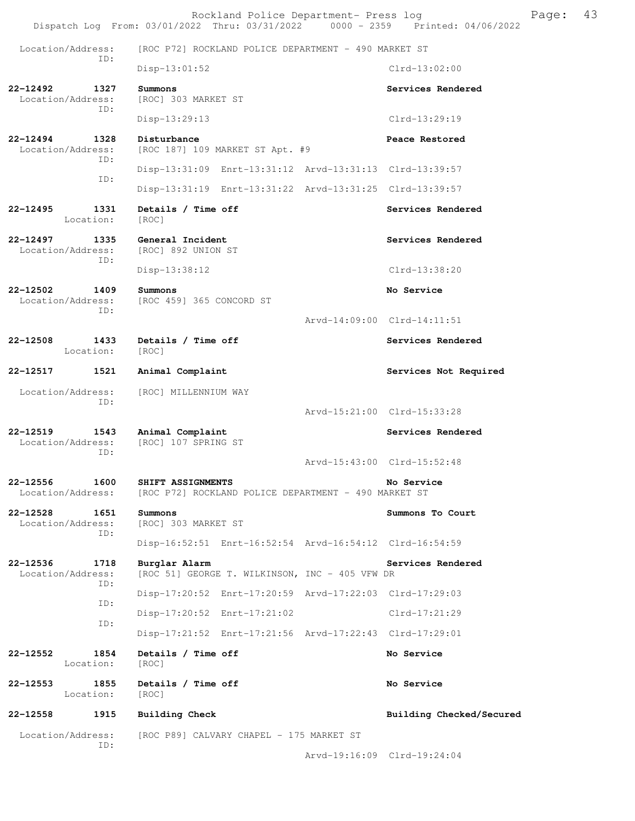Location/Address: [ROC P72] ROCKLAND POLICE DEPARTMENT - 490 MARKET ST ID: Disp-13:01:52 Clrd-13:02:00 **22-12492 1327 Summons Services Rendered**  [ROC] 303 MARKET ST ID: Disp-13:29:13 Clrd-13:29:19 **22-12494 1328 Disturbance Peace Restored**  Location/Address: [ROC 187] 109 MARKET ST Apt. #9 ID: Disp-13:31:09 Enrt-13:31:12 Arvd-13:31:13 Clrd-13:39:57 ID: Disp-13:31:19 Enrt-13:31:22 Arvd-13:31:25 Clrd-13:39:57 **22-12495 1331 Details / Time off Services Rendered**  Location: [ROC] **22-12497 1335 General Incident Services Rendered Services Rendered Services Rendered** [ROC] 892 UNION ST ID: Disp-13:38:12 Clrd-13:38:20 **22-12502 1409 Summons No Service**  Location/Address: [ROC 459] 365 CONCORD ST ID: Arvd-14:09:00 Clrd-14:11:51 **22-12508 1433 Details / Time off Services Rendered**  Location: [ROC] **22-12517 1521 Animal Complaint Services Not Required**  Location/Address: [ROC] MILLENNIUM WAY ID: Arvd-15:21:00 Clrd-15:33:28 **22-12519 1543 Animal Complaint Services Rendered**  Location/Address: [ROC] 107 SPRING ST ID: Arvd-15:43:00 Clrd-15:52:48 **22-12556 1600 SHIFT ASSIGNMENTS No Service**  Location/Address: [ROC P72] ROCKLAND POLICE DEPARTMENT - 490 MARKET ST **22-12528 1651 Summons Summons To Court**  [ROC] 303 MARKET ST ID: Disp-16:52:51 Enrt-16:52:54 Arvd-16:54:12 Clrd-16:54:59 **22-12536 1718 Burglar Alarm Services Rendered**  Location/Address: [ROC 51] GEORGE T. WILKINSON, INC - 405 VFW DR ID: Disp-17:20:52 Enrt-17:20:59 Arvd-17:22:03 Clrd-17:29:03 ID: Disp-17:20:52 Enrt-17:21:02 Clrd-17:21:29 ID: Disp-17:21:52 Enrt-17:21:56 Arvd-17:22:43 Clrd-17:29:01 **22-12552 1854 Details / Time off No Service**  Location: [ROC] **22-12553 1855 Details / Time off No Service**  Location: [ROC]

**22-12558 1915 Building Check Building Checked/Secured** 

Location/Address: [ROC P89] CALVARY CHAPEL - 175 MARKET ST ID:

Arvd-19:16:09 Clrd-19:24:04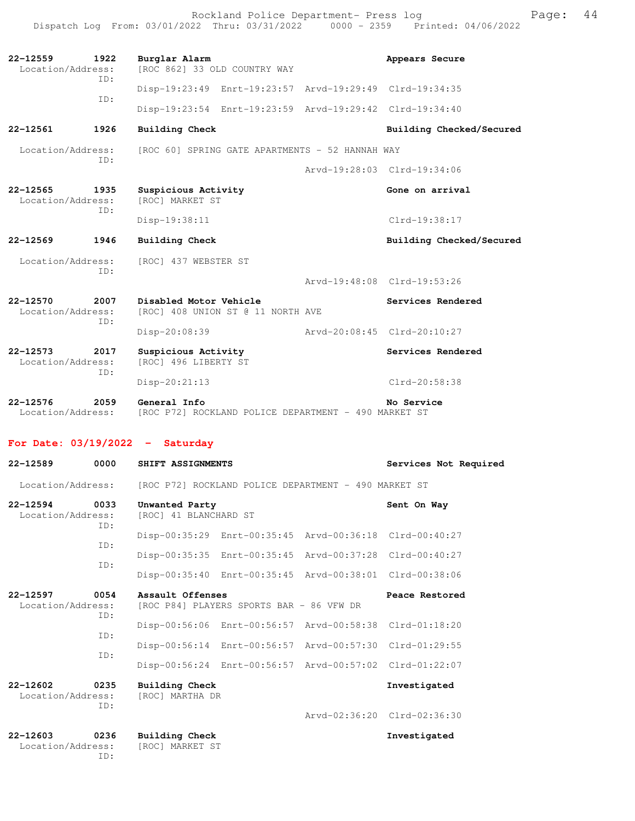Rockland Police Department- Press log Page: 44 Dispatch Log From: 03/01/2022 Thru: 03/31/2022 0000 - 2359 Printed: 04/06/2022

Disp-20:08:39 Arvd-20:08:45 Clrd-20:10:27

| 22-12559<br>1922<br>Location/Address: |            | Burglar Alarm<br>[ROC 862] 33 OLD COUNTRY WAY | Appears Secure                                          |  |  |
|---------------------------------------|------------|-----------------------------------------------|---------------------------------------------------------|--|--|
|                                       | TD:<br>TD: |                                               | Disp-19:23:49 Enrt-19:23:57 Arvd-19:29:49 Clrd-19:34:35 |  |  |
|                                       |            |                                               | Disp-19:23:54 Enrt-19:23:59 Arvd-19:29:42 Clrd-19:34:40 |  |  |

**22-12561 1926 Building Check Building Checked/Secured** 

Location/Address: [ROC 60] SPRING GATE APARTMENTS - 52 HANNAH WAY ID:

Arvd-19:28:03 Clrd-19:34:06

Arvd-19:48:08 Clrd-19:53:26

**22-12565 1935 Suspicious Activity 60ne on arrival** Location/Address: [ROC] MARKET ST Location/Address: ID: Disp-19:38:11 Clrd-19:38:17

### **22-12569 1946 Building Check Building Checked/Secured**

 Location/Address: [ROC] 437 WEBSTER ST ID:

**22-12570 2007 Disabled Motor Vehicle Services Rendered**  Location/Address: [ROC] 408 UNION ST @ 11 NORTH AVE ID:

**22-12573 2017 Suspicious Activity 6. Services Rendered Location/Address:** [ROC] 496 LIBERTY ST [ROC] 496 LIBERTY ST ID: Disp-20:21:13 Clrd-20:58:38

**22-12576 2059 General Info No Service**  Location/Address: [ROC P72] ROCKLAND POLICE DEPARTMENT - 490 MARKET ST

#### **For Date: 03/19/2022 - Saturday**

| 22-12589                          | 0000        | SHIFT ASSIGNMENTS                        |                                                         | Services Not Required       |
|-----------------------------------|-------------|------------------------------------------|---------------------------------------------------------|-----------------------------|
| Location/Address:                 |             |                                          | [ROC P72] ROCKLAND POLICE DEPARTMENT - 490 MARKET ST    |                             |
| $22 - 12594$<br>Location/Address: | 0033<br>ID: | Unwanted Party<br>[ROC] 41 BLANCHARD ST  |                                                         | Sent On Way                 |
|                                   | ID:         |                                          | Disp-00:35:29 Enrt-00:35:45 Arvd-00:36:18 Clrd-00:40:27 |                             |
|                                   | ID:         |                                          | Disp-00:35:35 Enrt-00:35:45 Arvd-00:37:28 Clrd-00:40:27 |                             |
|                                   |             |                                          | Disp-00:35:40 Enrt-00:35:45 Arvd-00:38:01 Clrd-00:38:06 |                             |
| 22-12597<br>Location/Address:     | 0054<br>ID: | Assault Offenses                         | [ROC P84] PLAYERS SPORTS BAR - 86 VFW DR                | Peace Restored              |
|                                   | ID:         |                                          | Disp-00:56:06 Enrt-00:56:57 Arvd-00:58:38 Clrd-01:18:20 |                             |
|                                   | ID:         |                                          | Disp-00:56:14 Enrt-00:56:57 Arvd-00:57:30 Clrd-01:29:55 |                             |
|                                   |             |                                          | Disp-00:56:24 Enrt-00:56:57 Arvd-00:57:02 Clrd-01:22:07 |                             |
| $22 - 12602$<br>Location/Address: | 0235<br>ID: | Building Check<br>[ROC] MARTHA DR        |                                                         | Investigated                |
|                                   |             |                                          |                                                         | Arvd-02:36:20 Clrd-02:36:30 |
| $22 - 12603$<br>Location/Address: | 0236<br>TD: | <b>Building Check</b><br>[ROC] MARKET ST |                                                         | Investigated                |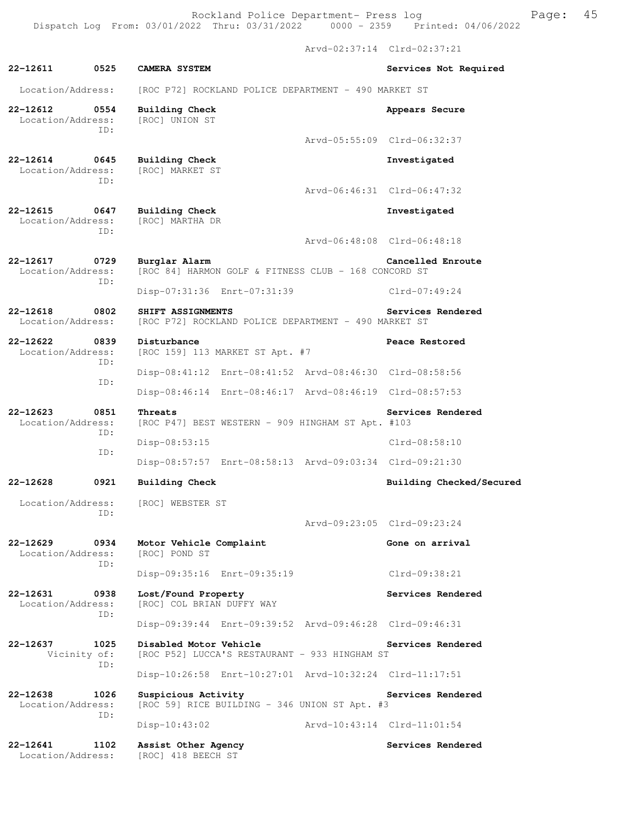Arvd-02:37:14 Clrd-02:37:21 **22-12611 0525 CAMERA SYSTEM Services Not Required**  Location/Address: [ROC P72] ROCKLAND POLICE DEPARTMENT - 490 MARKET ST **22-12612** 0554 Building Check **Appears Secure Appears Secure Appears Secure Appears** Secure Location/Address: ID: Arvd-05:55:09 Clrd-06:32:37 **22-12614 0645 Building Check Investigated**  Location/Address: ID: Arvd-06:46:31 Clrd-06:47:32 **22-12615 0647 Building Check Investigated**  Location/Address: [ROC] MARTHA DR ID: Arvd-06:48:08 Clrd-06:48:18 **22-12617 0729 Burglar Alarm Cancelled Enroute**  Location/Address: [ROC 84] HARMON GOLF & FITNESS CLUB - 168 CONCORD ST ID: Disp-07:31:36 Enrt-07:31:39 Clrd-07:49:24 **22-12618 0802 SHIFT ASSIGNMENTS Services Rendered**  Location/Address: [ROC P72] ROCKLAND POLICE DEPARTMENT - 490 MARKET ST **22-12622 0839 Disturbance Beace Restored Peace Restored Disturbance Peace Restored Peace Restored** [ROC 159] 113 MARKET ST Apt. #7 ID: Disp-08:41:12 Enrt-08:41:52 Arvd-08:46:30 Clrd-08:58:56 ID: Disp-08:46:14 Enrt-08:46:17 Arvd-08:46:19 Clrd-08:57:53 **22-12623 0851 Threats Services Rendered**<br>Location/Address: [ROC P47] BEST WESTERN - 909 HINGHAM ST Apt. #103 [ROC P47] BEST WESTERN - 909 HINGHAM ST Apt. #103 ID: Disp-08:53:15 Clrd-08:58:10 ID: Disp-08:57:57 Enrt-08:58:13 Arvd-09:03:34 Clrd-09:21:30 **22-12628 0921 Building Check Building Checked/Secured**  Location/Address: [ROC] WEBSTER ST ID: Arvd-09:23:05 Clrd-09:23:24 **22-12629 0934 Motor Vehicle Complaint 600 Gone on arrival Location/Address:** [ROC] POND ST Location/Address: ID: Disp-09:35:16 Enrt-09:35:19 Clrd-09:38:21 **22-12631 0938 Lost/Found Property Services Rendered**  Location/Address: [ROC] COL BRIAN DUFFY WAY ID: Disp-09:39:44 Enrt-09:39:52 Arvd-09:46:28 Clrd-09:46:31 **22-12637 1025 Disabled Motor Vehicle Services Rendered** Vicinity of: [ROC P52] LUCCA'S RESTAURANT - 933 HINGHAM ST [ROC P52] LUCCA'S RESTAURANT - 933 HINGHAM ST ID: Disp-10:26:58 Enrt-10:27:01 Arvd-10:32:24 Clrd-11:17:51 22-12638 1026 Suspicious Activity **122-12638** Services Rendered Location/Address: [ROC 59] RICE BUILDING - 346 UNION ST Apt. #3 ID: Disp-10:43:02 Arvd-10:43:14 Clrd-11:01:54

Location/Address: [ROC] 418 BEECH ST

**22-12641 1102 Assist Other Agency Services Rendered**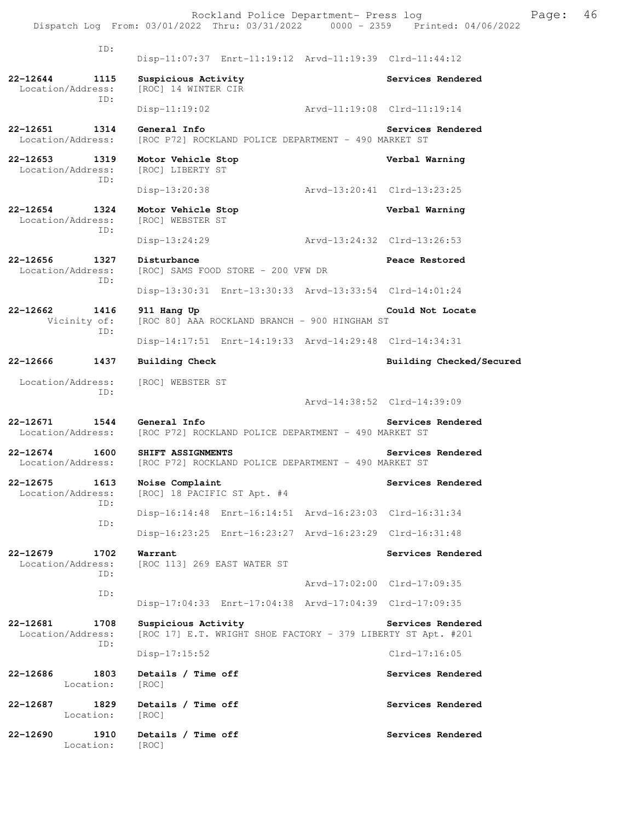ID: Disp-11:07:37 Enrt-11:19:12 Arvd-11:19:39 Clrd-11:44:12 **22-12644 1115 Suspicious Activity Services Rendered**  Location/Address: [ROC] 14 WINTER CIR ID: Disp-11:19:02 Arvd-11:19:08 Clrd-11:19:14 **22-12651 1314 General Info Services Rendered**  Location/Address: [ROC P72] ROCKLAND POLICE DEPARTMENT - 490 MARKET ST **22-12653 1319 Motor Vehicle Stop Verbal Warning**  Location/Address: ID: Disp-13:20:38 Arvd-13:20:41 Clrd-13:23:25 **22-12654 1324 Motor Vehicle Stop Verbal Warning**  Location/Address: [ROC] WEBSTER ST ID: Disp-13:24:29 Arvd-13:24:32 Clrd-13:26:53 **22-12656 1327 Disturbance Peace Restored**  Location/Address: [ROC] SAMS FOOD STORE - 200 VFW DR ID: Disp-13:30:31 Enrt-13:30:33 Arvd-13:33:54 Clrd-14:01:24 **22-12662 1416 911 Hang Up Could Not Locate**  Vicinity of: [ROC 80] AAA ROCKLAND BRANCH - 900 HINGHAM ST ID: Disp-14:17:51 Enrt-14:19:33 Arvd-14:29:48 Clrd-14:34:31 **22-12666 1437 Building Check Building Checked/Secured**  Location/Address: [ROC] WEBSTER ST ID: Arvd-14:38:52 Clrd-14:39:09 **22-12671 1544 General Info Services Rendered**<br>Location/Address: [ROC P72] ROCKLAND POLICE DEPARTMENT - 490 MARKET ST [ROC P72] ROCKLAND POLICE DEPARTMENT - 490 MARKET ST **22-12674 1600 SHIFT ASSIGNMENTS Services Rendered**  Location/Address: [ROC P72] ROCKLAND POLICE DEPARTMENT - 490 MARKET ST **22-12675 1613 Noise Complaint 1613 Services Rendered Location/Address:** [ROC] 18 PACIFIC ST Apt. #4 [ROC] 18 PACIFIC ST Apt. #4 ID: Disp-16:14:48 Enrt-16:14:51 Arvd-16:23:03 Clrd-16:31:34 ID: Disp-16:23:25 Enrt-16:23:27 Arvd-16:23:29 Clrd-16:31:48 **22-12679 1702 Warrant Services Rendered**  Location/Address: [ROC 113] 269 EAST WATER ST ID: Arvd-17:02:00 Clrd-17:09:35 ID: Disp-17:04:33 Enrt-17:04:38 Arvd-17:04:39 Clrd-17:09:35 22-12681 1708 Suspicious Activity **1708** Services Rendered Location/Address: [ROC 17] E.T. WRIGHT SHOE FACTORY - 379 LIBERTY ST Apt. #201 ID: Disp-17:15:52 Clrd-17:16:05 **22-12686 1803 Details / Time off Services Rendered**  Location: [ROC] **22-12687 1829 Details / Time off Services Rendered**  Location: [ROC] **22-12690 1910 Details / Time off Services Rendered** 

Location: [ROC]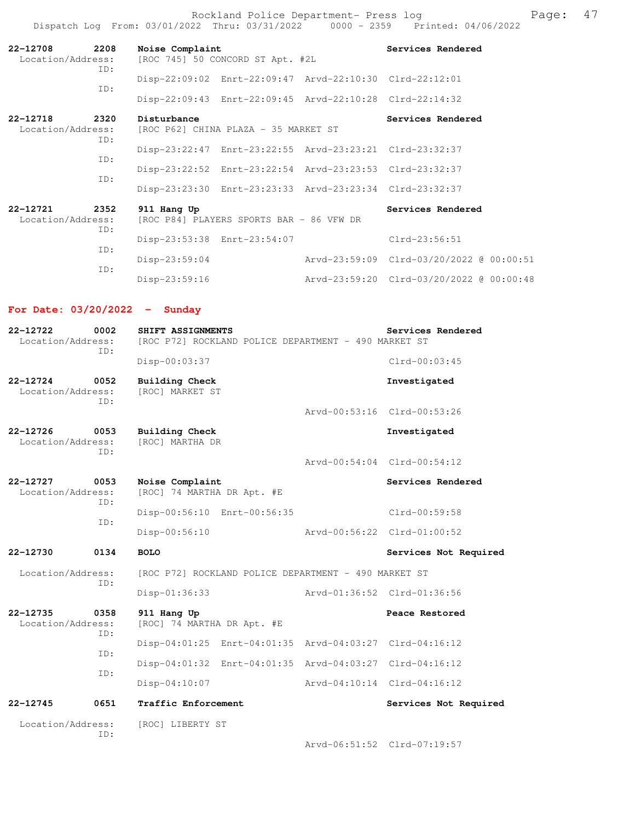Rockland Police Department- Press log entitled and Page: 47 Dispatch Log From: 03/01/2022 Thru: 03/31/2022 0000 - 2359 Printed: 04/06/2022

| 2208<br>22-12708<br>Location/Address:<br>ID: | Noise Complaint                                     | [ROC 745] 50 CONCORD ST Apt. #2L                        | Services Rendered                        |
|----------------------------------------------|-----------------------------------------------------|---------------------------------------------------------|------------------------------------------|
| ID:                                          |                                                     | Disp-22:09:02 Enrt-22:09:47 Arvd-22:10:30 Clrd-22:12:01 |                                          |
|                                              |                                                     | Disp-22:09:43 Enrt-22:09:45 Arvd-22:10:28 Clrd-22:14:32 |                                          |
| 22-12718<br>2320<br>Location/Address:        | Disturbance<br>[ROC P62] CHINA PLAZA - 35 MARKET ST |                                                         | Services Rendered                        |
| ID:<br>ID:                                   |                                                     | Disp-23:22:47 Enrt-23:22:55 Arvd-23:23:21 Clrd-23:32:37 |                                          |
| ID:                                          |                                                     | Disp-23:22:52 Enrt-23:22:54 Arvd-23:23:53 Clrd-23:32:37 |                                          |
|                                              |                                                     | Disp-23:23:30 Enrt-23:23:33 Arvd-23:23:34 Clrd-23:32:37 |                                          |
| 22-12721<br>2352<br>Location/Address:<br>ID: | 911 Hang Up                                         | [ROC P84] PLAYERS SPORTS BAR - 86 VFW DR                | Services Rendered                        |
|                                              |                                                     | Disp-23:53:38 Enrt-23:54:07                             | $Clrd-23:56:51$                          |
| ID:<br>ID:                                   | $Disp-23:59:04$                                     |                                                         | Arvd-23:59:09 Clrd-03/20/2022 @ 00:00:51 |
|                                              | $Disp-23:59:16$                                     |                                                         | Arvd-23:59:20 Clrd-03/20/2022 @ 00:00:48 |

### **For Date: 03/20/2022 - Sunday**

| 22-12722<br>Location/Address:                    | 0002<br>ID: | Services Rendered<br>SHIFT ASSIGNMENTS<br>[ROC P72] ROCKLAND POLICE DEPARTMENT - 490 MARKET ST |                                 |  |                             |  |  |
|--------------------------------------------------|-------------|------------------------------------------------------------------------------------------------|---------------------------------|--|-----------------------------|--|--|
|                                                  |             | Disp-00:03:37                                                                                  |                                 |  | $Clrd-00:03:45$             |  |  |
| $22 - 12724$<br>Location/Address:                | 0052<br>TD: | <b>Building Check</b>                                                                          | Investigated<br>[ROC] MARKET ST |  |                             |  |  |
|                                                  |             |                                                                                                |                                 |  | Arvd-00:53:16 Clrd-00:53:26 |  |  |
| $22 - 12726$<br>0053<br>Location/Address:<br>ID: |             | <b>Building Check</b><br>[ROC] MARTHA DR                                                       |                                 |  | Investigated                |  |  |
|                                                  |             |                                                                                                |                                 |  | Arvd-00:54:04 Clrd-00:54:12 |  |  |
| 22-12727<br>Location/Address:                    | 0053<br>ID: | Noise Complaint<br>[ROC] 74 MARTHA DR Apt. #E                                                  |                                 |  | Services Rendered           |  |  |
|                                                  | ID:         | Disp-00:56:10 Enrt-00:56:35                                                                    |                                 |  | Clrd-00:59:58               |  |  |
|                                                  |             | Disp-00:56:10                                                                                  |                                 |  | Arvd-00:56:22 Clrd-01:00:52 |  |  |
| 22-12730                                         | 0134        | <b>BOLO</b>                                                                                    |                                 |  | Services Not Required       |  |  |
| Location/Address:                                |             | [ROC P72] ROCKLAND POLICE DEPARTMENT - 490 MARKET ST                                           |                                 |  |                             |  |  |
|                                                  | ID:         | Disp-01:36:33<br>Arvd-01:36:52 Clrd-01:36:56                                                   |                                 |  |                             |  |  |
| 22-12735<br>Location/Address:                    | 0358<br>ID: | 911 Hang Up<br>[ROC] 74 MARTHA DR Apt. #E                                                      |                                 |  | Peace Restored              |  |  |
|                                                  | ID:         | Disp-04:01:25 Enrt-04:01:35 Arvd-04:03:27 Clrd-04:16:12                                        |                                 |  |                             |  |  |
|                                                  |             | Disp-04:01:32 Enrt-04:01:35 Arvd-04:03:27 Clrd-04:16:12                                        |                                 |  |                             |  |  |
|                                                  | ID:         | Disp-04:10:07                                                                                  |                                 |  | Arvd-04:10:14 Clrd-04:16:12 |  |  |
| $22 - 12745$                                     | 0651        | Traffic Enforcement                                                                            |                                 |  | Services Not Required       |  |  |
| Location/Address:                                | ID:         | [ROC] LIBERTY ST                                                                               |                                 |  |                             |  |  |
|                                                  |             |                                                                                                |                                 |  | Arvd-06:51:52 Clrd-07:19:57 |  |  |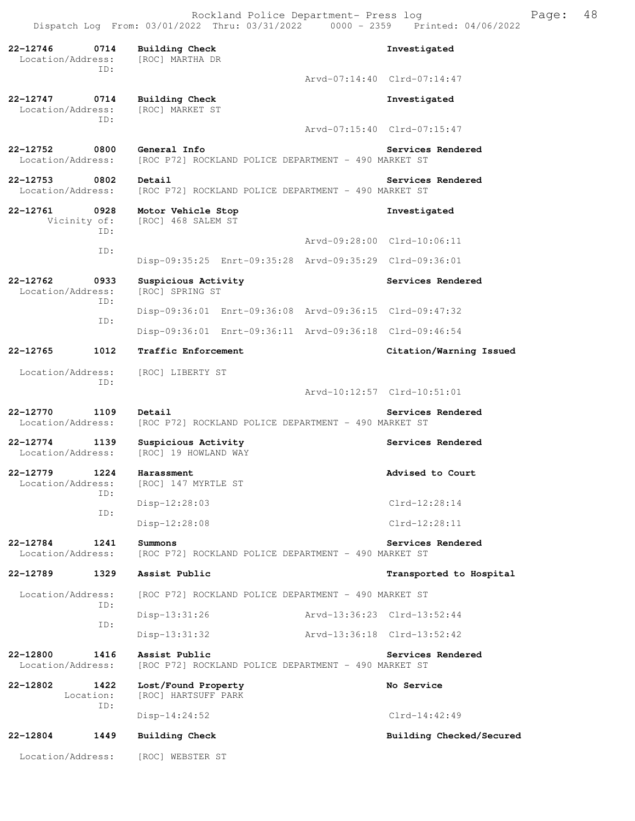Rockland Police Department- Press log Freed Page: 48 Dispatch Log From: 03/01/2022 Thru: 03/31/2022 0000 - 2359 Printed: 04/06/2022

**22-12746 0714 Building Check Investigated**  Location/Address: [ROC] MARTHA DR ID: Arvd-07:14:40 Clrd-07:14:47 **22-12747 0714 Building Check Investigated**  Location/Address: ID: Arvd-07:15:40 Clrd-07:15:47 **22-12752 0800 General Info Services Rendered**<br>Location/Address: [ROC P72] ROCKLAND POLICE DEPARTMENT - 490 MARKET ST [ROC P72] ROCKLAND POLICE DEPARTMENT - 490 MARKET ST **22-12753** 0802 Detail Services Rendered **Services Rendered** Location/Address: [ROC P72] ROCKLAND POLICE DEPARTMENT - 490 MARKET ST **22-12761 0928 Motor Vehicle Stop Investigated**  [ROC] 468 SALEM ST ID: Arvd-09:28:00 Clrd-10:06:11 ID: Disp-09:35:25 Enrt-09:35:28 Arvd-09:35:29 Clrd-09:36:01 **22-12762 0933 Suspicious Activity Services Rendered Location/Address:** [ROC] SPRING ST Location/Address: ID: Disp-09:36:01 Enrt-09:36:08 Arvd-09:36:15 Clrd-09:47:32 ID: Disp-09:36:01 Enrt-09:36:11 Arvd-09:36:18 Clrd-09:46:54 **22-12765 1012 Traffic Enforcement Citation/Warning Issued**  Location/Address: [ROC] LIBERTY ST ID: Arvd-10:12:57 Clrd-10:51:01 **22-12770 1109 Detail Services Rendered**<br>Location/Address: [ROC P72] ROCKLAND POLICE DEPARTMENT - 490 MARKET ST [ROC P72] ROCKLAND POLICE DEPARTMENT - 490 MARKET ST 22-12774 1139 Suspicious Activity **128 Services Rendered** Location/Address: [ROC] 19 HOWLAND WAY **22-12779 1224 Harassment Advised to Court Advised to Court** Advised to Court [ROC] 147 MYRTLE ST ID: Disp-12:28:03 Clrd-12:28:14 ID: Disp-12:28:08 Clrd-12:28:11 **22-12784 1241 Summons Services Rendered**<br>Location/Address: [ROC P72] ROCKLAND POLICE DEPARTMENT - 490 MARKET ST [ROC P72] ROCKLAND POLICE DEPARTMENT - 490 MARKET ST **22-12789 1329 Assist Public Transported to Hospital**  Location/Address: [ROC P72] ROCKLAND POLICE DEPARTMENT - 490 MARKET ST ID: Disp-13:31:26 Arvd-13:36:23 Clrd-13:52:44 ID: Disp-13:31:32 Arvd-13:36:18 Clrd-13:52:42 **22-12800 1416 Assist Public Services Rendered**  Location/Address: [ROC P72] ROCKLAND POLICE DEPARTMENT - 490 MARKET ST **22-12802 1422 Lost/Found Property No Service**  Location: [ROC] HARTSUFF PARK ID: Disp-14:24:52 Clrd-14:42:49 **22-12804 1449 Building Check Building Checked/Secured**  Location/Address: [ROC] WEBSTER ST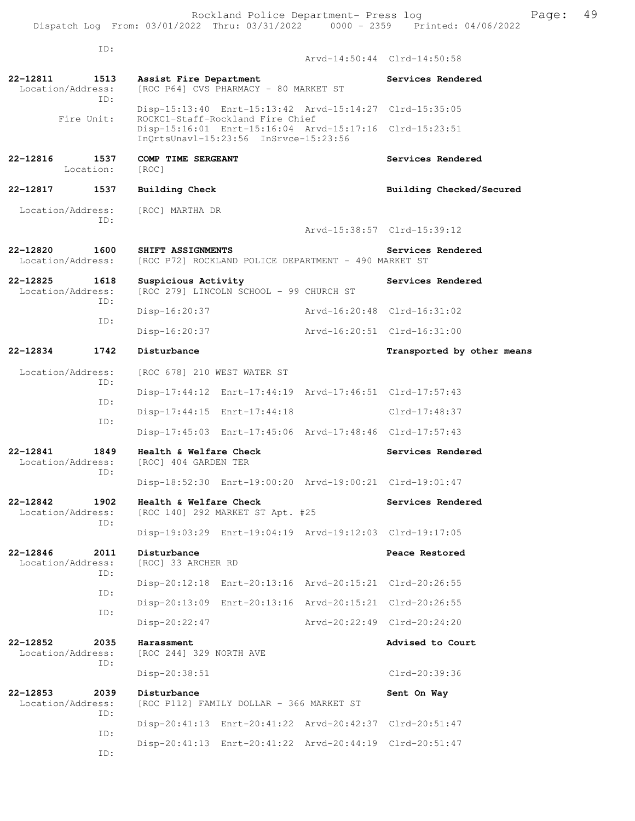| ID:                                          |                                                                                                  | Arvd-14:50:44 Clrd-14:50:58 |
|----------------------------------------------|--------------------------------------------------------------------------------------------------|-----------------------------|
|                                              |                                                                                                  |                             |
| 22-12811<br>1513<br>Location/Address:<br>TD: | Assist Fire Department<br>[ROC P64] CVS PHARMACY - 80 MARKET ST                                  | Services Rendered           |
| Fire Unit:                                   | Disp-15:13:40 Enrt-15:13:42 Arvd-15:14:27 Clrd-15:35:05<br>ROCKC1-Staff-Rockland Fire Chief      |                             |
|                                              | Disp-15:16:01 Enrt-15:16:04 Arvd-15:17:16 Clrd-15:23:51<br>InQrtsUnavl-15:23:56 InSrvce-15:23:56 |                             |
| 22-12816<br>1537<br>Location:                | COMP TIME SERGEANT<br>[ROC]                                                                      | Services Rendered           |
| 22-12817<br>1537                             | Building Check                                                                                   | Building Checked/Secured    |
| Location/Address:<br>TD:                     | [ROC] MARTHA DR                                                                                  |                             |
|                                              |                                                                                                  | Arvd-15:38:57 Clrd-15:39:12 |
| $22 - 12820$<br>1600<br>Location/Address:    | SHIFT ASSIGNMENTS<br>[ROC P72] ROCKLAND POLICE DEPARTMENT - 490 MARKET ST                        | Services Rendered           |
| 22-12825<br>1618<br>Location/Address:        | Suspicious Activity<br>[ROC 279] LINCOLN SCHOOL - 99 CHURCH ST                                   | Services Rendered           |
| TD:<br>TD:                                   | Disp-16:20:37                                                                                    | Aryd-16:20:48 Clrd-16:31:02 |
|                                              | Disp-16:20:37                                                                                    | Arvd-16:20:51 Clrd-16:31:00 |
| 1742<br>22-12834                             | Disturbance                                                                                      | Transported by other means  |
| Location/Address:<br>ID:                     | [ROC 678] 210 WEST WATER ST                                                                      |                             |
| TD:                                          | Disp-17:44:12 Enrt-17:44:19 Arvd-17:46:51 Clrd-17:57:43                                          |                             |
| ID:                                          | Disp-17:44:15 Enrt-17:44:18                                                                      | $Clrd-17:48:37$             |
|                                              | Disp-17:45:03 Enrt-17:45:06 Arvd-17:48:46 Clrd-17:57:43                                          |                             |
| 22-12841<br>1849<br>Location/Address:<br>ID: | Health & Welfare Check<br>[ROC] 404 GARDEN TER                                                   | Services Rendered           |
|                                              | Disp-18:52:30 Enrt-19:00:20 Arvd-19:00:21 Clrd-19:01:47                                          |                             |
| 22-12842<br>1902<br>Location/Address:<br>ID: | Health & Welfare Check<br>[ROC 140] 292 MARKET ST Apt. #25                                       | Services Rendered           |
|                                              | Disp-19:03:29 Enrt-19:04:19 Arvd-19:12:03 Clrd-19:17:05                                          |                             |
| 22-12846<br>2011<br>Location/Address:        | Disturbance<br>[ROC] 33 ARCHER RD                                                                | Peace Restored              |
| ID:                                          | Disp-20:12:18 Enrt-20:13:16 Arvd-20:15:21 Clrd-20:26:55                                          |                             |
| ID:                                          | Disp-20:13:09 Enrt-20:13:16 Arvd-20:15:21 Clrd-20:26:55                                          |                             |
| ID:                                          | Disp-20:22:47                                                                                    | Arvd-20:22:49 Clrd-20:24:20 |
| 22-12852<br>2035<br>Location/Address:        | Harassment<br>[ROC 244] 329 NORTH AVE                                                            | Advised to Court            |
| ID:                                          | $Disp-20:38:51$                                                                                  | Clrd-20:39:36               |
| 22-12853<br>2039<br>Location/Address:        | Disturbance<br>[ROC P112] FAMILY DOLLAR - 366 MARKET ST                                          | Sent On Way                 |
| ID:                                          | Disp-20:41:13 Enrt-20:41:22 Arvd-20:42:37 Clrd-20:51:47                                          |                             |
| ID:<br>ID:                                   | Disp-20:41:13 Enrt-20:41:22 Arvd-20:44:19 Clrd-20:51:47                                          |                             |
|                                              |                                                                                                  |                             |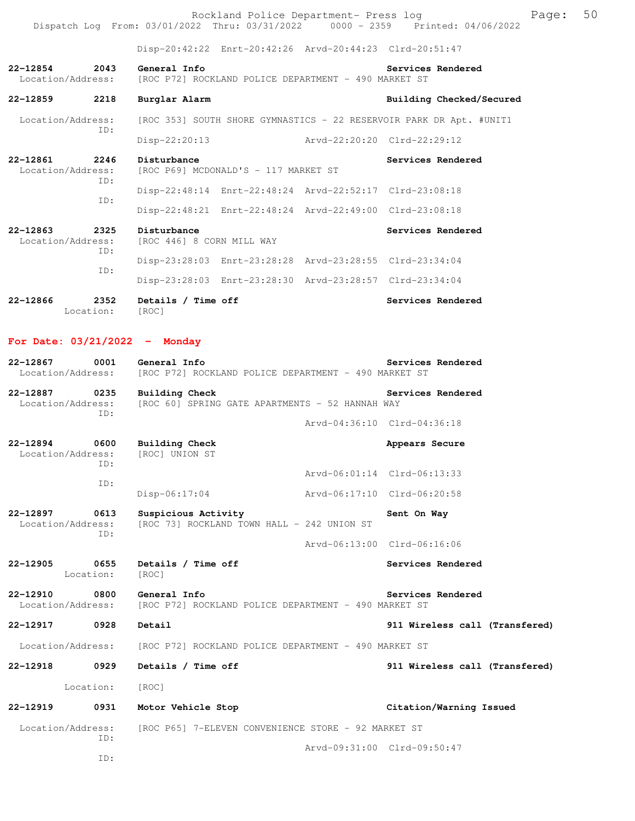|                                                                                |  |  | Rockland Police Department- Press log |  | Page: 50 |  |
|--------------------------------------------------------------------------------|--|--|---------------------------------------|--|----------|--|
| Dispatch Log From: 03/01/2022 Thru: 03/31/2022 0000 - 2359 Printed: 04/06/2022 |  |  |                                       |  |          |  |

Disp-20:42:22 Enrt-20:42:26 Arvd-20:44:23 Clrd-20:51:47

**22-12854 2043 General Info Services Rendered**  Location/Address: [ROC P72] ROCKLAND POLICE DEPARTMENT - 490 MARKET ST

| 22-12859 | 2218 | Burglar Alarm | Building Checked/Secured |
|----------|------|---------------|--------------------------|
|          |      |               |                          |

 Location/Address: [ROC 353] SOUTH SHORE GYMNASTICS - 22 RESERVOIR PARK DR Apt. #UNIT1 ID: Disp-22:20:13 Arvd-22:20:20 Clrd-22:29:12

**22-12861** 2246 Disturbance<br>
Location/Address: [ROC P69] MCDONALD'S - 117 MARKET ST [ROC P69] MCDONALD'S - 117 MARKET ST ID: Disp-22:48:14 Enrt-22:48:24 Arvd-22:52:17 Clrd-23:08:18 ID: Disp-22:48:21 Enrt-22:48:24 Arvd-22:49:00 Clrd-23:08:18 **22-12863 2325 Disturbance Services Rendered** 

| Location/Address:<br>TD: | [ROC 446] 8 CORN MILL WAY |  |                                                         |  |  |  |
|--------------------------|---------------------------|--|---------------------------------------------------------|--|--|--|
| TD:                      |                           |  | Disp-23:28:03 Enrt-23:28:28 Arvd-23:28:55 Clrd-23:34:04 |  |  |  |
|                          |                           |  | Disp-23:28:03 Enrt-23:28:30 Arvd-23:28:57 Clrd-23:34:04 |  |  |  |

**22-12866 2352 Details / Time off Services Rendered**  Location: [ROC]

#### **For Date: 03/21/2022 - Monday**

| 22-12867<br>Location/Address: | 0001        | General Info<br>[ROC P72] ROCKLAND POLICE DEPARTMENT - 490 MARKET ST | Services Rendered |
|-------------------------------|-------------|----------------------------------------------------------------------|-------------------|
| 22-12887<br>Location/Address: | 0235<br>TD: | Building Check<br>[ROC 60] SPRING GATE APARTMENTS - 52 HANNAH WAY    | Services Rendered |
|                               |             | Aryd-04:36:10 Clrd-04:36:18                                          |                   |

| 22-12894<br>Location/Address: | 0600<br>TD: | Building Check<br>[ROC] UNION ST | Arvd-06:01:14 Clrd-06:13:33 | Appears Secure              |
|-------------------------------|-------------|----------------------------------|-----------------------------|-----------------------------|
|                               | ID:         |                                  |                             |                             |
|                               |             | $Disp-06:17:04$                  |                             | Arvd-06:17:10 Clrd-06:20:58 |
| 22-12897                      | 0613        | Suspicious Activity              |                             | Sent On Way                 |

Location/Address: [ROC 73] ROCKLAND TOWN HALL - 242 UNION ST ID: Arvd-06:13:00 Clrd-06:16:06

22-12905 0655 Details / Time off Services Rendered Location: [ROC] Location:

**22-12910 0800 General Info Services Rendered** Location/Address: [ROC P72] ROCKLAND POLICE DEPARTMENT - 490 MARKET ST [ROC P72] ROCKLAND POLICE DEPARTMENT - 490 MARKET ST

**22-12917 0928 Detail 911 Wireless call (Transfered)**

Location/Address: [ROC P72] ROCKLAND POLICE DEPARTMENT - 490 MARKET ST

**22-12918 0929 Details / Time off 911 Wireless call (Transfered)**

Location: [ROC]

**22-12919 0931 Motor Vehicle Stop Citation/Warning Issued**  Location/Address: [ROC P65] 7-ELEVEN CONVENIENCE STORE - 92 MARKET ST ID: Arvd-09:31:00 Clrd-09:50:47

ID: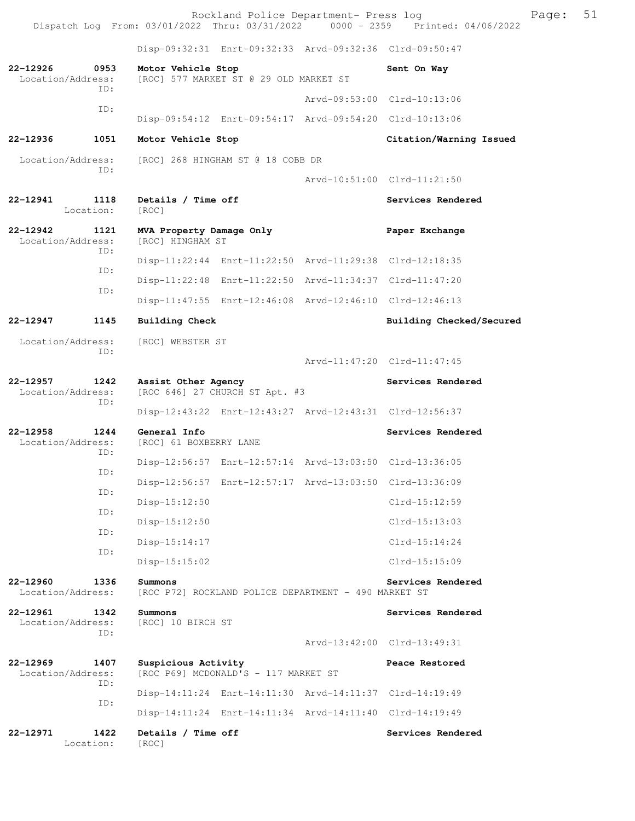Rockland Police Department- Press log Page: 51 Dispatch Log From: 03/01/2022 Thru: 03/31/2022 Disp-09:32:31 Enrt-09:32:33 Arvd-09:32:36 Clrd-09:50:47 **22-12926 0953 Motor Vehicle Stop Sent On Way**<br>Location/Address: [ROC] 577 MARKET ST @ 29 OLD MARKET ST [ROC] 577 MARKET ST @ 29 OLD MARKET ST ID: Arvd-09:53:00 Clrd-10:13:06 ID: Disp-09:54:12 Enrt-09:54:17 Arvd-09:54:20 Clrd-10:13:06 **22-12936 1051 Motor Vehicle Stop Citation/Warning Issued**  Location/Address: [ROC] 268 HINGHAM ST @ 18 COBB DR ID: Arvd-10:51:00 Clrd-11:21:50 **22-12941 1118 Details / Time off Services Rendered**  Location: [ROC] **22-12942 1121 MVA Property Damage Only Paper Exchange**  Location/Address: [ROC] HINGHAM ST ID: Disp-11:22:44 Enrt-11:22:50 Arvd-11:29:38 Clrd-12:18:35 ID: Disp-11:22:48 Enrt-11:22:50 Arvd-11:34:37 Clrd-11:47:20 ID: Disp-11:47:55 Enrt-12:46:08 Arvd-12:46:10 Clrd-12:46:13 **22-12947 1145 Building Check Building Checked/Secured**  Location/Address: [ROC] WEBSTER ST ID: Arvd-11:47:20 Clrd-11:47:45 **22-12957 1242 Assist Other Agency Services Rendered** Location/Address: [ROC 646] 27 CHURCH ST Apt. #3 [ROC 646] 27 CHURCH ST Apt. #3 ID: Disp-12:43:22 Enrt-12:43:27 Arvd-12:43:31 Clrd-12:56:37 **22-12958 1244 General Info Services Rendered**  Location/Address: [ROC] 61 BOXBERRY LANE ID: Disp-12:56:57 Enrt-12:57:14 Arvd-13:03:50 Clrd-13:36:05 ID: Disp-12:56:57 Enrt-12:57:17 Arvd-13:03:50 Clrd-13:36:09 ID: Disp-15:12:50 Clrd-15:12:59 ID: Disp-15:12:50 Clrd-15:13:03 ID: Disp-15:14:17 Clrd-15:14:24 ID: Disp-15:15:02 Clrd-15:15:09 **22-12960 1336 Summons Services Rendered**<br>Location/Address: [ROC P72] ROCKLAND POLICE DEPARTMENT - 490 MARKET ST [ROC P72] ROCKLAND POLICE DEPARTMENT - 490 MARKET ST **22-12961 1342 Summons Services Rendered**  Location/Address: ID: Arvd-13:42:00 Clrd-13:49:31 **22-12969 1407 Suspicious Activity Peace Restored**  Location/Address: [ROC P69] MCDONALD'S - 117 MARKET ST ID: Disp-14:11:24 Enrt-14:11:30 Arvd-14:11:37 Clrd-14:19:49 ID: Disp-14:11:24 Enrt-14:11:34 Arvd-14:11:40 Clrd-14:19:49 **22-12971 1422 Details / Time off Services Rendered**  Location: [ROC]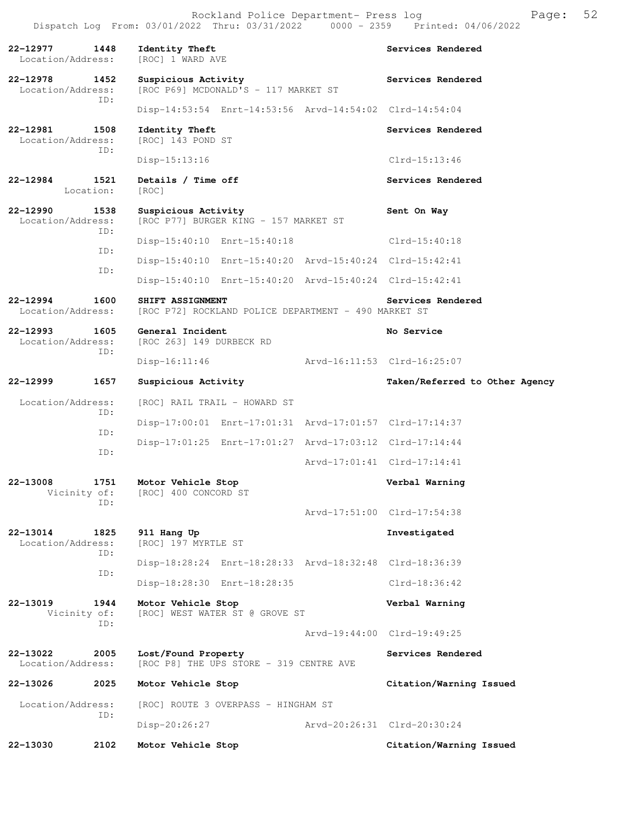**22-12977 1448 Identity Theft Services Rendered**  Location/Address: [ROC] 1 WARD AVE **22-12978 1452 Suspicious Activity Services Rendered**  Location/Address: [ROC P69] MCDONALD'S - 117 MARKET ST ID: Disp-14:53:54 Enrt-14:53:56 Arvd-14:54:02 Clrd-14:54:04 **22-12981 1508 Identity Theft Services Rendered**  Location/Address: [ROC] 143 POND ST ID: Disp-15:13:16 Clrd-15:13:46 **22-12984 1521 Details / Time off Services Rendered**  Location: [ROC] **22-12990 1538 Suspicious Activity 612-12990 1538 Suspicious Activity Sent On Way**<br>
Location/Address: [ROC P77] BURGER KING - 157 MARKET ST [ROC P77] BURGER KING - 157 MARKET ST ID: Disp-15:40:10 Enrt-15:40:18 Clrd-15:40:18 ID: Disp-15:40:10 Enrt-15:40:20 Arvd-15:40:24 Clrd-15:42:41 ID: Disp-15:40:10 Enrt-15:40:20 Arvd-15:40:24 Clrd-15:42:41 **22-12994 1600 SHIFT ASSIGNMENT Services Rendered**  Location/Address: [ROC P72] ROCKLAND POLICE DEPARTMENT - 490 MARKET ST **22-12993 1605 General Incident No Service**  Location/Address: [ROC 263] 149 DURBECK RD ID: Disp-16:11:46 Arvd-16:11:53 Clrd-16:25:07 **22-12999 1657 Suspicious Activity Taken/Referred to Other Agency** Location/Address: [ROC] RAIL TRAIL - HOWARD ST ID: Disp-17:00:01 Enrt-17:01:31 Arvd-17:01:57 Clrd-17:14:37 ID: Disp-17:01:25 Enrt-17:01:27 Arvd-17:03:12 Clrd-17:14:44 ID: Arvd-17:01:41 Clrd-17:14:41 **22-13008 1751 Motor Vehicle Stop Verbal Warning**  Vicinity of: [ROC] 400 CONCORD ST ID: Arvd-17:51:00 Clrd-17:54:38 **22-13014 1825 911 Hang Up Investigated**  Location/Address: [ROC] 197 MYRTLE ST ID: Disp-18:28:24 Enrt-18:28:33 Arvd-18:32:48 Clrd-18:36:39 ID: Disp-18:28:30 Enrt-18:28:35 Clrd-18:36:42 **22-13019 1944 Motor Vehicle Stop Verbal Warning**  Vicinity of: [ROC] WEST WATER ST @ GROVE ST ID: Arvd-19:44:00 Clrd-19:49:25 **22-13022 2005 Lost/Found Property Services Rendered**  Location/Address: [ROC P8] THE UPS STORE - 319 CENTRE AVE **22-13026 2025 Motor Vehicle Stop Citation/Warning Issued**  Location/Address: [ROC] ROUTE 3 OVERPASS - HINGHAM ST ID: Disp-20:26:27 Arvd-20:26:31 Clrd-20:30:24 **22-13030 2102 Motor Vehicle Stop Citation/Warning Issued**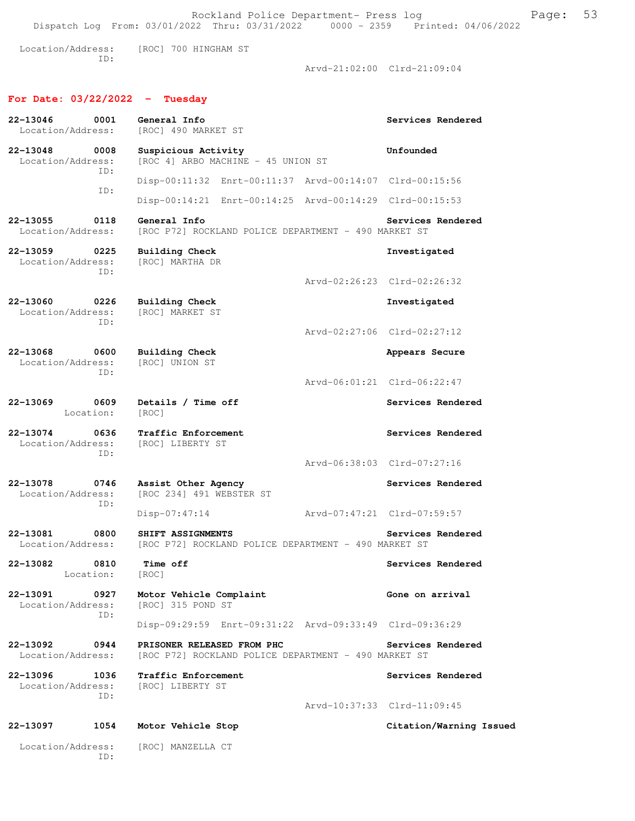Rockland Police Department- Press log Freed Page: 53 Dispatch Log From: 03/01/2022 Thru: 03/31/2022 0000 - 2359 Printed: 04/06/2022 Location/Address: [ROC] 700 HINGHAM ST ID: Arvd-21:02:00 Clrd-21:09:04 **For Date: 03/22/2022 - Tuesday 22-13046 0001 General Info Services Rendered**  [ROC] 490 MARKET ST **22-13048 0008 Suspicious Activity Unfounded**  Location/Address: [ROC 4] ARBO MACHINE - 45 UNION ST ID: Disp-00:11:32 Enrt-00:11:37 Arvd-00:14:07 Clrd-00:15:56 ID: Disp-00:14:21 Enrt-00:14:25 Arvd-00:14:29 Clrd-00:15:53 **22-13055 0118 General Info Services Rendered**  Location/Address: [ROC P72] ROCKLAND POLICE DEPARTMENT - 490 MARKET ST **22-13059 0225 Building Check Investigated**  Location/Address: ID: Arvd-02:26:23 Clrd-02:26:32 **22-13060 0226 Building Check Investigated**  Location/Address: [ROC] MARKET ST ID: Arvd-02:27:06 Clrd-02:27:12 **22-13068 0600 Building Check Appears Secure** Appears Secure Location/Address: [ROC] UNION ST Location/Address: ID: Arvd-06:01:21 Clrd-06:22:47 **22-13069 0609 Details / Time off Services Rendered**  Location: [ROC] **22-13074 0636 Traffic Enforcement 122-13074 0636 Traffic Enforcement Services Rendered** Location/Address: ID: Arvd-06:38:03 Clrd-07:27:16 **22-13078 0746 Assist Other Agency Services Rendered**  Location/Address: [ROC 234] 491 WEBSTER ST ID: Disp-07:47:14 Arvd-07:47:21 Clrd-07:59:57 **22-13081 0800 SHIFT ASSIGNMENTS Services Rendered**  Location/Address: [ROC P72] ROCKLAND POLICE DEPARTMENT - 490 MARKET ST **22-13082 0810 Time off Services Rendered**  Location: [ROC] **22-13091 0927 Motor Vehicle Complaint Gone on arrival**  Location/Address: [ROC] 315 POND ST ID: Disp-09:29:59 Enrt-09:31:22 Arvd-09:33:49 Clrd-09:36:29 **22-13092 0944 PRISONER RELEASED FROM PHC Services Rendered**  Location/Address: [ROC P72] ROCKLAND POLICE DEPARTMENT - 490 MARKET ST **22-13096 1036 Traffic Enforcement Services Rendered**  Location/Address: [ROC] LIBERTY ST ID: Arvd-10:37:33 Clrd-11:09:45

#### **22-13097 1054 Motor Vehicle Stop Citation/Warning Issued**

 Location/Address: [ROC] MANZELLA CT ID: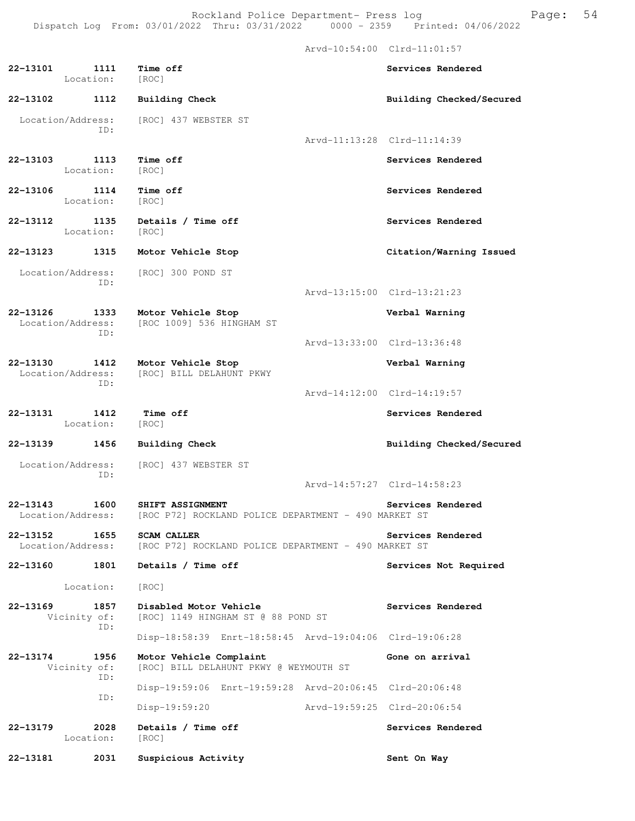Arvd-10:54:00 Clrd-11:01:57

**22-13101 1111 Time off Services Rendered**  Location: [ROC] **22-13102 1112 Building Check Building Checked/Secured**  Location/Address: [ROC] 437 WEBSTER ST ID: Arvd-11:13:28 Clrd-11:14:39 **22-13103** 1113 Time off Services Rendered **Services Rendered** Location: **22-13106 1114 Time off Services Rendered**  Location: [ROC] 22-13112 1135 Details / Time off **Services Rendered**  Location: [ROC] **22-13123 1315 Motor Vehicle Stop Citation/Warning Issued**  Location/Address: [ROC] 300 POND ST ID: Arvd-13:15:00 Clrd-13:21:23 **22-13126 1333 Motor Vehicle Stop Verbal Warning**  Location/Address: [ROC 1009] 536 HINGHAM ST ID: Arvd-13:33:00 Clrd-13:36:48 **22-13130 1412 Motor Vehicle Stop Verbal Warning**  [ROC] BILL DELAHUNT PKWY ID: Arvd-14:12:00 Clrd-14:19:57 **22-13131** 1412 Time off Services Rendered Location: [ROC] **22-13139 1456 Building Check Building Checked/Secured**  Location/Address: [ROC] 437 WEBSTER ST ID: Arvd-14:57:27 Clrd-14:58:23 **22-13143 1600 SHIFT ASSIGNMENT Services Rendered** Location/Address: [ROC P72] ROCKLAND POLICE DEPARTMENT - 490 MARKET ST [ROC P72] ROCKLAND POLICE DEPARTMENT - 490 MARKET ST **22-13152 1655 SCAM CALLER Services Rendered**  Location/Address: [ROC P72] ROCKLAND POLICE DEPARTMENT - 490 MARKET ST **22-13160 1801 Details / Time off Services Not Required**  Location: [ROC] **22-13169 1857 Disabled Motor Vehicle Services Rendered**  Vicinity of: [ROC] 1149 HINGHAM ST @ 88 POND ST ID: Disp-18:58:39 Enrt-18:58:45 Arvd-19:04:06 Clrd-19:06:28 **22-13174 1956 Motor Vehicle Complaint Gone on arrival**  Vicinity of: [ROC] BILL DELAHUNT PKWY @ WEYMOUTH ST ID: Disp-19:59:06 Enrt-19:59:28 Arvd-20:06:45 Clrd-20:06:48 ID: Disp-19:59:20 Arvd-19:59:25 Clrd-20:06:54 **22-13179 2028 Details / Time off Services Rendered**  Location: [ROC] **22-13181 2031 Suspicious Activity Sent On Way**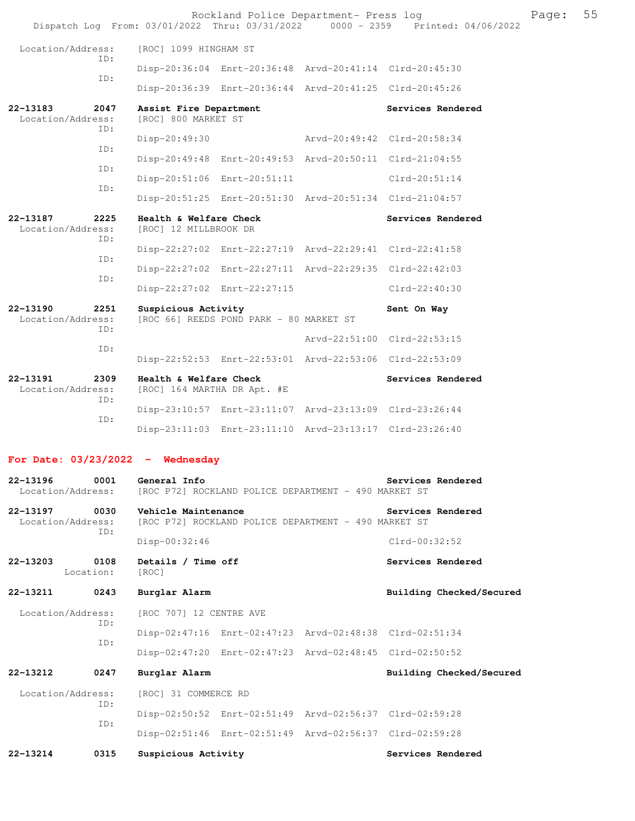Rockland Police Department- Press log Fage: 55 Dispatch Log From: 03/01/2022 Thru: 03/31/2022 0000 - 2359 Printed: 04/06/2022 Location/Address: [ROC] 1099 HINGHAM ST ID: Disp-20:36:04 Enrt-20:36:48 Arvd-20:41:14 Clrd-20:45:30 ID: Disp-20:36:39 Enrt-20:36:44 Arvd-20:41:25 Clrd-20:45:26 **22-13183 2047 Assist Fire Department Services Rendered**  [ROC] 800 MARKET ST ID: Disp-20:49:30 Arvd-20:49:42 Clrd-20:58:34 ID: Disp-20:49:48 Enrt-20:49:53 Arvd-20:50:11 Clrd-21:04:55 ID: Disp-20:51:06 Enrt-20:51:11 Clrd-20:51:14 ID: Disp-20:51:25 Enrt-20:51:30 Arvd-20:51:34 Clrd-21:04:57 **22-13187 2225 Health & Welfare Check Services Rendered**  Location/Address: [ROC] 12 MILLBROOK DR ID: Disp-22:27:02 Enrt-22:27:19 Arvd-22:29:41 Clrd-22:41:58 ID: Disp-22:27:02 Enrt-22:27:11 Arvd-22:29:35 Clrd-22:42:03 ID: Disp-22:27:02 Enrt-22:27:15 Clrd-22:40:30 **22-13190 2251 Suspicious Activity Sent On Way**<br>Location/Address: [ROC 66] REEDS POND PARK - 80 MARKET ST [ROC 66] REEDS POND PARK - 80 MARKET ST ID: Arvd-22:51:00 Clrd-22:53:15 ID: Disp-22:52:53 Enrt-22:53:01 Arvd-22:53:06 Clrd-22:53:09 **22-13191 2309 Health & Welfare Check Services Rendered**  Location/Address: [ROC] 164 MARTHA DR Apt. #E ID: Disp-23:10:57 Enrt-23:11:07 Arvd-23:13:09 Clrd-23:26:44 ID: Disp-23:11:03 Enrt-23:11:10 Arvd-23:13:17 Clrd-23:26:40 **For Date: 03/23/2022 - Wednesday**

**22-13196 0001 General Info Services Rendered** Location/Address: [ROC P72] ROCKLAND POLICE DEPARTMENT - 490 MARKET ST [ROC P72] ROCKLAND POLICE DEPARTMENT - 490 MARKET ST **22-13197 0030 Vehicle Maintenance Services Rendered**  Location/Address: [ROC P72] ROCKLAND POLICE DEPARTMENT - 490 MARKET ST ID: Disp-00:32:46 Clrd-00:32:52

**22-13203 0108 Details / Time off Services Rendered**  Location: [ROC]

 Location/Address: [ROC 707] 12 CENTRE AVE ID: Disp-02:47:16 Enrt-02:47:23 Arvd-02:48:38 Clrd-02:51:34 ID: Disp-02:47:20 Enrt-02:47:23 Arvd-02:48:45 Clrd-02:50:52 **22-13212 0247 Burglar Alarm Building Checked/Secured** 

**22-13211 0243 Burglar Alarm Building Checked/Secured** 

 Location/Address: [ROC] 31 COMMERCE RD ID: Disp-02:50:52 Enrt-02:51:49 Arvd-02:56:37 Clrd-02:59:28 ID: Disp-02:51:46 Enrt-02:51:49 Arvd-02:56:37 Clrd-02:59:28 **22-13214 0315 Suspicious Activity Services Rendered**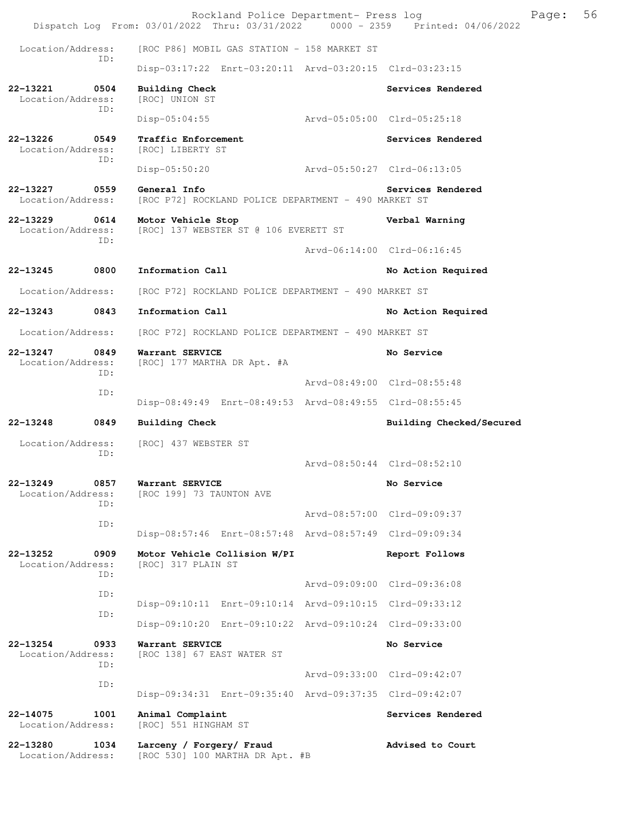Rockland Police Department- Press log Fage: 56 Dispatch Log From: 03/01/2022 Thru: 03/31/2022 0000 - 2359 Printed: 04/06/2022 Location/Address: [ROC P86] MOBIL GAS STATION - 158 MARKET ST ID: Disp-03:17:22 Enrt-03:20:11 Arvd-03:20:15 Clrd-03:23:15 **22-13221 0504 Building Check Services Rendered**  Location/Address: ID: Disp-05:04:55 Arvd-05:05:00 Clrd-05:25:18 **22-13226 0549 Traffic Enforcement Services Rendered**  Location/Address: [ROC] LIBERTY ST ID: Disp-05:50:20 Arvd-05:50:27 Clrd-06:13:05 **22-13227 0559 General Info Services Rendered**  Location/Address: [ROC P72] ROCKLAND POLICE DEPARTMENT - 490 MARKET ST **22-13229 0614 Motor Vehicle Stop Verbal Warning**<br>
Location/Address: [ROC] 137 WEBSTER ST @ 106 EVERETT ST [ROC] 137 WEBSTER ST @ 106 EVERETT ST ID: Arvd-06:14:00 Clrd-06:16:45 **22-13245 0800 Information Call No Action Required**  Location/Address: [ROC P72] ROCKLAND POLICE DEPARTMENT - 490 MARKET ST **22-13243 0843 Information Call No Action Required**  Location/Address: [ROC P72] ROCKLAND POLICE DEPARTMENT - 490 MARKET ST **22-13247 0849 Warrant SERVICE 122-13247 1849 Warrant SERVICE No Service No Service** [ROC] 177 MARTHA DR Apt. #A ID: Arvd-08:49:00 Clrd-08:55:48 ID: Disp-08:49:49 Enrt-08:49:53 Arvd-08:49:55 Clrd-08:55:45 **22-13248 0849 Building Check Building Checked/Secured**  Location/Address: [ROC] 437 WEBSTER ST ID: Arvd-08:50:44 Clrd-08:52:10 **22-13249 0857 Warrant SERVICE 1988** Mo Service **No Service No Service No Service** [ROC 199] 73 TAUNTON AVE ID: Arvd-08:57:00 Clrd-09:09:37 ID: Disp-08:57:46 Enrt-08:57:48 Arvd-08:57:49 Clrd-09:09:34 **22-13252 0909 Motor Vehicle Collision W/PI Report Follows**  [ROC] 317 PLAIN ST ID: Arvd-09:09:00 Clrd-09:36:08 ID: Disp-09:10:11 Enrt-09:10:14 Arvd-09:10:15 Clrd-09:33:12 ID: Disp-09:10:20 Enrt-09:10:22 Arvd-09:10:24 Clrd-09:33:00 **22-13254 0933 Warrant SERVICE No Service**  Location/Address: [ROC 138] 67 EAST WATER ST ID: Arvd-09:33:00 Clrd-09:42:07 ID: Disp-09:34:31 Enrt-09:35:40 Arvd-09:37:35 Clrd-09:42:07 **22-14075 1001 Animal Complaint Complaint Services Rendered** Location/Address: [ROC] 551 HINGHAM ST [ROC] 551 HINGHAM ST **22-13280 1034 Larceny / Forgery/ Fraud Advised to Court**  Location/Address: [ROC 530] 100 MARTHA DR Apt. #B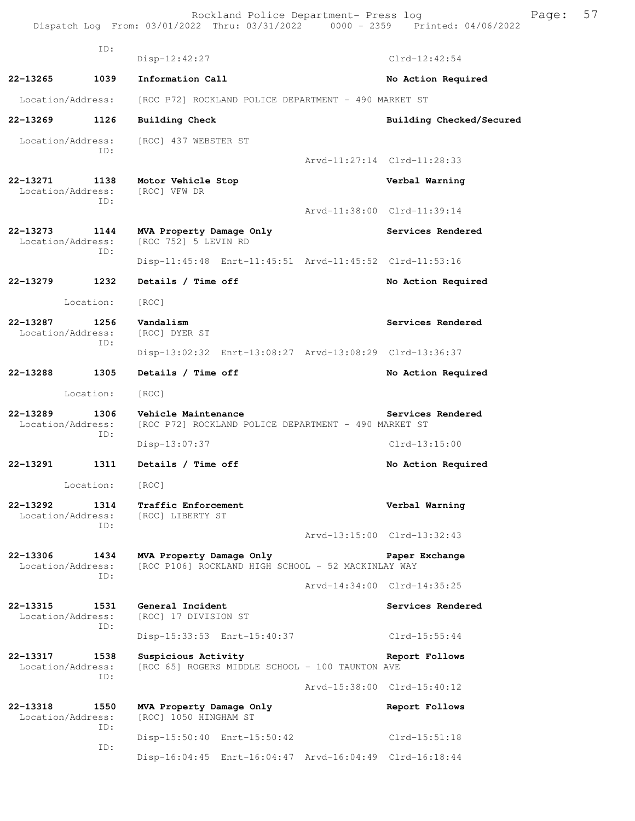Rockland Police Department- Press log Freed Page: 57 Dispatch Log From: 03/01/2022 Thru: 03/31/2022 0000 - 2359 Printed: 04/06/2022

 ID: Disp-12:42:27 Clrd-12:42:54 **22-13265 1039 Information Call No Action Required**  Location/Address: [ROC P72] ROCKLAND POLICE DEPARTMENT - 490 MARKET ST **22-13269 1126 Building Check Building Checked/Secured**  Location/Address: [ROC] 437 WEBSTER ST ID: Arvd-11:27:14 Clrd-11:28:33 **22-13271 1138 Motor Vehicle Stop Verbal Warning**  Location/Address: [ROC] VFW DR ID: Arvd-11:38:00 Clrd-11:39:14 **22-13273 1144 MVA Property Damage Only Services Rendered** Location/Address: [ROC 752] 5 LEVIN RD  $[ROC 752] 5 LEVIN RD$  ID: Disp-11:45:48 Enrt-11:45:51 Arvd-11:45:52 Clrd-11:53:16 **22-13279 1232 Details / Time off No Action Required**  Location: [ROC] **22-13287** 1256 Vandalism Services Rendered Location/Address: [ROC] DYER ST ID: Disp-13:02:32 Enrt-13:08:27 Arvd-13:08:29 Clrd-13:36:37 **22-13288 1305 Details / Time off No Action Required**  Location: [ROC] **22-13289 1306 Vehicle Maintenance Services Rendered**  Location/Address: [ROC P72] ROCKLAND POLICE DEPARTMENT - 490 MARKET ST ID: Disp-13:07:37 Clrd-13:15:00 **22-13291 1311 Details / Time off No Action Required**  Location: [ROC] **22-13292 1314 Traffic Enforcement Constant Verbal Warning Location/Address:** [ROC] LIBERTY ST [ROC] LIBERTY ST ID: Arvd-13:15:00 Clrd-13:32:43 **22-13306 1434 MVA Property Damage Only Paper Exchange**  Location/Address: [ROC P106] ROCKLAND HIGH SCHOOL - 52 MACKINLAY WAY ID: Arvd-14:34:00 Clrd-14:35:25 **22-13315 1531 General Incident Services Rendered**  Location/Address: [ROC] 17 DIVISION ST ID: Disp-15:33:53 Enrt-15:40:37 Clrd-15:55:44 **22-13317 1538 Suspicious Activity Report Follows**  Location/Address: [ROC 65] ROGERS MIDDLE SCHOOL - 100 TAUNTON AVE ID: Arvd-15:38:00 Clrd-15:40:12 **22-13318 1550 MVA Property Damage Only Report Follows**<br>
Location/Address: [ROC] 1050 HINGHAM ST [ROC] 1050 HINGHAM ST ID: Disp-15:50:40 Enrt-15:50:42 Clrd-15:51:18 ID: Disp-16:04:45 Enrt-16:04:47 Arvd-16:04:49 Clrd-16:18:44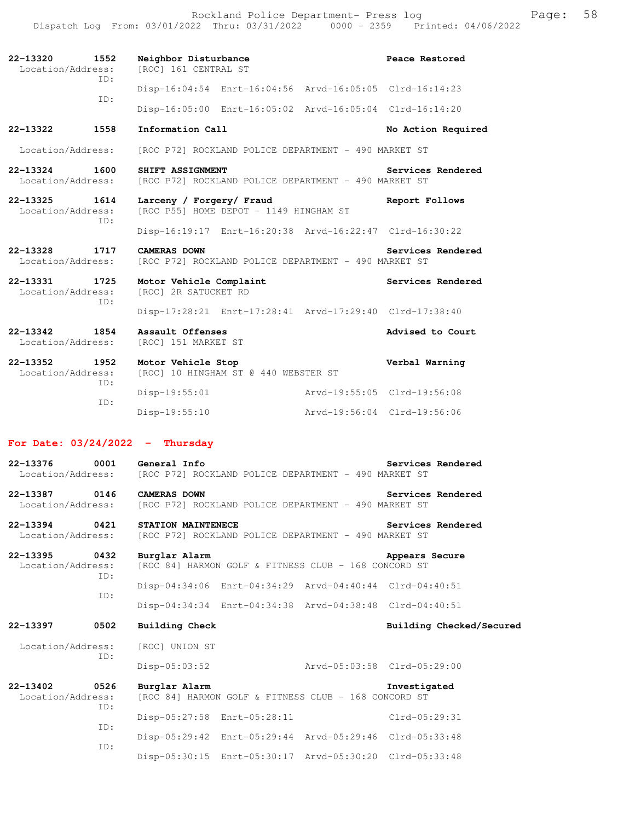Rockland Police Department- Press log entitled and Page: 58 Dispatch Log From: 03/01/2022 Thru: 03/31/2022 0000 - 2359 Printed: 04/06/2022

| $22 - 13320$<br>1552<br>Location/Address:<br>TD: | Neighbor Disturbance<br>[ROC] 161 CENTRAL ST                                         | Peace Restored              |
|--------------------------------------------------|--------------------------------------------------------------------------------------|-----------------------------|
| TD:                                              | Disp-16:04:54 Enrt-16:04:56 Arvd-16:05:05 Clrd-16:14:23                              |                             |
|                                                  | Disp-16:05:00 Enrt-16:05:02 Arvd-16:05:04 Clrd-16:14:20                              |                             |
| 22-13322<br>1558                                 | Information Call                                                                     | No Action Required          |
| Location/Address:                                | [ROC P72] ROCKLAND POLICE DEPARTMENT - 490 MARKET ST                                 |                             |
| 22-13324 1600<br>Location/Address:               | SHIFT ASSIGNMENT<br>[ROC P72] ROCKLAND POLICE DEPARTMENT - 490 MARKET ST             | Services Rendered           |
| 22-13325 1614<br>Location/Address:<br>TD:        | Larceny / Forgery/ Fraud<br>Report Follows<br>[ROC P55] HOME DEPOT - 1149 HINGHAM ST |                             |
|                                                  | Disp-16:19:17 Enrt-16:20:38 Arvd-16:22:47 Clrd-16:30:22                              |                             |
| 22-13328 1717<br>Location/Address:               | CAMERAS DOWN<br>[ROC P72] ROCKLAND POLICE DEPARTMENT - 490 MARKET ST                 | Services Rendered           |
| 22-13331 1725<br>Location/Address:<br>TD:        | Motor Vehicle Complaint<br>[ROC] 2R SATUCKET RD                                      | Services Rendered           |
|                                                  | Disp-17:28:21 Enrt-17:28:41 Arvd-17:29:40 Clrd-17:38:40                              |                             |
| $22 - 13342$<br>1854<br>Location/Address:        | Assault Offenses<br>[ROC] 151 MARKET ST                                              | Advised to Court            |
| 22-13352<br>1952<br>Location/Address:<br>ID:     | Motor Vehicle Stop<br>[ROC] 10 HINGHAM ST @ 440 WEBSTER ST                           | Verbal Warning              |
|                                                  | Disp-19:55:01                                                                        | Arvd-19:55:05 Clrd-19:56:08 |

## **For Date: 03/24/2022 - Thursday**

ID:

| 0001<br>22-13376<br>Location/Address: |            | <b>General Info</b><br>[ROC P72] ROCKLAND POLICE DEPARTMENT - 490 MARKET ST                                        | Services Rendered           |
|---------------------------------------|------------|--------------------------------------------------------------------------------------------------------------------|-----------------------------|
| 22-13387 0146<br>Location/Address:    |            | <b>CAMERAS DOWN</b><br>[ROC P72] ROCKLAND POLICE DEPARTMENT - 490 MARKET ST                                        | Services Rendered           |
| 22-13394 0421<br>Location/Address:    |            | STATION MAINTENECE<br>[ROC P72] ROCKLAND POLICE DEPARTMENT - 490 MARKET ST                                         | Services Rendered           |
| 22-13395 0432<br>Location/Address:    | ID:        | Burglar Alarm<br>[ROC 84] HARMON GOLF & FITNESS CLUB - 168 CONCORD ST                                              | Appears Secure              |
|                                       | ID:        | Disp-04:34:06 Enrt-04:34:29 Arvd-04:40:44 Clrd-04:40:51<br>Disp-04:34:34 Enrt-04:34:38 Arvd-04:38:48 Clrd-04:40:51 |                             |
|                                       |            |                                                                                                                    |                             |
| 22-13397 0502                         |            | <b>Building Check</b>                                                                                              | Building Checked/Secured    |
| Location/Address:                     |            | [ROC] UNION ST                                                                                                     |                             |
|                                       | ID:        | Disp-05:03:52                                                                                                      | Arvd-05:03:58 Clrd-05:29:00 |
| 22-13402 0526<br>Location/Address:    |            | Burglar Alarm<br>[ROC 84] HARMON GOLF & FITNESS CLUB - 168 CONCORD ST                                              | Investigated                |
|                                       | ID:<br>ID: | Disp-05:27:58 Enrt-05:28:11                                                                                        | $Clrd-05:29:31$             |
|                                       | ID:        | Disp-05:29:42 Enrt-05:29:44 Arvd-05:29:46 Clrd-05:33:48                                                            |                             |

Disp-19:55:10 Arvd-19:56:04 Clrd-19:56:06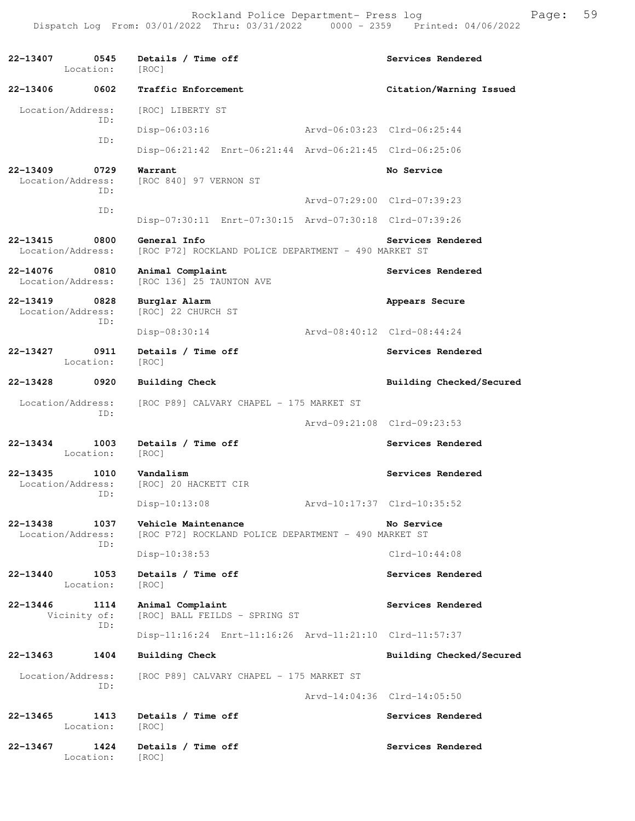| 22-13407<br>0545<br>Location:                    | Details / Time off<br>[ROC]                                                 | Services Rendered           |
|--------------------------------------------------|-----------------------------------------------------------------------------|-----------------------------|
| 22-13406<br>0602                                 | Traffic Enforcement                                                         | Citation/Warning Issued     |
| Location/Address:<br>TD:                         | [ROC] LIBERTY ST                                                            |                             |
| ID:                                              | Arvd-06:03:23 Clrd-06:25:44<br>$Disp-06:03:16$                              |                             |
|                                                  | Disp-06:21:42 Enrt-06:21:44 Arvd-06:21:45 Clrd-06:25:06                     |                             |
| $22 - 13409$<br>0729<br>Location/Address:<br>TD: | Warrant<br>[ROC 840] 97 VERNON ST                                           | No Service                  |
| ID:                                              |                                                                             | Arvd-07:29:00 Clrd-07:39:23 |
|                                                  | Disp-07:30:11 Enrt-07:30:15 Arvd-07:30:18 Clrd-07:39:26                     |                             |
| 22-13415<br>0800<br>Location/Address:            | General Info<br>[ROC P72] ROCKLAND POLICE DEPARTMENT - 490 MARKET ST        | Services Rendered           |
| 22-14076<br>0810<br>Location/Address:            | Animal Complaint<br>[ROC 136] 25 TAUNTON AVE                                | Services Rendered           |
| 22-13419<br>0828<br>Location/Address:<br>ID:     | Burglar Alarm<br>[ROC] 22 CHURCH ST                                         | Appears Secure              |
|                                                  | Disp-08:30:14<br>Arvd-08:40:12 Clrd-08:44:24                                |                             |
| 22-13427<br>0911<br>Location:                    | Details / Time off<br>[ROC]                                                 | Services Rendered           |
| 22-13428<br>0920                                 | <b>Building Check</b>                                                       | Building Checked/Secured    |
| Location/Address:<br>ID:                         | [ROC P89] CALVARY CHAPEL - 175 MARKET ST                                    |                             |
|                                                  |                                                                             | Arvd-09:21:08 Clrd-09:23:53 |
| 1003<br>22-13434<br>Location:                    | Details / Time off<br>[ROC]                                                 | Services Rendered           |
| 22-13435<br>1010<br>Location/Address:<br>ID:     | Vandalism<br>[ROC] 20 HACKETT CIR                                           | Services Rendered           |
|                                                  | $Disp-10:13:08$                                                             | Arvd-10:17:37 Clrd-10:35:52 |
| 22-13438<br>1037<br>Location/Address:<br>ID:     | Vehicle Maintenance<br>[ROC P72] ROCKLAND POLICE DEPARTMENT - 490 MARKET ST | No Service                  |
|                                                  | Disp-10:38:53                                                               | $Clrd-10:44:08$             |
| 1053<br>22-13440<br>Location:                    | Details / Time off<br>[ROC]                                                 | Services Rendered           |
| 22-13446<br>1114<br>Vicinity of:<br>ID:          | Animal Complaint<br>[ROC] BALL FEILDS - SPRING ST                           | Services Rendered           |
|                                                  | Disp-11:16:24 Enrt-11:16:26 Arvd-11:21:10 Clrd-11:57:37                     |                             |
| 22-13463<br>1404                                 | Building Check                                                              | Building Checked/Secured    |
| Location/Address:<br>ID:                         | [ROC P89] CALVARY CHAPEL - 175 MARKET ST                                    |                             |
|                                                  |                                                                             | Arvd-14:04:36 Clrd-14:05:50 |
| 22-13465<br>1413<br>Location:                    | Details / Time off<br>[ROC]                                                 | Services Rendered           |
| 22-13467<br>1424<br>Location:                    | Details / Time off<br>[ROC]                                                 | Services Rendered           |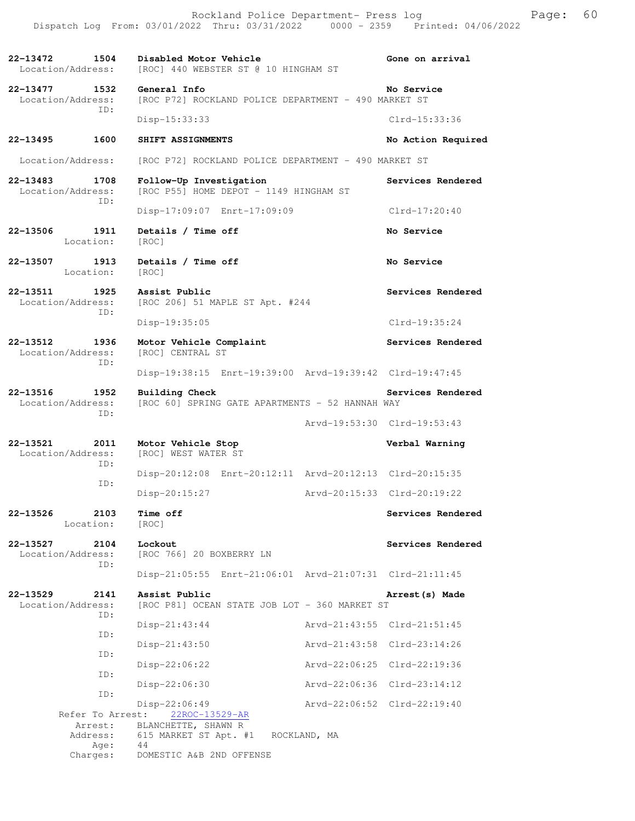**22-13472 1504 Disabled Motor Vehicle Gone on arrival**  Location/Address: [ROC] 440 WEBSTER ST @ 10 HINGHAM ST **22-13477 1532 General Info No Service**<br>Location/Address: [ROC P72] ROCKLAND POLICE DEPARTMENT - 490 MARKET ST [ROC P72] ROCKLAND POLICE DEPARTMENT - 490 MARKET ST ID: Disp-15:33:33 Clrd-15:33:36 **22-13495 1600 SHIFT ASSIGNMENTS No Action Required**  Location/Address: [ROC P72] ROCKLAND POLICE DEPARTMENT - 490 MARKET ST **22-13483 1708 Follow-Up Investigation Services Rendered**  Location/Address: [ROC P55] HOME DEPOT - 1149 HINGHAM ST ID: Disp-17:09:07 Enrt-17:09:09 Clrd-17:20:40 **22-13506 1911 Details / Time off No Service**  Location: [ROC] **22-13507 1913 Details / Time off No Service**  Location: [ROC] **22-13511 1925 Assist Public Services Rendered**  Location/Address: [ROC 206] 51 MAPLE ST Apt. #244 ID: Disp-19:35:05 Clrd-19:35:24 **22-13512 1936 Motor Vehicle Complaint Services Rendered**  Location/Address: [ROC] CENTRAL ST ID: Disp-19:38:15 Enrt-19:39:00 Arvd-19:39:42 Clrd-19:47:45 **22-13516 1952 Building Check Services Rendered**  Location/Address: [ROC 60] SPRING GATE APARTMENTS - 52 HANNAH WAY ID: Arvd-19:53:30 Clrd-19:53:43 **22-13521 2011 Motor Vehicle Stop Verbal Warning**  Location/Address: [ROC] WEST WATER ST ID: Disp-20:12:08 Enrt-20:12:11 Arvd-20:12:13 Clrd-20:15:35 ID: Disp-20:15:27 Arvd-20:15:33 Clrd-20:19:22 **22-13526 2103 Time off Services Rendered**  Location: [ROC] **22-13527 2104 Lockout Services Rendered**  Location/Address: [ROC 766] 20 BOXBERRY LN ID: Disp-21:05:55 Enrt-21:06:01 Arvd-21:07:31 Clrd-21:11:45 **22-13529 2141 Assist Public Arrest(s) Made**  Location/Address: [ROC P81] OCEAN STATE JOB LOT - 360 MARKET ST ID: Disp-21:43:44 Arvd-21:43:55 Clrd-21:51:45 ID: Disp-21:43:50 Arvd-21:43:58 Clrd-23:14:26 ID: Disp-22:06:22 Arvd-22:06:25 Clrd-22:19:36 ID: Disp-22:06:30 Arvd-22:06:36 Clrd-23:14:12 ID: Disp-22:06:49<br>st: 22ROC-13529-AR Arvd-22:06:52 Clrd-22:19:40 Refer To Arrest: Arrest: BLANCHETTE, SHAWN R

Address: 615 MARKET ST Apt. #1 ROCKLAND, MA

 Age: 44 Charges: DOMESTIC A&B 2ND OFFENSE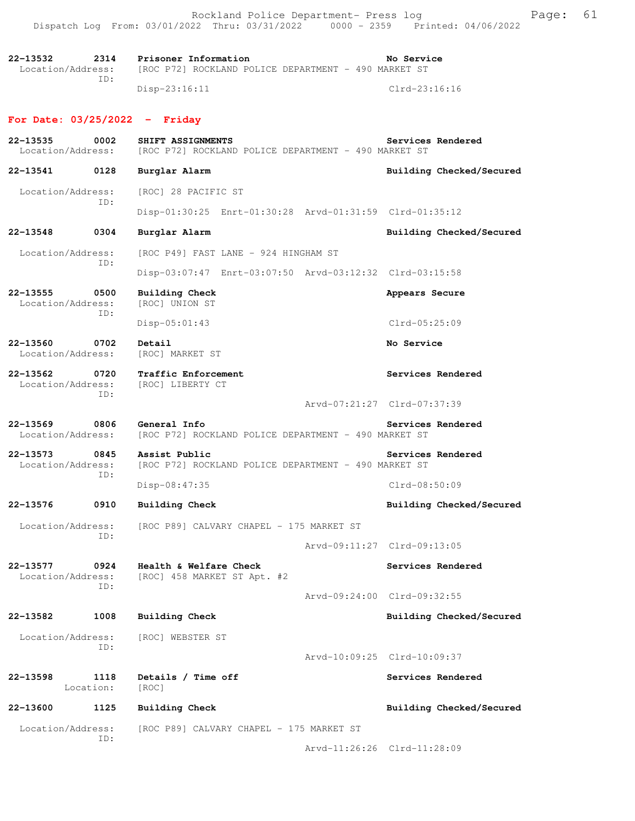Rockland Police Department- Press log extended by Page: 61 Dispatch Log From: 03/01/2022 Thru: 03/31/2022 0000 - 2359 Printed: 04/06/2022

**22-13532 2314 Prisoner Information No Service**  Location/Address: [ROC P72] ROCKLAND POLICE DEPARTMENT - 490 MARKET ST ID: Disp-23:16:11 Clrd-23:16:16

#### **For Date: 03/25/2022 - Friday**

**22-13535 0002 SHIFT ASSIGNMENTS Services Rendered**  Location/Address: [ROC P72] ROCKLAND POLICE DEPARTMENT - 490 MARKET ST **22-13541 0128 Burglar Alarm Building Checked/Secured**  Location/Address: [ROC] 28 PACIFIC ST ID: Disp-01:30:25 Enrt-01:30:28 Arvd-01:31:59 Clrd-01:35:12 **22-13548 0304 Burglar Alarm Building Checked/Secured**  Location/Address: [ROC P49] FAST LANE - 924 HINGHAM ST ID: Disp-03:07:47 Enrt-03:07:50 Arvd-03:12:32 Clrd-03:15:58 **22-13555 0500 Building Check Appears Secure**  Location/Address: [ROC] UNION ST ID: Disp-05:01:43 Clrd-05:25:09 **22-13560 0702 Detail No Service No Service No Service No Service** Location/Address: **22-13562 0720 Traffic Enforcement Services Rendered**  Location/Address: [ROC] LIBERTY CT ID: Arvd-07:21:27 Clrd-07:37:39 **22-13569 0806 General Info Services Rendered**  Location/Address: [ROC P72] ROCKLAND POLICE DEPARTMENT - 490 MARKET ST **22-13573 0845 Assist Public Services Rendered**  Location/Address: [ROC P72] ROCKLAND POLICE DEPARTMENT - 490 MARKET ST ID: Disp-08:47:35 Clrd-08:50:09 **22-13576 0910 Building Check Building Checked/Secured**  Location/Address: [ROC P89] CALVARY CHAPEL - 175 MARKET ST ID: Arvd-09:11:27 Clrd-09:13:05 22-13577 0924 Health & Welfare Check Services Rendered Location/Address: [ROC] 458 MARKET ST Apt. #2 ID: Arvd-09:24:00 Clrd-09:32:55 **22-13582 1008 Building Check Building Checked/Secured**  Location/Address: [ROC] WEBSTER ST ID: Arvd-10:09:25 Clrd-10:09:37 22-13598 1118 Details / Time off **Services Rendered** Location: [ROC] **22-13600 1125 Building Check Building Checked/Secured**  Location/Address: [ROC P89] CALVARY CHAPEL - 175 MARKET ST ID: Arvd-11:26:26 Clrd-11:28:09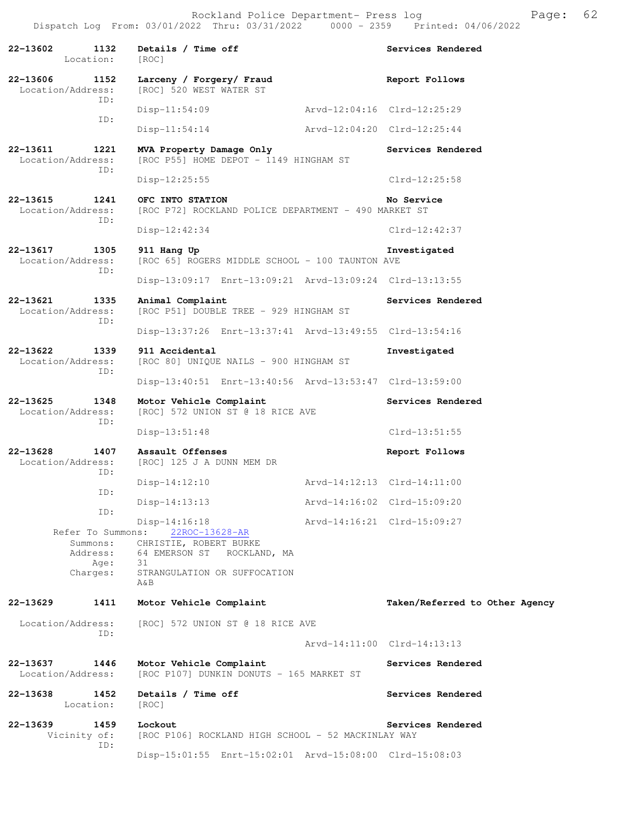| 22-13602<br>1132<br>Location:                                 | Details / Time off<br>[ROC]                                                                                                          | Services Rendered              |
|---------------------------------------------------------------|--------------------------------------------------------------------------------------------------------------------------------------|--------------------------------|
| 22-13606<br>1152<br>Location/Address:                         | Larceny / Forgery/ Fraud<br>[ROC] 520 WEST WATER ST                                                                                  | Report Follows                 |
| ID:                                                           | $Disp-11:54:09$                                                                                                                      | Arvd-12:04:16 Clrd-12:25:29    |
| ID:                                                           | $Disp-11:54:14$                                                                                                                      | Arvd-12:04:20 Clrd-12:25:44    |
| 22-13611<br>1221<br>Location/Address:                         | MVA Property Damage Only<br>[ROC P55] HOME DEPOT - 1149 HINGHAM ST                                                                   | Services Rendered              |
| ID:                                                           | Disp-12:25:55                                                                                                                        | $Clrd-12:25:58$                |
| 22-13615<br>1241<br>Location/Address:                         | OFC INTO STATION<br>[ROC P72] ROCKLAND POLICE DEPARTMENT - 490 MARKET ST                                                             | No Service                     |
| ID:                                                           | Disp-12:42:34                                                                                                                        | $Clrd-12:42:37$                |
| 22-13617<br>1305<br>Location/Address:<br>TD:                  | 911 Hang Up<br>[ROC 65] ROGERS MIDDLE SCHOOL - 100 TAUNTON AVE                                                                       | Investigated                   |
|                                                               | Disp-13:09:17 Enrt-13:09:21 Arvd-13:09:24 Clrd-13:13:55                                                                              |                                |
| 22-13621<br>1335<br>Location/Address:<br>TD:                  | Animal Complaint<br>[ROC P51] DOUBLE TREE - 929 HINGHAM ST                                                                           | Services Rendered              |
|                                                               | Disp-13:37:26 Enrt-13:37:41 Arvd-13:49:55 Clrd-13:54:16                                                                              |                                |
| 22-13622<br>1339<br>Location/Address:<br>ID:                  | 911 Accidental<br>[ROC 80] UNIQUE NAILS - 900 HINGHAM ST                                                                             | Investigated                   |
|                                                               | Disp-13:40:51 Enrt-13:40:56 Arvd-13:53:47 Clrd-13:59:00                                                                              |                                |
| 22-13625<br>1348<br>Location/Address:<br>ID:                  | Motor Vehicle Complaint<br>[ROC] 572 UNION ST @ 18 RICE AVE                                                                          | Services Rendered              |
|                                                               | $Disp-13:51:48$                                                                                                                      | $Clrd-13:51:55$                |
| 22-13628<br>1407<br>Location/Address:<br>ID:                  | Assault Offenses<br>[ROC] 125 J A DUNN MEM DR                                                                                        | Report Follows                 |
| ID:                                                           | $Disp-14:12:10$                                                                                                                      | Arvd-14:12:13 Clrd-14:11:00    |
| ID:                                                           | $Disp-14:13:13$                                                                                                                      | Arvd-14:16:02 Clrd-15:09:20    |
| Refer To Summons:<br>Summons:<br>Address:<br>Age:<br>Charges: | Disp-14:16:18<br>22ROC-13628-AR<br>CHRISTIE, ROBERT BURKE<br>64 EMERSON ST ROCKLAND, MA<br>31<br>STRANGULATION OR SUFFOCATION<br>A&B | Arvd-14:16:21 Clrd-15:09:27    |
| 22-13629<br>1411                                              | Motor Vehicle Complaint                                                                                                              | Taken/Referred to Other Agency |
| Location/Address:<br>ID:                                      | [ROC] 572 UNION ST @ 18 RICE AVE                                                                                                     |                                |
|                                                               |                                                                                                                                      | Arvd-14:11:00 Clrd-14:13:13    |
| 22-13637<br>1446<br>Location/Address:                         | Motor Vehicle Complaint<br>[ROC P107] DUNKIN DONUTS - 165 MARKET ST                                                                  | Services Rendered              |
| 22-13638<br>1452<br>Location:                                 | Details / Time off<br>[ROC]                                                                                                          | Services Rendered              |
| 22-13639<br>1459<br>Vicinity of:                              | Lockout<br>[ROC P106] ROCKLAND HIGH SCHOOL - 52 MACKINLAY WAY                                                                        | Services Rendered              |
| ID:                                                           | Disp-15:01:55 Enrt-15:02:01 Arvd-15:08:00 Clrd-15:08:03                                                                              |                                |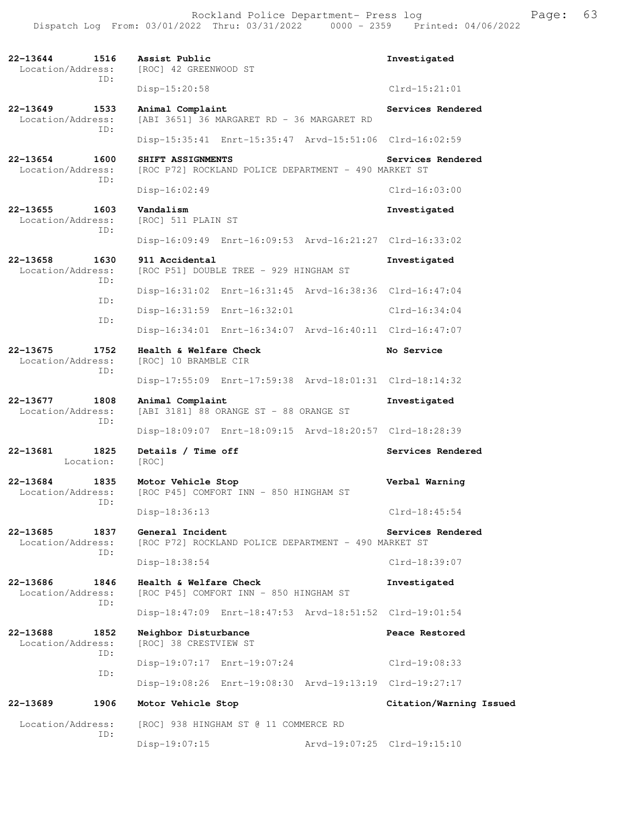Rockland Police Department- Press log entitled and Page: 63 Dispatch Log From: 03/01/2022 Thru: 03/31/2022 0000 - 2359 Printed: 04/06/2022

| 22-13644<br>1516<br>Location/Address:<br>ID:     | Assist Public<br>[ROC] 42 GREENWOOD ST                                    | Investigated                |
|--------------------------------------------------|---------------------------------------------------------------------------|-----------------------------|
|                                                  | Disp-15:20:58                                                             | $Clrd-15:21:01$             |
| $22 - 13649$<br>1533<br>Location/Address:<br>ID: | Animal Complaint<br>[ABI 3651] 36 MARGARET RD - 36 MARGARET RD            | Services Rendered           |
|                                                  | Disp-15:35:41 Enrt-15:35:47 Arvd-15:51:06 Clrd-16:02:59                   |                             |
| 22-13654<br>1600<br>Location/Address:            | SHIFT ASSIGNMENTS<br>[ROC P72] ROCKLAND POLICE DEPARTMENT - 490 MARKET ST | Services Rendered           |
| TD:                                              | $Disp-16:02:49$                                                           | $Clrd-16:03:00$             |
| 22-13655<br>1603<br>Location/Address:<br>ID:     | Vandalism<br>[ROC] 511 PLAIN ST                                           | Investigated                |
|                                                  | Disp-16:09:49 Enrt-16:09:53 Arvd-16:21:27 Clrd-16:33:02                   |                             |
| 22-13658<br>1630<br>Location/Address:<br>ID:     | 911 Accidental<br>[ROC P51] DOUBLE TREE - 929 HINGHAM ST                  | Investigated                |
| ID:                                              | Disp-16:31:02 Enrt-16:31:45 Arvd-16:38:36 Clrd-16:47:04                   |                             |
|                                                  | Disp-16:31:59 Enrt-16:32:01                                               | $Clrd-16:34:04$             |
| ID:                                              | Disp-16:34:01 Enrt-16:34:07 Arvd-16:40:11 Clrd-16:47:07                   |                             |
| $22 - 13675$<br>1752<br>Location/Address:<br>ID: | Health & Welfare Check<br>[ROC] 10 BRAMBLE CIR                            | No Service                  |
|                                                  | Disp-17:55:09 Enrt-17:59:38 Arvd-18:01:31 Clrd-18:14:32                   |                             |
| 22-13677<br>1808<br>Location/Address:<br>ID:     | Animal Complaint<br>[ABI 3181] 88 ORANGE ST - 88 ORANGE ST                | Investigated                |
|                                                  | Disp-18:09:07 Enrt-18:09:15 Arvd-18:20:57 Clrd-18:28:39                   |                             |
| 22-13681<br>1825<br>Location:                    | Details / Time off<br>[ROC]                                               | Services Rendered           |
| 22-13684<br>1835<br>Location/Address:<br>ID:     | Motor Vehicle Stop<br>[ROC P45] COMFORT INN - 850 HINGHAM ST              | Verbal Warning              |
|                                                  | Disp-18:36:13                                                             | $Clrd-18:45:54$             |
| 22-13685<br>1837<br>Location/Address:<br>ID:     | General Incident<br>[ROC P72] ROCKLAND POLICE DEPARTMENT - 490 MARKET ST  | Services Rendered           |
|                                                  | Disp-18:38:54                                                             | Clrd-18:39:07               |
| 22-13686<br>1846<br>Location/Address:<br>ID:     | Health & Welfare Check<br>[ROC P45] COMFORT INN - 850 HINGHAM ST          | Investigated                |
|                                                  | Disp-18:47:09 Enrt-18:47:53 Arvd-18:51:52 Clrd-19:01:54                   |                             |
| 22-13688<br>1852<br>Location/Address:<br>ID:     | Neighbor Disturbance<br>[ROC] 38 CRESTVIEW ST                             | Peace Restored              |
| ID:                                              | Disp-19:07:17 Enrt-19:07:24                                               | Clrd-19:08:33               |
|                                                  | Disp-19:08:26 Enrt-19:08:30 Arvd-19:13:19 Clrd-19:27:17                   |                             |
| 22-13689<br>1906                                 | Motor Vehicle Stop                                                        | Citation/Warning Issued     |
| Location/Address:                                | [ROC] 938 HINGHAM ST @ 11 COMMERCE RD                                     |                             |
| ID:                                              | Disp-19:07:15                                                             | Arvd-19:07:25 Clrd-19:15:10 |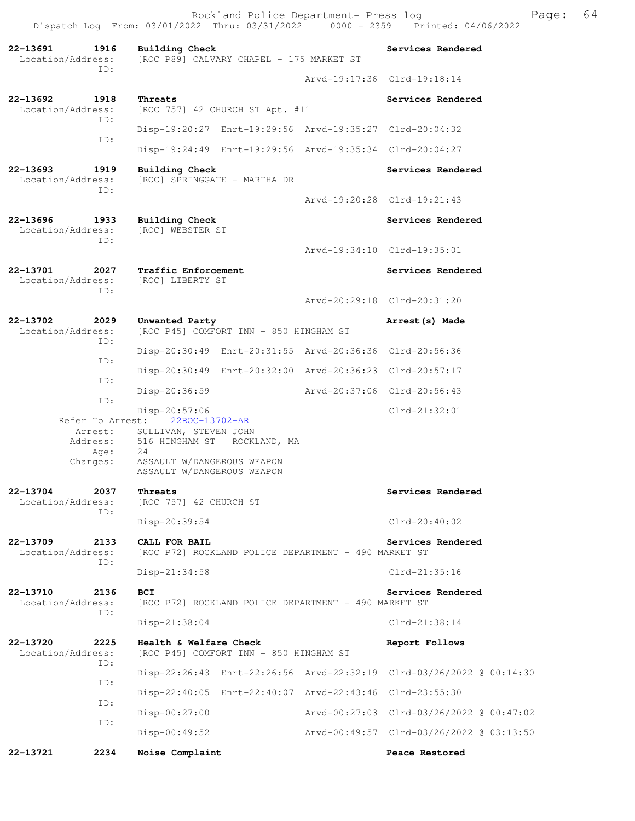Dispatch Log From: 03/01/2022 Thru: 03/31/2022 0000 - 2359 Printed: 04/06/2022 **22-13691 1916 Building Check Services Rendered**  Location/Address: [ROC P89] CALVARY CHAPEL - 175 MARKET ST ID: Arvd-19:17:36 Clrd-19:18:14 **22-13692 1918 Threats Interest Services Rendered** Location/Address: [ROC 757] 42 CHURCH ST Apt. #11 [ROC 757] 42 CHURCH ST Apt. #11 ID: Disp-19:20:27 Enrt-19:29:56 Arvd-19:35:27 Clrd-20:04:32 ID: Disp-19:24:49 Enrt-19:29:56 Arvd-19:35:34 Clrd-20:04:27 **22-13693 1919 Building Check Services Rendered**  Location/Address: [ROC] SPRINGGATE - MARTHA DR ID: Arvd-19:20:28 Clrd-19:21:43 **22-13696 1933 Building Check Services Rendered**  [ROC] WEBSTER ST ID: Arvd-19:34:10 Clrd-19:35:01 **22-13701 2027 Traffic Enforcement Services Rendered**  Location/Address: [ROC] LIBERTY ST ID: Arvd-20:29:18 Clrd-20:31:20 **22-13702 2029 Unwanted Party Arrest(s) Made**  Location/Address: [ROC P45] COMFORT INN - 850 HINGHAM ST ID: Disp-20:30:49 Enrt-20:31:55 Arvd-20:36:36 Clrd-20:56:36 ID: Disp-20:30:49 Enrt-20:32:00 Arvd-20:36:23 Clrd-20:57:17 ID: Disp-20:36:59 Arvd-20:37:06 Clrd-20:56:43 ID: Disp-20:57:06 Clrd-21:32:01 Refer To Arrest: 22ROC-13702-AR Arrest: SULLIVAN, STEVEN JOHN Address: 516 HINGHAM ST ROCKLAND, MA<br>Age: 24 Age: Charges: ASSAULT W/DANGEROUS WEAPON ASSAULT W/DANGEROUS WEAPON **22-13704 2037 Threats Services Rendered** Location/Address: [ROC 757] 42 CHURCH ST [ROC 757] 42 CHURCH ST ID: Disp-20:39:54 Clrd-20:40:02 **22-13709 2133 CALL FOR BAIL Services Rendered**  Location/Address: [ROC P72] ROCKLAND POLICE DEPARTMENT - 490 MARKET ST ID: Disp-21:34:58 Clrd-21:35:16 **22-13710 2136 BCI Services Rendered**  Location/Address: [ROC P72] ROCKLAND POLICE DEPARTMENT - 490 MARKET ST ID: Disp-21:38:04 Clrd-21:38:14 **22-13720 2225 Health & Welfare Check Report Follows**  Location/Address: [ROC P45] COMFORT INN - 850 HINGHAM ST ID: Disp-22:26:43 Enrt-22:26:56 Arvd-22:32:19 Clrd-03/26/2022 @ 00:14:30 ID: Disp-22:40:05 Enrt-22:40:07 Arvd-22:43:46 Clrd-23:55:30 ID: Disp-00:27:00 Arvd-00:27:03 Clrd-03/26/2022 @ 00:47:02 ID: Disp-00:49:52 Arvd-00:49:57 Clrd-03/26/2022 @ 03:13:50 **22-13721 2234 Noise Complaint Peace Restored** 

Rockland Police Department- Press log Franch Page: 64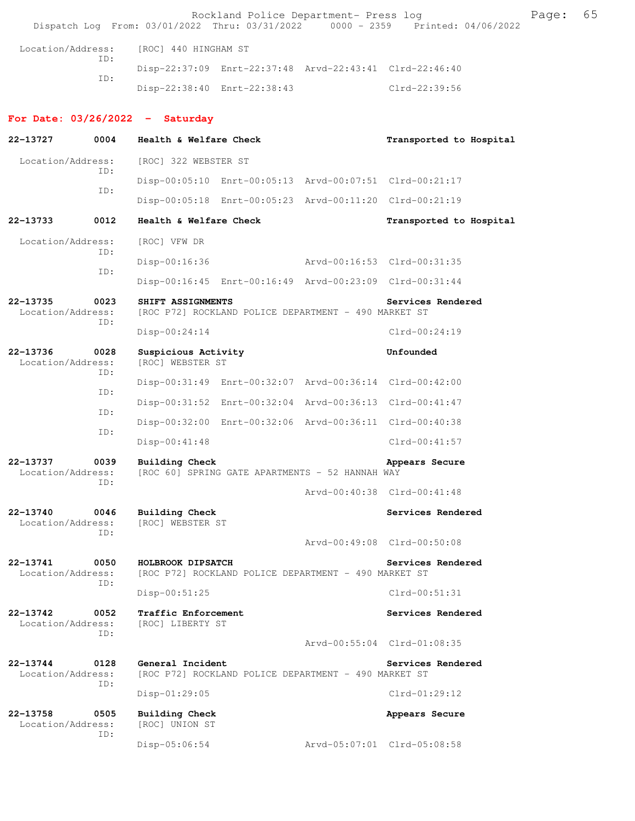|                               |             |                                           | Rockland Police Department- Press log                   |                             |                   | Dispatch Log From: 03/01/2022 Thru: 03/31/2022 0000 - 2359 Printed: 04/06/2022 | Page: | 65 |
|-------------------------------|-------------|-------------------------------------------|---------------------------------------------------------|-----------------------------|-------------------|--------------------------------------------------------------------------------|-------|----|
| Location/Address:             |             | [ROC] 440 HINGHAM ST                      |                                                         |                             |                   |                                                                                |       |    |
| ID:                           |             |                                           | Disp-22:37:09 Enrt-22:37:48 Arvd-22:43:41 Clrd-22:46:40 |                             |                   |                                                                                |       |    |
|                               | ID:         |                                           | Disp-22:38:40 Enrt-22:38:43                             |                             | Clrd-22:39:56     |                                                                                |       |    |
|                               |             | For Date: $03/26/2022 - Saturday$         |                                                         |                             |                   |                                                                                |       |    |
| 22-13727                      | 0004        | Health & Welfare Check                    |                                                         |                             |                   | Transported to Hospital                                                        |       |    |
| Location/Address:             |             | [ROC] 322 WEBSTER ST                      |                                                         |                             |                   |                                                                                |       |    |
|                               | ID:         |                                           | Disp-00:05:10 Enrt-00:05:13 Arvd-00:07:51 Clrd-00:21:17 |                             |                   |                                                                                |       |    |
|                               | ID:         |                                           | Disp-00:05:18 Enrt-00:05:23 Arvd-00:11:20 Clrd-00:21:19 |                             |                   |                                                                                |       |    |
| 22-13733                      | 0012        | Health & Welfare Check                    |                                                         |                             |                   | Transported to Hospital                                                        |       |    |
| Location/Address:             |             | [ROC] VFW DR                              |                                                         |                             |                   |                                                                                |       |    |
|                               | ID:         | $Disp-00:16:36$                           |                                                         | Arvd-00:16:53 Clrd-00:31:35 |                   |                                                                                |       |    |
|                               | ID:         |                                           | Disp-00:16:45 Enrt-00:16:49 Arvd-00:23:09 Clrd-00:31:44 |                             |                   |                                                                                |       |    |
| 22-13735<br>Location/Address: | 0023        | SHIFT ASSIGNMENTS                         | [ROC P72] ROCKLAND POLICE DEPARTMENT - 490 MARKET ST    |                             | Services Rendered |                                                                                |       |    |
| ID:                           |             | Disp-00:24:14                             |                                                         |                             | $Clrd-00:24:19$   |                                                                                |       |    |
| 22-13736<br>Location/Address: | 0028<br>ID: | Suspicious Activity<br>[ROC] WEBSTER ST   |                                                         |                             | Unfounded         |                                                                                |       |    |
|                               | ID:         |                                           | Disp-00:31:49 Enrt-00:32:07 Arvd-00:36:14 Clrd-00:42:00 |                             |                   |                                                                                |       |    |
|                               | ID:         |                                           | Disp-00:31:52 Enrt-00:32:04 Arvd-00:36:13 Clrd-00:41:47 |                             |                   |                                                                                |       |    |
|                               | ID:         |                                           | Disp-00:32:00 Enrt-00:32:06 Arvd-00:36:11 Clrd-00:40:38 |                             |                   |                                                                                |       |    |
|                               |             | $Disp-00:41:48$                           |                                                         |                             | $Clrd-00:41:57$   |                                                                                |       |    |
| 22-13737<br>Location/Address: | 0039<br>ID: | Building Check                            | [ROC 60] SPRING GATE APARTMENTS - 52 HANNAH WAY         |                             | Appears Secure    |                                                                                |       |    |
|                               |             |                                           |                                                         | Arvd-00:40:38 Clrd-00:41:48 |                   |                                                                                |       |    |
| 22-13740<br>Location/Address: | 0046<br>ID: | <b>Building Check</b><br>[ROC] WEBSTER ST |                                                         |                             | Services Rendered |                                                                                |       |    |
|                               |             |                                           |                                                         | Arvd-00:49:08 Clrd-00:50:08 |                   |                                                                                |       |    |
| 22-13741<br>Location/Address: | 0050<br>ID: | HOLBROOK DIPSATCH                         | [ROC P72] ROCKLAND POLICE DEPARTMENT - 490 MARKET ST    |                             | Services Rendered |                                                                                |       |    |
|                               |             | Disp-00:51:25                             |                                                         |                             | $Clrd-00:51:31$   |                                                                                |       |    |
| 22-13742<br>Location/Address: | 0052<br>ID: | Traffic Enforcement<br>[ROC] LIBERTY ST   |                                                         |                             | Services Rendered |                                                                                |       |    |
|                               |             |                                           |                                                         | Arvd-00:55:04 Clrd-01:08:35 |                   |                                                                                |       |    |
| 22-13744<br>Location/Address: | 0128<br>ID: | General Incident                          | [ROC P72] ROCKLAND POLICE DEPARTMENT - 490 MARKET ST    |                             | Services Rendered |                                                                                |       |    |
|                               |             | $Disp-01:29:05$                           |                                                         |                             | $Clrd-01:29:12$   |                                                                                |       |    |
| 22-13758<br>Location/Address: | 0505<br>ID: | Building Check<br>[ROC] UNION ST          |                                                         |                             | Appears Secure    |                                                                                |       |    |
|                               |             | $Disp-05:06:54$                           |                                                         | Arvd-05:07:01 Clrd-05:08:58 |                   |                                                                                |       |    |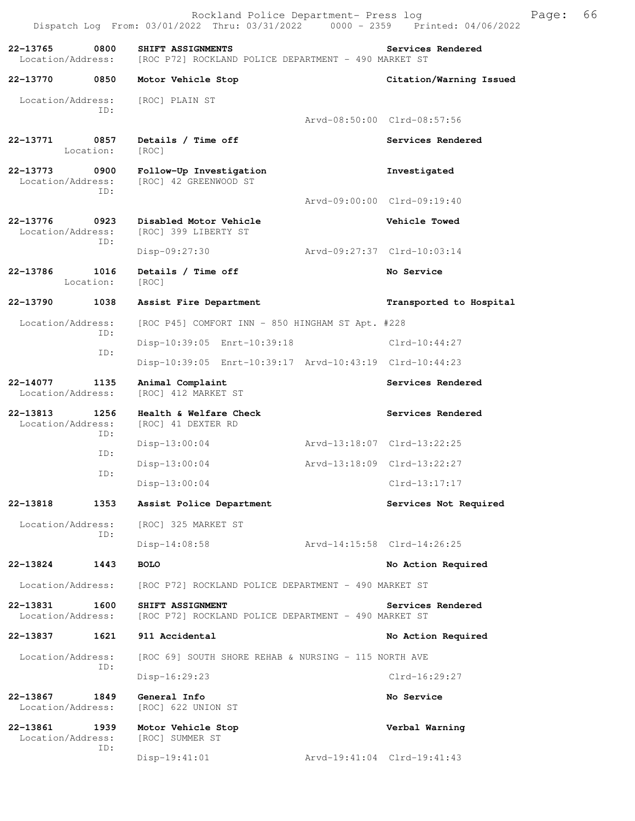Dispatch Log From: 03/01/2022 Thru: 03/31/2022 0000 - 2359 Printed: 04/06/2022 **22-13765 0800 SHIFT ASSIGNMENTS Services Rendered**  Location/Address: [ROC P72] ROCKLAND POLICE DEPARTMENT - 490 MARKET ST **22-13770 0850 Motor Vehicle Stop Citation/Warning Issued**  Location/Address: [ROC] PLAIN ST ID: Arvd-08:50:00 Clrd-08:57:56 **22-13771 0857 Details / Time off Services Rendered**  Location: [ROC] **22-13773 0900 Follow-Up Investigation Investigated**  [ROC] 42 GREENWOOD ST ID: Arvd-09:00:00 Clrd-09:19:40 **22-13776 0923 Disabled Motor Vehicle Vehicle Towed**  [ROC] 399 LIBERTY ST ID: Disp-09:27:30 Arvd-09:27:37 Clrd-10:03:14 **22-13786 1016 Details / Time off No Service**  Location: [ROC] **22-13790 1038 Assist Fire Department Transported to Hospital**  Location/Address: [ROC P45] COMFORT INN - 850 HINGHAM ST Apt. #228 ID: Disp-10:39:05 Enrt-10:39:18 Clrd-10:44:27 ID: Disp-10:39:05 Enrt-10:39:17 Arvd-10:43:19 Clrd-10:44:23 **22-14077 1135 Animal Complaint Services Rendered Location/Address:** [ROC] 412 MARKET ST [ROC] 412 MARKET ST **22-13813 1256 Health & Welfare Check Services Rendered**  Location/Address: [ROC] 41 DEXTER RD ID: Disp-13:00:04 Arvd-13:18:07 Clrd-13:22:25 ID: Disp-13:00:04 Arvd-13:18:09 Clrd-13:22:27 ID: Disp-13:00:04 Clrd-13:17:17 **22-13818 1353 Assist Police Department Services Not Required**  Location/Address: [ROC] 325 MARKET ST ID: Disp-14:08:58 Arvd-14:15:58 Clrd-14:26:25 **22-13824 1443 BOLO No Action Required**  Location/Address: [ROC P72] ROCKLAND POLICE DEPARTMENT - 490 MARKET ST **22-13831 1600 SHIFT ASSIGNMENT** POLICE DEPARTMENT - 490 MARKET ST Location/Address: [ROC P72] ROCKLAND POLICE DEPARTMENT - 490 MARKET ST [ROC P72] ROCKLAND POLICE DEPARTMENT - 490 MARKET ST **22-13837 1621 911 Accidental No Action Required**  Location/Address: [ROC 69] SOUTH SHORE REHAB & NURSING - 115 NORTH AVE ID: Disp-16:29:23 Clrd-16:29:27 **22-13867 1849 General Info No Service**<br>
Location/Address: [ROC] 622 UNION ST [ROC] 622 UNION ST **22-13861 1939 Motor Vehicle Stop Verbal Warning**  Location/Address: [ROC] SUMMER ST ID: Disp-19:41:01 Arvd-19:41:04 Clrd-19:41:43

Rockland Police Department- Press log Freed Page: 66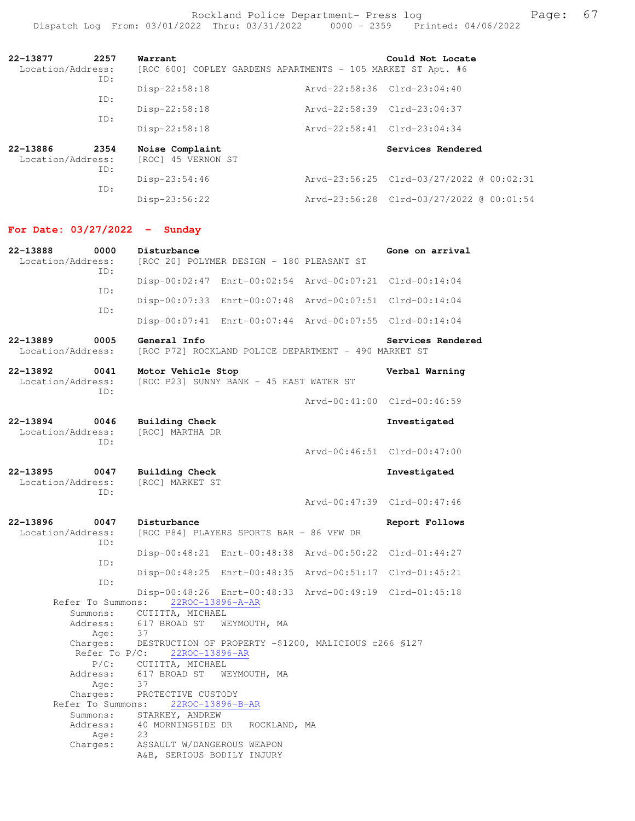Rockland Police Department- Press log entitled and Page: 67 Dispatch Log From: 03/01/2022 Thru: 03/31/2022 0000 - 2359 Printed: 04/06/2022

| 22-13877<br>2257<br>Location/Address:<br>ID: |             | Warrant<br>[ROC 600] COPLEY GARDENS APARTMENTS - 105 MARKET ST Apt. #6 |                             | Could Not Locate                         |
|----------------------------------------------|-------------|------------------------------------------------------------------------|-----------------------------|------------------------------------------|
|                                              | ID:         | $Disp-22:58:18$                                                        | Arvd-22:58:36 Clrd-23:04:40 |                                          |
|                                              | ID:         | Disp-22:58:18                                                          | Arvd-22:58:39 Clrd-23:04:37 |                                          |
|                                              |             | $Disp-22:58:18$                                                        | Arvd-22:58:41 Clrd-23:04:34 |                                          |
| 22-13886<br>Location/Address:                | 2354<br>ID: | Noise Complaint<br>[ROC] 45 VERNON ST                                  |                             | Services Rendered                        |
|                                              |             | $Disp-23:54:46$                                                        |                             | Arvd-23:56:25 Clrd-03/27/2022 @ 00:02:31 |
|                                              | ID:         | $Disp-23:56:22$                                                        |                             | Arvd-23:56:28 Clrd-03/27/2022 @ 00:01:54 |

# **For Date: 03/27/2022 - Sunday**

| 22-13888<br>0000<br>Location/Address:<br>TD: | Disturbance<br>[ROC 20] POLYMER DESIGN - 180 PLEASANT ST                    | Gone on arrival             |
|----------------------------------------------|-----------------------------------------------------------------------------|-----------------------------|
| ID:                                          | Disp-00:02:47 Enrt-00:02:54 Arvd-00:07:21 Clrd-00:14:04                     |                             |
| ID:                                          | Disp-00:07:33 Enrt-00:07:48 Arvd-00:07:51 Clrd-00:14:04                     |                             |
|                                              | Disp-00:07:41 Enrt-00:07:44 Arvd-00:07:55 Clrd-00:14:04                     |                             |
| 22-13889<br>0005<br>Location/Address:        | General Info<br>[ROC P72] ROCKLAND POLICE DEPARTMENT - 490 MARKET ST        | Services Rendered           |
| 22-13892<br>0041<br>Location/Address:        | Motor Vehicle Stop<br>[ROC P23] SUNNY BANK - 45 EAST WATER ST               | Verbal Warning              |
| ID:                                          |                                                                             | Arvd-00:41:00 Clrd-00:46:59 |
| 22-13894<br>0046<br>Location/Address:<br>TD: | Building Check<br>[ROC] MARTHA DR                                           | Investigated                |
|                                              |                                                                             | Arvd-00:46:51 Clrd-00:47:00 |
| 22-13895<br>0047<br>Location/Address:<br>TD: | Building Check<br>[ROC] MARKET ST                                           | Investigated                |
|                                              |                                                                             | Arvd-00:47:39 Clrd-00:47:46 |
| 22-13896<br>0047<br>Location/Address:<br>ID: | Disturbance<br>[ROC P84] PLAYERS SPORTS BAR - 86 VFW DR                     | Report Follows              |
| ID:                                          | Disp-00:48:21 Enrt-00:48:38 Arvd-00:50:22 Clrd-01:44:27                     |                             |
| ID:                                          | Disp-00:48:25 Enrt-00:48:35 Arvd-00:51:17 Clrd-01:45:21                     |                             |
| Refer To Summons:                            | Disp-00:48:26 Enrt-00:48:33 Arvd-00:49:19 Clrd-01:45:18<br>22ROC-13896-A-AR |                             |
| Summons:                                     | CUTITTA, MICHAEL                                                            |                             |
| Address:                                     | 617 BROAD ST<br>WEYMOUTH, MA                                                |                             |
| Age:                                         | 37                                                                          |                             |
| Charges:                                     | DESTRUCTION OF PROPERTY -\$1200, MALICIOUS c266 \$127                       |                             |
| Refer To $P/C$ :                             | 22ROC-13896-AR                                                              |                             |
| P/C:                                         | CUTITTA, MICHAEL                                                            |                             |
| Address:                                     | 617 BROAD ST WEYMOUTH, MA                                                   |                             |
| Age:                                         | 37                                                                          |                             |
| Charges:                                     | PROTECTIVE CUSTODY                                                          |                             |
| Refer To Summons:                            | 22ROC-13896-B-AR                                                            |                             |
|                                              | Summons: STARKEY, ANDREW                                                    |                             |
| Address:                                     | 40 MORNINGSIDE DR<br>ROCKLAND, MA                                           |                             |
| Age:                                         | 23                                                                          |                             |
| Charges:                                     | ASSAULT W/DANGEROUS WEAPON<br>A&B, SERIOUS BODILY INJURY                    |                             |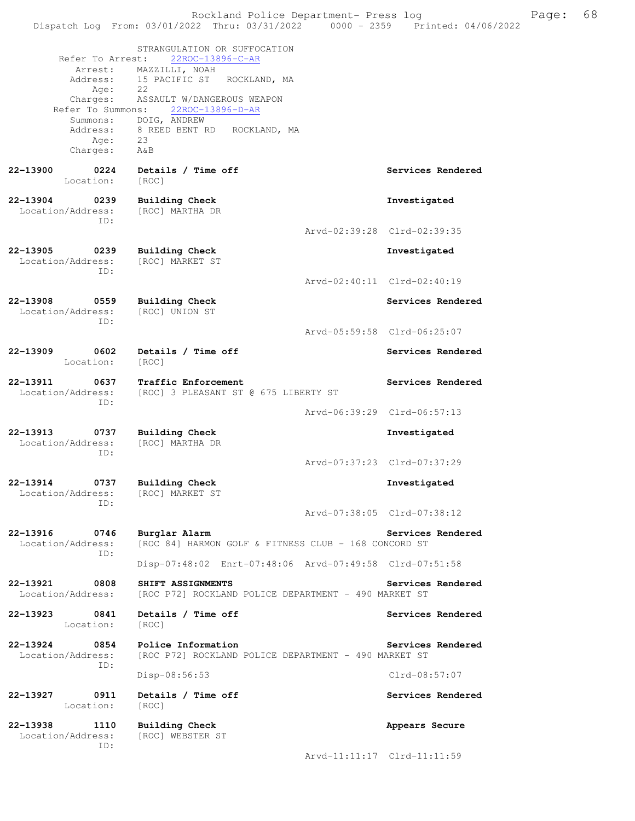Rockland Police Department- Press log Freed Page: 68 Dispatch Log From: 03/01/2022 Thru: 03/31/2022 0000 - 2359 Printed: 04/06/2022 STRANGULATION OR SUFFOCATION Refer To Arrest: 22ROC-13896-C-AR Arrest: MAZZILLI, NOAH Address: 15 PACIFIC ST ROCKLAND, MA Age: 22 Charges: ASSAULT W/DANGEROUS WEAPON Refer To Summons: 22ROC-13896-D-AR Summons: DOIG, ANDREW<br>Address: 8 REED BENT R 8 REED BENT RD ROCKLAND, MA Age: 23 Charges: A&B 22-13900 0224 Details / Time off **Services Rendered Services** Rendered Location: [ROC] **22-13904 0239 Building Check Investigated**  Location/Address: ID: Arvd-02:39:28 Clrd-02:39:35 **22-13905 0239 Building Check Investigated**  Location/Address: ID: Arvd-02:40:11 Clrd-02:40:19 **22-13908 0559 Building Check Services Rendered**  Location/Address: [ROC] UNION ST ID: Arvd-05:59:58 Clrd-06:25:07 **22-13909 0602 Details / Time off Services Rendered**  Location: [ROC] **22-13911 0637 Traffic Enforcement 122-13911 0637 Traffic Enforcement Services Rendered Encoded Services Rendered** [ROC] 3 PLEASANT ST @ 675 LIBERTY ST ID: Arvd-06:39:29 Clrd-06:57:13 **22-13913 0737 Building Check Investigated**  Location/Address: [ROC] MARTHA DR ID: Arvd-07:37:23 Clrd-07:37:29 **22-13914 0737 Building Check Investigated**  Location/Address: ID: Arvd-07:38:05 Clrd-07:38:12 **22-13916 0746 Burglar Alarm Services Rendered**  Location/Address: [ROC 84] HARMON GOLF & FITNESS CLUB - 168 CONCORD ST ID: Disp-07:48:02 Enrt-07:48:06 Arvd-07:49:58 Clrd-07:51:58 **22-13921 0808 SHIFT ASSIGNMENTS Services Rendered**  Location/Address: [ROC P72] ROCKLAND POLICE DEPARTMENT - 490 MARKET ST **22-13923 0841 Details / Time off Services Rendered**  Location: [ROC] **22-13924 0854 Police Information Services Rendered** Location/Address: [ROC P72] ROCKLAND POLICE DEPARTMENT - 490 MARKET ST [ROC P72] ROCKLAND POLICE DEPARTMENT - 490 MARKET ST ID: Disp-08:56:53 Clrd-08:57:07 **22-13927 0911 Details / Time off Services Rendered**  Location: [ROC] **22-13938 1110 Building Check Appears Secure**  Location/Address: [ROC] WEBSTER ST ID:

Arvd-11:11:17 Clrd-11:11:59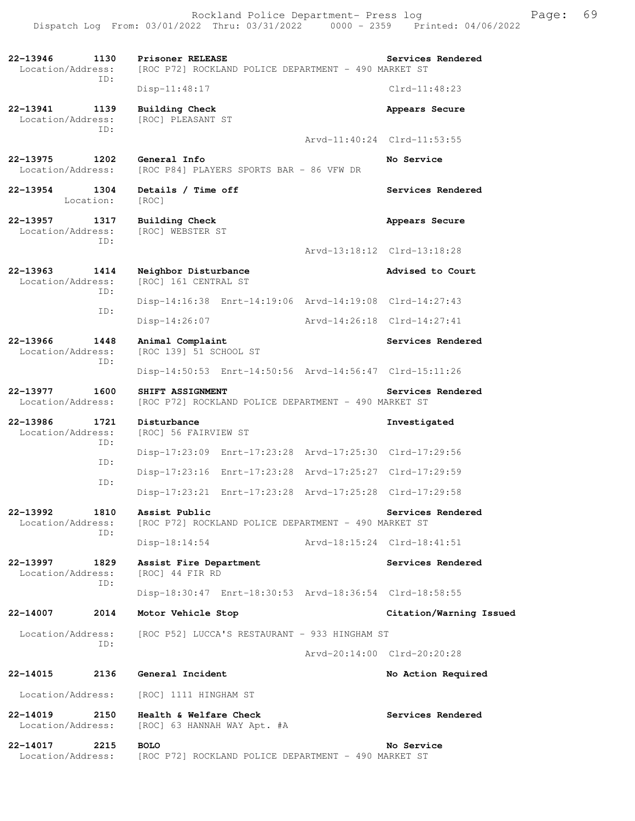Rockland Police Department- Press log France Press 100 Dispatch Log From: 03/01/2022 Thru: 03/31/2022 0000 - 2359 Printed: 04/06/2022

**22-13946 1130 Prisoner RELEASE Services Rendered**  Location/Address: [ROC P72] ROCKLAND POLICE DEPARTMENT - 490 MARKET ST ID: Disp-11:48:17 Clrd-11:48:23 **22-13941 1139 Building Check Appears Secure** Appears Secure Location/Address: [ROC] PLEASANT ST Location/Address: ID: Arvd-11:40:24 Clrd-11:53:55 **22-13975 1202 General Info No Service**<br>Location/Address: [ROC P84] PLAYERS SPORTS BAR - 86 VFW DR [ROC P84] PLAYERS SPORTS BAR - 86 VFW DR **22-13954 1304 Details / Time off Services Rendered**  Location: [ROC] **22-13957 1317 Building Check Appears Secure**  Location/Address: [ROC] WEBSTER ST ID: Arvd-13:18:12 Clrd-13:18:28 **22-13963 1414 Neighbor Disturbance Advised to Court**  Location/Address: [ROC] 161 CENTRAL ST ID: Disp-14:16:38 Enrt-14:19:06 Arvd-14:19:08 Clrd-14:27:43 ID: Disp-14:26:07 Arvd-14:26:18 Clrd-14:27:41 **22-13966 1448 Animal Complaint Services Rendered**  Location/Address: [ROC 139] 51 SCHOOL ST ID: Disp-14:50:53 Enrt-14:50:56 Arvd-14:56:47 Clrd-15:11:26 **22-13977 1600 SHIFT ASSIGNMENT Services Rendered Services Rendered**  Location/Address: [ROC P72] ROCKLAND POLICE DEPARTMENT - 490 MARKET ST **22-13986 1721 Disturbance Investigated**  [ROC] 56 FAIRVIEW ST ID: Disp-17:23:09 Enrt-17:23:28 Arvd-17:25:30 Clrd-17:29:56 ID: Disp-17:23:16 Enrt-17:23:28 Arvd-17:25:27 Clrd-17:29:59 ID: Disp-17:23:21 Enrt-17:23:28 Arvd-17:25:28 Clrd-17:29:58 **22-13992 1810 Assist Public Services Rendered**  Location/Address: [ROC P72] ROCKLAND POLICE DEPARTMENT - 490 MARKET ST ID: Disp-18:14:54 Arvd-18:15:24 Clrd-18:41:51 **22-13997 1829 Assist Fire Department Services Rendered**  Location/Address: [ROC] 44 FIR RD ID: Disp-18:30:47 Enrt-18:30:53 Arvd-18:36:54 Clrd-18:58:55 **22-14007 2014 Motor Vehicle Stop Citation/Warning Issued**  Location/Address: [ROC P52] LUCCA'S RESTAURANT - 933 HINGHAM ST ID: Arvd-20:14:00 Clrd-20:20:28 **22-14015 2136 General Incident No Action Required**  Location/Address: [ROC] 1111 HINGHAM ST **22-14019 2150 Health & Welfare Check Services Rendered**  Location/Address: [ROC] 63 HANNAH WAY Apt. #A **22-14017 2215 BOLO No Service**  Location/Address: [ROC P72] ROCKLAND POLICE DEPARTMENT - 490 MARKET ST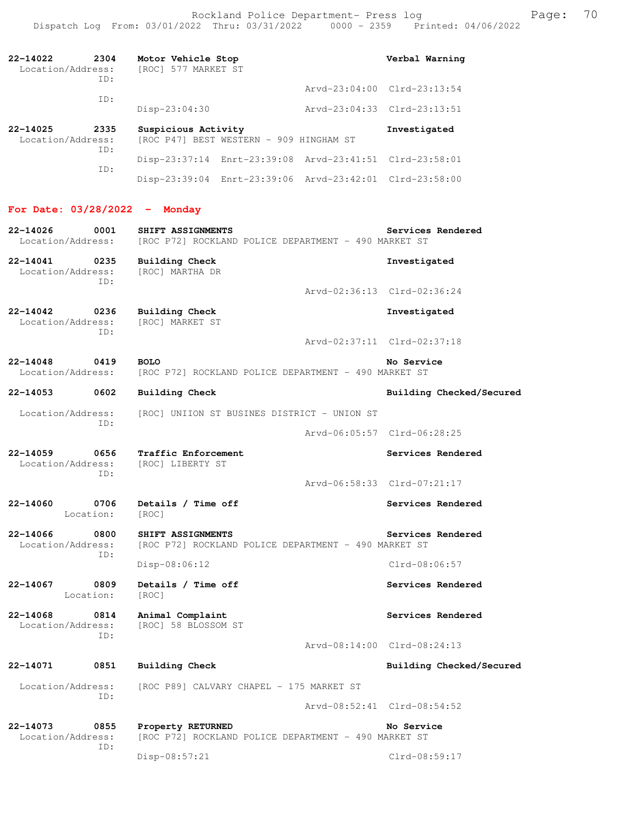| 22-14022<br>2304<br>Location/Address:<br>ID: | Motor Vehicle Stop<br>[ROC] 577 MARKET ST                      | Verbal Warning              |
|----------------------------------------------|----------------------------------------------------------------|-----------------------------|
| TD:                                          |                                                                | Arvd-23:04:00 Clrd-23:13:54 |
|                                              | $Disp-23:04:30$                                                | Arvd-23:04:33 Clrd-23:13:51 |
| 22-14025<br>2335<br>Location/Address:<br>TD: | Suspicious Activity<br>[ROC P47] BEST WESTERN - 909 HINGHAM ST | Investigated                |
| TD:                                          | Disp-23:37:14 Enrt-23:39:08 Arvd-23:41:51 Clrd-23:58:01        |                             |
|                                              | Disp-23:39:04 Enrt-23:39:06 Arvd-23:42:01 Clrd-23:58:00        |                             |

# **For Date: 03/28/2022 - Monday**

| 22-14026<br>0001<br>Location/Address:        | SHIFT ASSIGNMENTS<br>[ROC P72] ROCKLAND POLICE DEPARTMENT - 490 MARKET ST | Services Rendered           |
|----------------------------------------------|---------------------------------------------------------------------------|-----------------------------|
| 22-14041<br>0235<br>Location/Address:<br>ID: | Building Check<br>[ROC] MARTHA DR                                         | Investigated                |
|                                              |                                                                           | Arvd-02:36:13 Clrd-02:36:24 |
| 22-14042<br>0236<br>Location/Address:<br>TD: | Building Check<br>[ROC] MARKET ST                                         | Investigated                |
|                                              |                                                                           | Arvd-02:37:11 Clrd-02:37:18 |
| 0419<br>$22 - 14048$<br>Location/Address:    | <b>BOLO</b><br>[ROC P72] ROCKLAND POLICE DEPARTMENT - 490 MARKET ST       | No Service                  |
| $22 - 14053$<br>0602                         | <b>Building Check</b>                                                     | Building Checked/Secured    |
| Location/Address:<br>ID:                     | [ROC] UNIION ST BUSINES DISTRICT - UNION ST                               |                             |
|                                              |                                                                           | Arvd-06:05:57 Clrd-06:28:25 |
| 0656<br>22-14059<br>Location/Address:<br>ID: | Traffic Enforcement<br>[ROC] LIBERTY ST                                   | Services Rendered           |
|                                              |                                                                           | Arvd-06:58:33 Clrd-07:21:17 |
| 0706<br>22-14060<br>Location:                | Details / Time off<br>[ROC]                                               | Services Rendered           |
| 22-14066<br>0800<br>Location/Address:<br>ID: | SHIFT ASSIGNMENTS<br>[ROC P72] ROCKLAND POLICE DEPARTMENT - 490 MARKET ST | Services Rendered           |
|                                              | Disp-08:06:12                                                             | Clrd-08:06:57               |
| 22-14067<br>0809<br>Location:                | Details / Time off<br>[ROC]                                               | Services Rendered           |
| 22-14068<br>0814<br>Location/Address:<br>ID: | Animal Complaint<br>[ROC] 58 BLOSSOM ST                                   | Services Rendered           |
|                                              |                                                                           | Arvd-08:14:00 Clrd-08:24:13 |
| 22-14071<br>0851                             | Building Check                                                            | Building Checked/Secured    |
| Location/Address:<br>ID:                     | [ROC P89] CALVARY CHAPEL - 175 MARKET ST                                  |                             |
|                                              |                                                                           | Arvd-08:52:41 Clrd-08:54:52 |
| 22-14073<br>0855<br>Location/Address:<br>ID: | Property RETURNED<br>[ROC P72] ROCKLAND POLICE DEPARTMENT - 490 MARKET ST | No Service                  |
|                                              | Disp-08:57:21                                                             | Clrd-08:59:17               |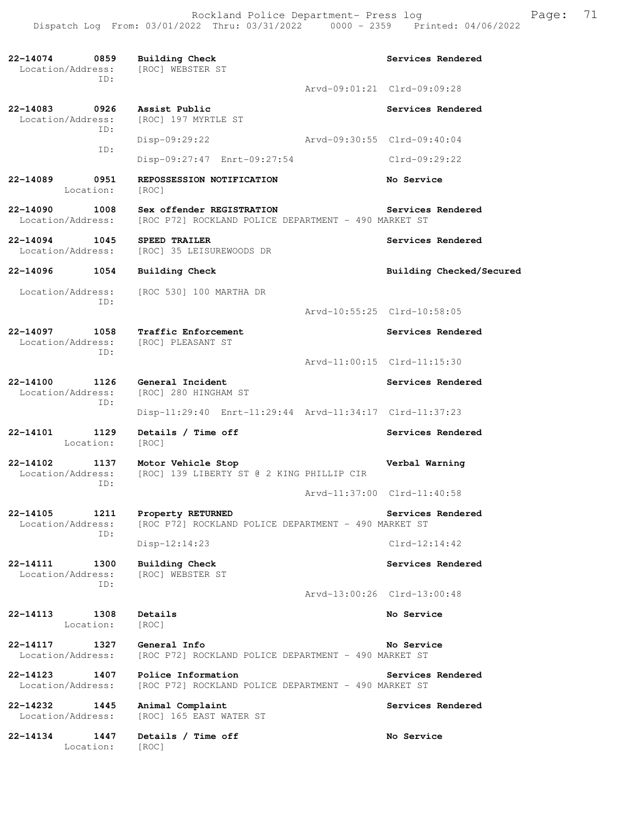**22-14074 0859 Building Check Services Rendered**  Location/Address: [ROC] WEBSTER ST ID: Arvd-09:01:21 Clrd-09:09:28 **22-14083 0926 Assist Public Services Rendered Execution** / Address: [ROC] 197 MYRTLE ST [ROC] 197 MYRTLE ST ID: Disp-09:29:22 Arvd-09:30:55 Clrd-09:40:04 ID: Disp-09:27:47 Enrt-09:27:54 Clrd-09:29:22 **22-14089 0951 REPOSSESSION NOTIFICATION No Service**  Location: [ROC] **22-14090 1008 Sex offender REGISTRATION Services Rendered**  Location/Address: [ROC P72] ROCKLAND POLICE DEPARTMENT - 490 MARKET ST **22-14094 1045 SPEED TRAILER** SOURD BRAILER SERVICES Rendered Location/Address: [ROC] 35 LEISUREWOODS DR [ROC] 35 LEISUREWOODS DR **22-14096 1054 Building Check Building Checked/Secured**  Location/Address: [ROC 530] 100 MARTHA DR ID: Arvd-10:55:25 Clrd-10:58:05 **22-14097 1058 Traffic Enforcement Services Rendered**  Location/Address: [ROC] PLEASANT ST ID: Arvd-11:00:15 Clrd-11:15:30 **22-14100 1126 General Incident Services Rendered**  Location/Address: [ROC] 280 HINGHAM ST ID: Disp-11:29:40 Enrt-11:29:44 Arvd-11:34:17 Clrd-11:37:23 **22-14101 1129 Details / Time off Services Rendered**  Location: [ROC] **22-14102 1137 Motor Vehicle Stop Verbal Warning**  [ROC] 139 LIBERTY ST @ 2 KING PHILLIP CIR ID: Arvd-11:37:00 Clrd-11:40:58 **22-14105 1211 Property RETURNED Services Rendered Services Rendered Location/Address:** [ROC P72] ROCKLAND POLICE DEPARTMENT - 490 MARKET ST [ROC P72] ROCKLAND POLICE DEPARTMENT - 490 MARKET ST ID: Disp-12:14:23 Clrd-12:14:42 **22-14111 1300 Building Check Services Rendered**  Location/Address: [ROC] WEBSTER ST ID: Arvd-13:00:26 Clrd-13:00:48 **22-14113 1308 Details No Service**  Location: [ROC] **22-14117 1327 General Info No Service**  Location/Address: [ROC P72] ROCKLAND POLICE DEPARTMENT - 490 MARKET ST **22-14123 1407 Police Information Services Rendered**  Location/Address: [ROC P72] ROCKLAND POLICE DEPARTMENT - 490 MARKET ST **22-14232 1445 Animal Complaint Services Rendered**  Location/Address: [ROC] 165 EAST WATER ST **22-14134 1447 Details / Time off No Service**  Location: [ROC]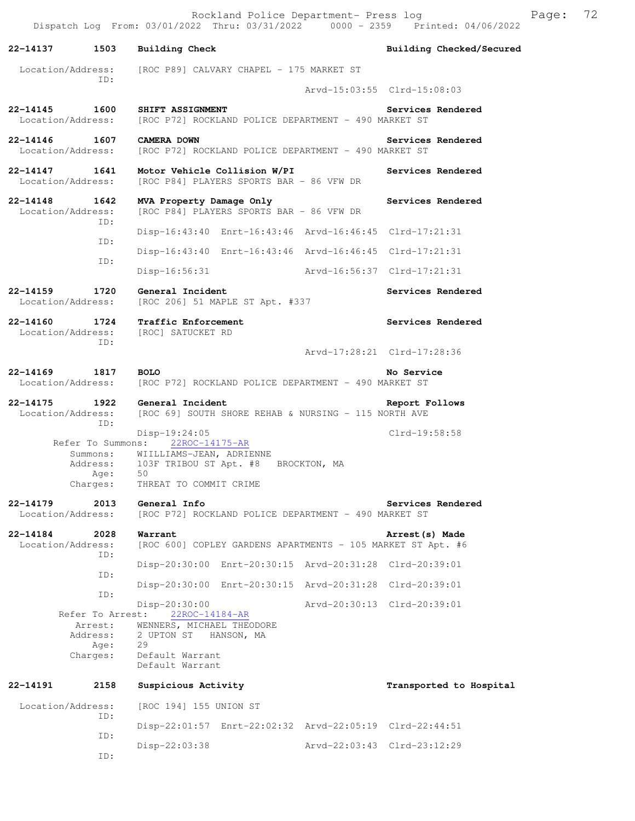Dispatch Log From: 03/01/2022 Thru: 03/31/2022 0000 - 2359 Printed: 04/06/2022 **22-14137 1503 Building Check Building Checked/Secured**  Location/Address: [ROC P89] CALVARY CHAPEL - 175 MARKET ST ID: Arvd-15:03:55 Clrd-15:08:03 **22-14145 1600 SHIFT ASSIGNMENT Services Rendered**  Location/Address: [ROC P72] ROCKLAND POLICE DEPARTMENT - 490 MARKET ST **22-14146 1607 CAMERA DOWN Services Rendered**  Location/Address: [ROC P72] ROCKLAND POLICE DEPARTMENT - 490 MARKET ST **22-14147 1641 Motor Vehicle Collision W/PI Services Rendered**  Location/Address: [ROC P84] PLAYERS SPORTS BAR - 86 VFW DR **22-14148 1642 MVA Property Damage Only Services Rendered**  Location/Address: [ROC P84] PLAYERS SPORTS BAR - 86 VFW DR ID: Disp-16:43:40 Enrt-16:43:46 Arvd-16:46:45 Clrd-17:21:31 ID: Disp-16:43:40 Enrt-16:43:46 Arvd-16:46:45 Clrd-17:21:31 ID: Disp-16:56:31 Arvd-16:56:37 Clrd-17:21:31 **22-14159 1720 General Incident Constant Services Rendered** Location/Address: [ROC 206] 51 MAPLE ST Apt. #337 [ROC 206] 51 MAPLE ST Apt. #337 **22-14160 1724 Traffic Enforcement Services Rendered**  Location/Address: [ROC] SATUCKET RD ID: Arvd-17:28:21 Clrd-17:28:36 **22-14169 1817 BOLO No Service**<br>Location/Address: [ROC P72] ROCKLAND POLICE DEPARTMENT - 490 MARKET ST [ROC P72] ROCKLAND POLICE DEPARTMENT - 490 MARKET ST **22-14175 1922 General Incident Report Follows**  Location/Address: [ROC 69] SOUTH SHORE REHAB & NURSING - 115 NORTH AVE ID: Disp-19:24:05 Clrd-19:58:58 Refer To Summons: 22ROC-14175-AR Summons: WIILLIAMS-JEAN, ADRIENNE Address: 103F TRIBOU ST Apt. #8 BROCKTON, MA Age: 50 Charges: THREAT TO COMMIT CRIME **22-14179 2013 General Info Services Rendered**  Location/Address: [ROC P72] ROCKLAND POLICE DEPARTMENT - 490 MARKET ST **22-14184 2028 Warrant Arrest(s) Made**  Location/Address: [ROC 600] COPLEY GARDENS APARTMENTS - 105 MARKET ST Apt. #6 ID: Disp-20:30:00 Enrt-20:30:15 Arvd-20:31:28 Clrd-20:39:01 ID: Disp-20:30:00 Enrt-20:30:15 Arvd-20:31:28 Clrd-20:39:01 ID: Disp-20:30:00 Arvd-20:30:13 Clrd-20:39:01 Refer To Arrest: 22ROC-14184-AR Arrest: WENNERS, MICHAEL THEODORE Address: 2 UPTON ST HANSON, MA<br>Age: 29 Age: Charges: Default Warrant Default Warrant **22-14191 2158 Suspicious Activity Transported to Hospital**  Location/Address: [ROC 194] 155 UNION ST ID: Disp-22:01:57 Enrt-22:02:32 Arvd-22:05:19 Clrd-22:44:51

Disp-22:03:38 Arvd-22:03:43 Clrd-23:12:29

ID:

ID:

Rockland Police Department- Press log Fage: 72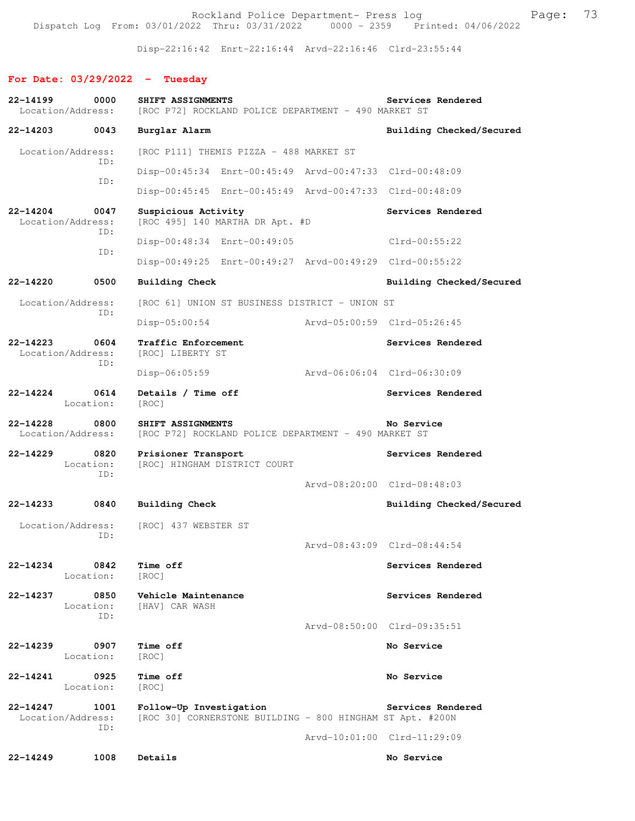Rockland Police Department- Press log entitled and Page: 73 Dispatch Log From: 03/01/2022 Thru: 03/31/2022 0000 - 2359 Printed: 04/06/2022

Disp-22:16:42 Enrt-22:16:44 Arvd-22:16:46 Clrd-23:55:44

# **For Date: 03/29/2022 - Tuesday**

| 22-14199     | 0000                             | SHIFT ASSIGNMENTS                                                                    |                             | Services Rendered |                          |
|--------------|----------------------------------|--------------------------------------------------------------------------------------|-----------------------------|-------------------|--------------------------|
|              | Location/Address:                | [ROC P72] ROCKLAND POLICE DEPARTMENT - 490 MARKET ST                                 |                             |                   |                          |
| 22-14203     | 0043                             | Burglar Alarm                                                                        |                             |                   | Building Checked/Secured |
|              | Location/Address:<br>ID:         | [ROC P111] THEMIS PIZZA - 488 MARKET ST                                              |                             |                   |                          |
|              | ID:                              | Disp-00:45:34 Enrt-00:45:49 Arvd-00:47:33 Clrd-00:48:09                              |                             |                   |                          |
|              |                                  | Disp-00:45:45 Enrt-00:45:49 Arvd-00:47:33 Clrd-00:48:09                              |                             |                   |                          |
| $22 - 14204$ | 0047<br>Location/Address:        | Suspicious Activity<br>[ROC 495] 140 MARTHA DR Apt. #D                               |                             | Services Rendered |                          |
|              | ID:                              | Disp-00:48:34 Enrt-00:49:05                                                          |                             | $Clrd-00:55:22$   |                          |
|              | ID:                              | Disp-00:49:25 Enrt-00:49:27 Arvd-00:49:29 Clrd-00:55:22                              |                             |                   |                          |
| 22-14220     | 0500                             | <b>Building Check</b>                                                                |                             |                   | Building Checked/Secured |
|              | Location/Address:                | [ROC 61] UNION ST BUSINESS DISTRICT - UNION ST                                       |                             |                   |                          |
|              | ID:                              | $Disp-05:00:54$                                                                      | Arvd-05:00:59 Clrd-05:26:45 |                   |                          |
| $22 - 14223$ | 0604<br>Location/Address:<br>ID: | Traffic Enforcement<br>[ROC] LIBERTY ST                                              |                             | Services Rendered |                          |
|              |                                  | Disp-06:05:59                                                                        | Arvd-06:06:04 Clrd-06:30:09 |                   |                          |
| $22 - 14224$ | 0614<br>Location:                | Details / Time off<br>[ROC]                                                          |                             | Services Rendered |                          |
| $22 - 14228$ | 0800<br>Location/Address:        | SHIFT ASSIGNMENTS<br>[ROC P72] ROCKLAND POLICE DEPARTMENT - 490 MARKET ST            |                             | No Service        |                          |
| $22 - 14229$ | 0820<br>Location:<br>TD:         | Prisioner Transport<br>[ROC] HINGHAM DISTRICT COURT                                  |                             | Services Rendered |                          |
|              |                                  |                                                                                      | Arvd-08:20:00 Clrd-08:48:03 |                   |                          |
| 22-14233     | 0840                             | <b>Building Check</b>                                                                |                             |                   | Building Checked/Secured |
|              | Location/Address:<br>ID:         | [ROC] 437 WEBSTER ST                                                                 |                             |                   |                          |
|              |                                  |                                                                                      | Aryd-08:43:09 Clrd-08:44:54 |                   |                          |
| 22-14234     | 0842<br>Location:                | <b>Time off</b><br>[ROC]                                                             |                             | Services Rendered |                          |
| 22-14237     | 0850<br>Location:<br>ID:         | Vehicle Maintenance<br>[HAV] CAR WASH                                                |                             | Services Rendered |                          |
|              |                                  |                                                                                      | Arvd-08:50:00 Clrd-09:35:51 |                   |                          |
| 22-14239     | 0907<br>Location:                | Time off<br>[ROC]                                                                    |                             | No Service        |                          |
| 22-14241     | 0925<br>Location:                | Time off<br>[ROC]                                                                    |                             | No Service        |                          |
| 22-14247     | 1001<br>Location/Address:<br>ID: | Follow-Up Investigation<br>[ROC 30] CORNERSTONE BUILDING - 800 HINGHAM ST Apt. #200N |                             | Services Rendered |                          |
|              |                                  |                                                                                      | Arvd-10:01:00 Clrd-11:29:09 |                   |                          |
| $22 - 14249$ | 1008                             | Details                                                                              |                             | No Service        |                          |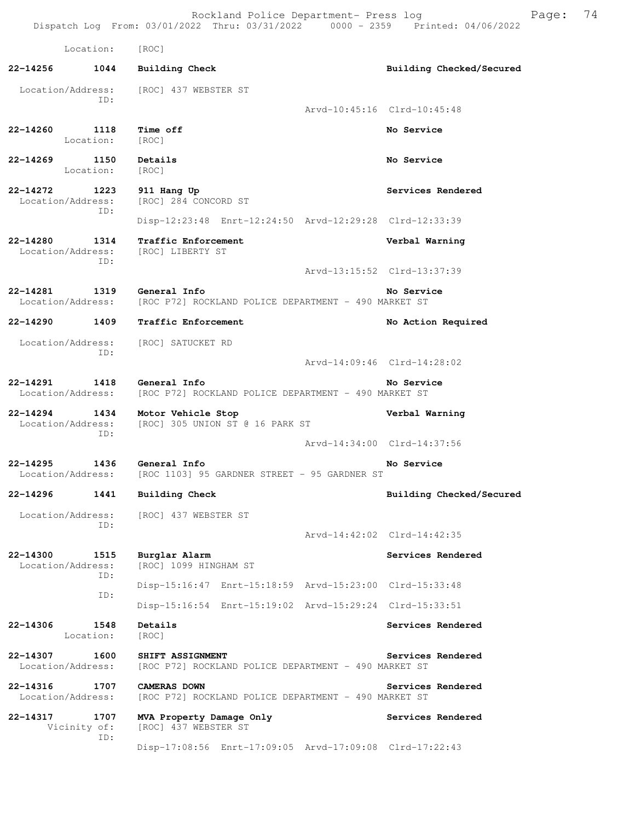Location: [ROC] **22-14256 1044 Building Check Building Checked/Secured**  Location/Address: [ROC] 437 WEBSTER ST ID: Arvd-10:45:16 Clrd-10:45:48 **22-14260 1118 Time off No Service**  Location: [ROC] **22-14269 1150 Details No Service**  Location: [ROC] **22-14272 1223 911 Hang Up Services Rendered**  Location/Address: [ROC] 284 CONCORD ST ID: Disp-12:23:48 Enrt-12:24:50 Arvd-12:29:28 Clrd-12:33:39 **22-14280 1314 Traffic Enforcement Verbal Warning**  Location/Address: ID: Arvd-13:15:52 Clrd-13:37:39 **22-14281 1319 General Info No Service**  [ROC P72] ROCKLAND POLICE DEPARTMENT - 490 MARKET ST **22-14290 1409 Traffic Enforcement No Action Required**  Location/Address: [ROC] SATUCKET RD ID: Arvd-14:09:46 Clrd-14:28:02 **22-14291 1418 General Info No Service**<br>Location/Address: [ROC P72] ROCKLAND POLICE DEPARTMENT - 490 MARKET ST [ROC P72] ROCKLAND POLICE DEPARTMENT - 490 MARKET ST **22-14294 1434 Motor Vehicle Stop Verbal Warning**  Location/Address: [ROC] 305 UNION ST @ 16 PARK ST ID: Arvd-14:34:00 Clrd-14:37:56 **22-14295 1436 General Info No Service**  [ROC 1103] 95 GARDNER STREET - 95 GARDNER ST **22-14296 1441 Building Check Building Checked/Secured**  Location/Address: [ROC] 437 WEBSTER ST ID: Arvd-14:42:02 Clrd-14:42:35 **22-14300 1515 Burglar Alarm Services Rendered**  Location/Address: [ROC] 1099 HINGHAM ST ID: Disp-15:16:47 Enrt-15:18:59 Arvd-15:23:00 Clrd-15:33:48 ID: Disp-15:16:54 Enrt-15:19:02 Arvd-15:29:24 Clrd-15:33:51 **22-14306 1548 Details Services Rendered**  Location: [ROC] **22-14307 1600 SHIFT ASSIGNMENT Services Rendered**  Location/Address: [ROC P72] ROCKLAND POLICE DEPARTMENT - 490 MARKET ST **22-14316 1707 CAMERAS DOWN Services Rendered**  Location/Address: [ROC P72] ROCKLAND POLICE DEPARTMENT - 490 MARKET ST **22-14317 1707 MVA Property Damage Only Services Rendered**  Vicinity of: [ROC] 437 WEBSTER ST ID: Disp-17:08:56 Enrt-17:09:05 Arvd-17:09:08 Clrd-17:22:43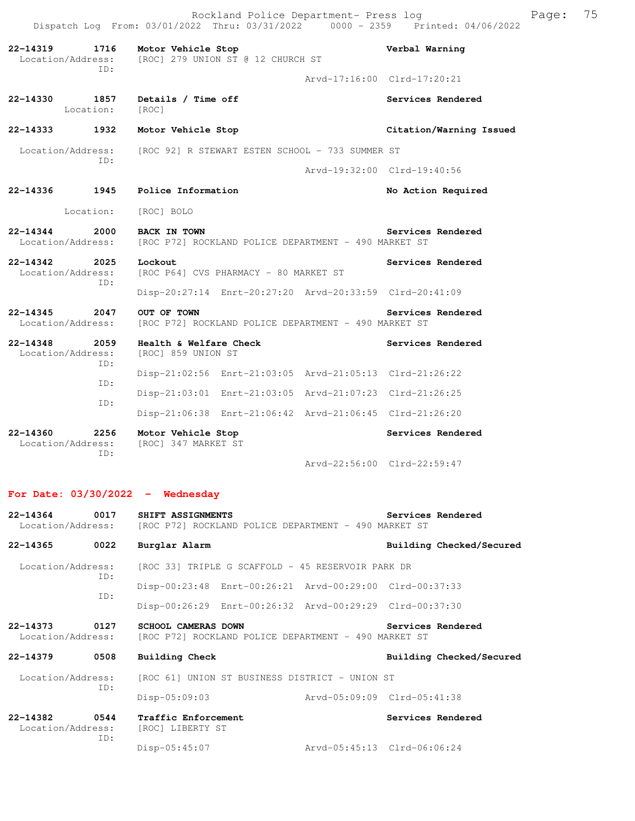|                                              |                                  |                                                                             | Rockland Police Department- Press log | Dispatch Log From: 03/01/2022 Thru: 03/31/2022 0000 - 2359 Printed: 04/06/2022 | Page: | 75 |
|----------------------------------------------|----------------------------------|-----------------------------------------------------------------------------|---------------------------------------|--------------------------------------------------------------------------------|-------|----|
| $22 - 14319$                                 | 1716<br>Location/Address:<br>TD: | Motor Vehicle Stop<br>[ROC] 279 UNION ST @ 12 CHURCH ST                     |                                       | Verbal Warning                                                                 |       |    |
|                                              |                                  |                                                                             |                                       | Arvd-17:16:00 Clrd-17:20:21                                                    |       |    |
| $22 - 14330$                                 | 1857<br>Location:                | Details / Time off<br>[ROC]                                                 |                                       | Services Rendered                                                              |       |    |
| 22-14333                                     | 1932                             | Motor Vehicle Stop                                                          |                                       | Citation/Warning Issued                                                        |       |    |
|                                              | Location/Address:<br>ID:         | [ROC 92] R STEWART ESTEN SCHOOL - 733 SUMMER ST                             |                                       |                                                                                |       |    |
|                                              |                                  |                                                                             |                                       | Arvd-19:32:00 Clrd-19:40:56                                                    |       |    |
| 22-14336                                     | 1945                             | Police Information                                                          |                                       | No Action Required                                                             |       |    |
|                                              | Location:                        | [ROC] BOLO                                                                  |                                       |                                                                                |       |    |
| $22 - 14344$                                 | 2000<br>Location/Address:        | <b>BACK IN TOWN</b><br>[ROC P72] ROCKLAND POLICE DEPARTMENT - 490 MARKET ST |                                       | Services Rendered                                                              |       |    |
| 22-14342<br>2025<br>Location/Address:<br>ID: |                                  | Lockout<br>[ROC P64] CVS PHARMACY - 80 MARKET ST                            |                                       | Services Rendered                                                              |       |    |
|                                              |                                  | Disp-20:27:14 Enrt-20:27:20 Arvd-20:33:59 Clrd-20:41:09                     |                                       |                                                                                |       |    |
| $22 - 14345$                                 | 2047<br>Location/Address:        | OUT OF TOWN<br>[ROC P72] ROCKLAND POLICE DEPARTMENT - 490 MARKET ST         |                                       | Services Rendered                                                              |       |    |
| 22-14348                                     | 2059<br>Location/Address:<br>TD: | Health & Welfare Check<br>[ROC] 859 UNION ST                                |                                       | Services Rendered                                                              |       |    |
|                                              | ID:                              | Disp-21:02:56 Enrt-21:03:05 Arvd-21:05:13 Clrd-21:26:22                     |                                       |                                                                                |       |    |
|                                              | TD:                              | Disp-21:03:01 Enrt-21:03:05 Arvd-21:07:23 Clrd-21:26:25                     |                                       |                                                                                |       |    |
|                                              |                                  | Disp-21:06:38 Enrt-21:06:42 Arvd-21:06:45 Clrd-21:26:20                     |                                       |                                                                                |       |    |
| $22 - 14360$<br>2256<br>Location/Address:    |                                  | Motor Vehicle Stop<br>[ROC] 347 MARKET ST                                   |                                       | Services Rendered                                                              |       |    |
|                                              | TD:                              |                                                                             |                                       | Arvd-22:56:00 Clrd-22:59:47                                                    |       |    |
|                                              |                                  |                                                                             |                                       |                                                                                |       |    |

# **For Date: 03/30/2022 - Wednesday**

| 22-14364 0017                      | SHIFT ASSIGNMENTS<br>Location/Address: [ROC P72] ROCKLAND POLICE DEPARTMENT - 490 MARKET ST |                                                                                    |  | Services Rendered           |  |
|------------------------------------|---------------------------------------------------------------------------------------------|------------------------------------------------------------------------------------|--|-----------------------------|--|
| 22-14365                           | 0022                                                                                        | Burglar Alarm                                                                      |  | Building Checked/Secured    |  |
| Location/Address:<br>TD:           |                                                                                             | [ROC 33] TRIPLE G SCAFFOLD - 45 RESERVOIR PARK DR                                  |  |                             |  |
|                                    | ID:                                                                                         | Disp-00:23:48 Enrt-00:26:21 Arvd-00:29:00 Clrd-00:37:33                            |  |                             |  |
|                                    |                                                                                             | Disp-00:26:29 Enrt-00:26:32 Arvd-00:29:29 Clrd-00:37:30                            |  |                             |  |
| 22-14373 0127<br>Location/Address: |                                                                                             | <b>SCHOOL CAMERAS DOWN</b><br>[ROC P72] ROCKLAND POLICE DEPARTMENT - 490 MARKET ST |  | Services Rendered           |  |
| 22-14379                           | 0508                                                                                        | Building Check                                                                     |  | Building Checked/Secured    |  |
| TD:                                |                                                                                             | Location/Address: [ROC 61] UNION ST BUSINESS DISTRICT - UNION ST                   |  |                             |  |
|                                    |                                                                                             | $Disp-05:09:03$                                                                    |  | Arvd-05:09:09 Clrd-05:41:38 |  |
| 22-14382 0544<br>Location/Address: | TD:                                                                                         | Traffic Enforcement<br>[ROC] LIBERTY ST                                            |  | Services Rendered           |  |
|                                    |                                                                                             | Disp-05:45:07                                                                      |  | Arvd-05:45:13 Clrd-06:06:24 |  |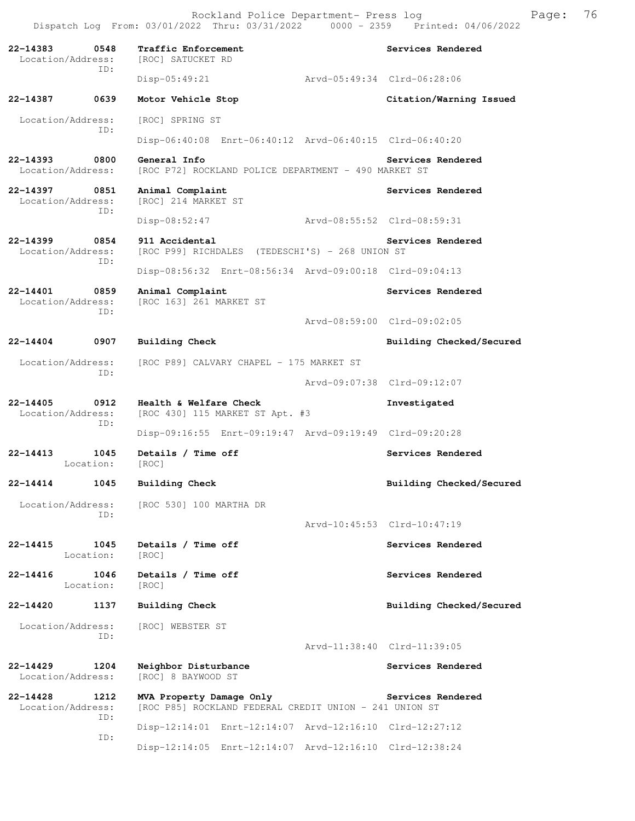**22-14383 0548 Traffic Enforcement Services Rendered**  Location/Address: [ROC] SATUCKET RD ID: Disp-05:49:21 Arvd-05:49:34 Clrd-06:28:06 **22-14387 0639 Motor Vehicle Stop Citation/Warning Issued**  Location/Address: [ROC] SPRING ST ID: Disp-06:40:08 Enrt-06:40:12 Arvd-06:40:15 Clrd-06:40:20 **22-14393 0800 General Info Services Rendered** Location/Address: [ROC P72] ROCKLAND POLICE DEPARTMENT - 490 MARKET ST [ROC P72] ROCKLAND POLICE DEPARTMENT - 490 MARKET ST **22-14397 0851 Animal Complaint Complaint Services Rendered** Location/Address: [ROC] 214 MARKET ST Location/Address: ID: Disp-08:52:47 Arvd-08:55:52 Clrd-08:59:31 **22-14399 0854 911 Accidental Services Rendered**  Location/Address: [ROC P99] RICHDALES (TEDESCHI'S) - 268 UNION ST ID: Disp-08:56:32 Enrt-08:56:34 Arvd-09:00:18 Clrd-09:04:13 **22-14401** 0859 Animal Complaint **Services Rendered Services Rendered Iocation/Address:** [ROC 163] 261 MARKET ST [ROC 163] 261 MARKET ST ID: Arvd-08:59:00 Clrd-09:02:05 **22-14404 0907 Building Check Building Checked/Secured**  Location/Address: [ROC P89] CALVARY CHAPEL - 175 MARKET ST ID: Arvd-09:07:38 Clrd-09:12:07 **22-14405 0912 Health & Welfare Check Investigated**  Location/Address: [ROC 430] 115 MARKET ST Apt. #3 ID: Disp-09:16:55 Enrt-09:19:47 Arvd-09:19:49 Clrd-09:20:28 22-14413 1045 Details / Time off **Services Rendered**  Location: [ROC] **22-14414 1045 Building Check Building Checked/Secured**  Location/Address: [ROC 530] 100 MARTHA DR ID: Arvd-10:45:53 Clrd-10:47:19 22-14415 1045 Details / Time off **Services Rendered** Location: [ROC] **22-14416 1046 Details / Time off Services Rendered**  Location: [ROC] **22-14420 1137 Building Check Building Checked/Secured**  Location/Address: [ROC] WEBSTER ST ID: Arvd-11:38:40 Clrd-11:39:05 **22-14429 1204 Neighbor Disturbance Services Rendered**  Location/Address: [ROC] 8 BAYWOOD ST **22-14428 1212 MVA Property Damage Only Services Rendered**  Location/Address: [ROC P85] ROCKLAND FEDERAL CREDIT UNION - 241 UNION ST ID: Disp-12:14:01 Enrt-12:14:07 Arvd-12:16:10 Clrd-12:27:12 ID: Disp-12:14:05 Enrt-12:14:07 Arvd-12:16:10 Clrd-12:38:24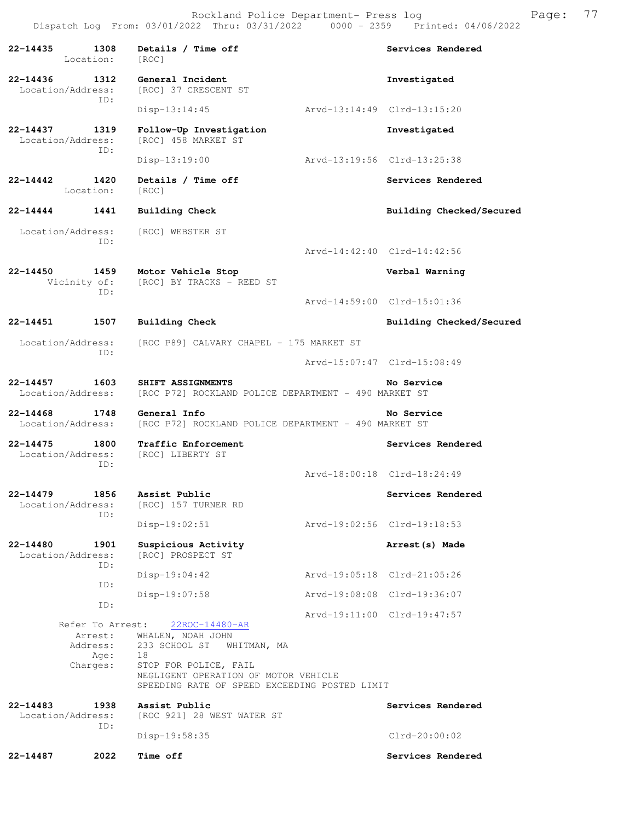**22-14435 1308 Details / Time off Services Rendered**  Location: [ROC] **22-14436 1312 General Incident Investigated**  Location/Address: [ROC] 37 CRESCENT ST ID: Disp-13:14:45 Arvd-13:14:49 Clrd-13:15:20 **22-14437 1319 Follow-Up Investigation Investigated**  Location/Address: [ROC] 458 MARKET ST ID: Disp-13:19:00 Arvd-13:19:56 Clrd-13:25:38 **22-14442 1420 Details / Time off Services Rendered**  Location: [ROC] **22-14444 1441 Building Check Building Checked/Secured**  Location/Address: [ROC] WEBSTER ST ID: Arvd-14:42:40 Clrd-14:42:56 **22-14450 1459 Motor Vehicle Stop Verbal Warning**  Vicinity of: [ROC] BY TRACKS - REED ST ID: Arvd-14:59:00 Clrd-15:01:36 **22-14451 1507 Building Check Building Checked/Secured**  Location/Address: [ROC P89] CALVARY CHAPEL - 175 MARKET ST ID: Arvd-15:07:47 Clrd-15:08:49 **22-14457 1603 SHIFT ASSIGNMENTS No Service**  Location/Address: [ROC P72] ROCKLAND POLICE DEPARTMENT - 490 MARKET ST **22-14468 1748 General Info No Service**  Location/Address: [ROC P72] ROCKLAND POLICE DEPARTMENT - 490 MARKET ST **22-14475 1800 Traffic Enforcement Services Rendered**  Location/Address: [ROC] LIBERTY ST ID: Arvd-18:00:18 Clrd-18:24:49 **22-14479 1856 Assist Public Services Rendered**  [ROC] 157 TURNER RD ID: Disp-19:02:51 Arvd-19:02:56 Clrd-19:18:53 **22-14480 1901 Suspicious Activity Arrest(s) Made**  Location/Address: [ROC] PROSPECT ST ID: Disp-19:04:42 Arvd-19:05:18 Clrd-21:05:26 ID: Disp-19:07:58 Arvd-19:08:08 Clrd-19:36:07 ID: Arvd-19:11:00 Clrd-19:47:57 Refer To Arrest: 22ROC-14480-AR Arrest: WHALEN, NOAH JOHN Address: 233 SCHOOL ST WHITMAN, MA Age: 18 Charges: STOP FOR POLICE, FAIL NEGLIGENT OPERATION OF MOTOR VEHICLE SPEEDING RATE OF SPEED EXCEEDING POSTED LIMIT **22-14483 1938 Assist Public Services Rendered**  Location/Address: [ROC 921] 28 WEST WATER ST ID: Disp-19:58:35 Clrd-20:00:02 **22-14487 2022 Time off Services Rendered**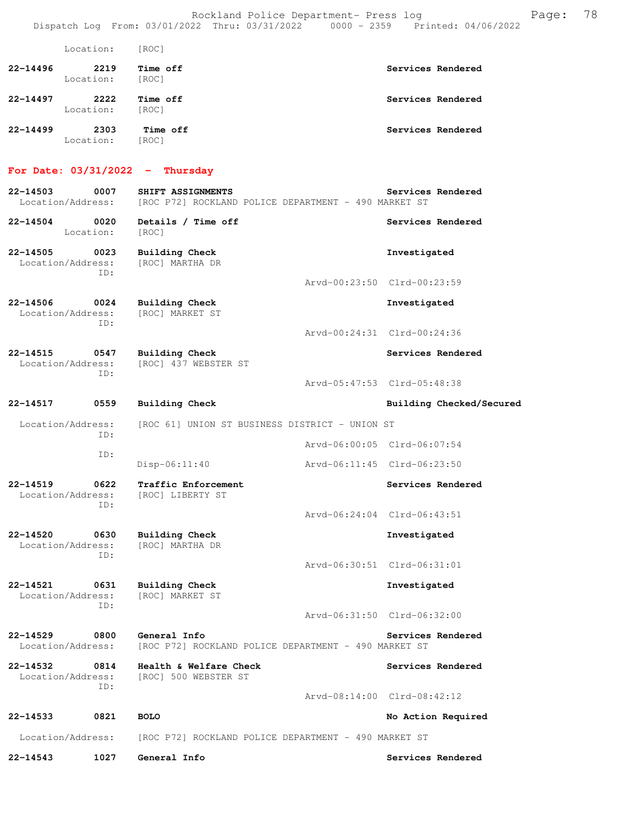|              | Location:         | [ROC]             |                   |
|--------------|-------------------|-------------------|-------------------|
| $22 - 14496$ | 2219<br>Location: | Time off<br>[ROC] | Services Rendered |
| $22 - 14497$ | 2222<br>Location: | Time off<br>[ROC] | Services Rendered |
| $22 - 14499$ | 2303<br>Location: | Time off<br>[ROC] | Services Rendered |

#### **For Date: 03/31/2022 - Thursday**

| For Date: 03/31/2022 - Thursday              |                                                                           |                             |
|----------------------------------------------|---------------------------------------------------------------------------|-----------------------------|
| 0007<br>22-14503<br>Location/Address:        | SHIFT ASSIGNMENTS<br>[ROC P72] ROCKLAND POLICE DEPARTMENT - 490 MARKET ST | Services Rendered           |
| 22-14504<br>0020<br>Location:                | Details / Time off<br>[ROC]                                               | Services Rendered           |
| 22-14505<br>0023<br>Location/Address:<br>ID: | Building Check<br>[ROC] MARTHA DR                                         | Investigated                |
|                                              |                                                                           | Arvd-00:23:50 Clrd-00:23:59 |
| 22-14506<br>0024<br>Location/Address:<br>ID: | Building Check<br>[ROC] MARKET ST                                         | Investigated                |
|                                              |                                                                           | Arvd-00:24:31 Clrd-00:24:36 |
| 22-14515<br>0547<br>Location/Address:<br>ID: | <b>Building Check</b><br>[ROC] 437 WEBSTER ST                             | Services Rendered           |
|                                              |                                                                           | Arvd-05:47:53 Clrd-05:48:38 |
| 22-14517<br>0559                             | Building Check                                                            | Building Checked/Secured    |
| Location/Address:<br>ID:                     | [ROC 61] UNION ST BUSINESS DISTRICT - UNION ST                            |                             |
| ID:                                          |                                                                           | Arvd-06:00:05 Clrd-06:07:54 |
|                                              | $Disp-06:11:40$                                                           | Arvd-06:11:45 Clrd-06:23:50 |
| 22-14519<br>0622<br>Location/Address:<br>ID: | Traffic Enforcement<br>[ROC] LIBERTY ST                                   | Services Rendered           |
|                                              |                                                                           | Arvd-06:24:04 Clrd-06:43:51 |
| 22-14520<br>0630<br>Location/Address:<br>ID: | <b>Building Check</b><br>[ROC] MARTHA DR                                  | Investigated                |
|                                              |                                                                           | Arvd-06:30:51 Clrd-06:31:01 |
| 22-14521<br>0631<br>Location/Address:<br>ID: | Building Check<br>[ROC] MARKET ST                                         | Investigated                |
|                                              |                                                                           | Arvd-06:31:50 Clrd-06:32:00 |
| 22-14529<br>0800<br>Location/Address:        | General Info<br>[ROC P72] ROCKLAND POLICE DEPARTMENT - 490 MARKET ST      | Services Rendered           |
| 22-14532<br>0814<br>Location/Address:<br>ID: | Health & Welfare Check<br>[ROC] 500 WEBSTER ST                            | Services Rendered           |

 Arvd-08:14:00 Clrd-08:42:12 **22-14533 0821 BOLO No Action Required** 

Location/Address: [ROC P72] ROCKLAND POLICE DEPARTMENT - 490 MARKET ST

**22-14543 1027 General Info Services Rendered**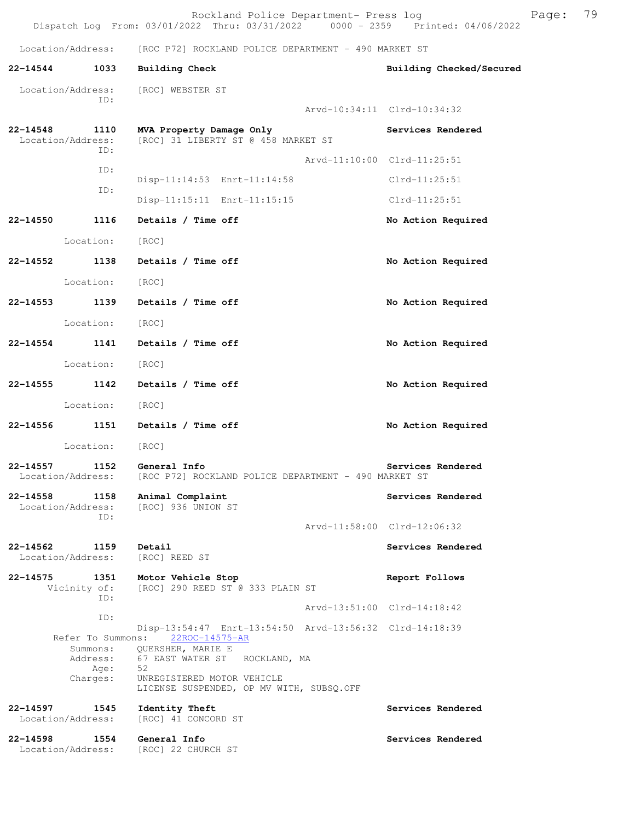Location/Address: [ROC P72] ROCKLAND POLICE DEPARTMENT - 490 MARKET ST **22-14544 1033 Building Check Building Checked/Secured**  Location/Address: [ROC] WEBSTER ST ID: Arvd-10:34:11 Clrd-10:34:32 **22-14548 1110 MVA Property Damage Only Services Rendered**  Location/Address: [ROC] 31 LIBERTY ST @ 458 MARKET ST ID: Arvd-11:10:00 Clrd-11:25:51 ID: Disp-11:14:53 Enrt-11:14:58 Clrd-11:25:51 ID: Disp-11:15:11 Enrt-11:15:15 Clrd-11:25:51 **22-14550 1116 Details / Time off No Action Required**  Location: [ROC] **22-14552 1138 Details / Time off No Action Required**  Location: [ROC] **22-14553 1139 Details / Time off No Action Required**  Location: [ROC] **22-14554 1141 Details / Time off No Action Required**  Location: [ROC] **22-14555 1142 Details / Time off No Action Required**  Location: [ROC] **22-14556 1151 Details / Time off No Action Required**  Location: [ROC] **22-14557 1152 General Info Services Rendered**  Location/Address: [ROC P72] ROCKLAND POLICE DEPARTMENT - 490 MARKET ST **22-14558 1158 Animal Complaint Services Rendered** Location/Address: [ROC] 936 UNION ST [ROC] 936 UNION ST ID: Arvd-11:58:00 Clrd-12:06:32 **22-14562 1159 Detail Services Rendered Execution** Services Rendered Location/Address: [ROC] REED ST Location/Address: **22-14575 1351 Motor Vehicle Stop Report Follows**  Vicinity of: [ROC] 290 REED ST @ 333 PLAIN ST ID: Arvd-13:51:00 Clrd-14:18:42 ID: Disp-13:54:47 Enrt-13:54:50 Arvd-13:56:32 Clrd-14:18:39 Refer To Summons: Summons: QUERSHER, MARIE E Address: 67 EAST WATER ST ROCKLAND, MA Age: 52 Charges: UNREGISTERED MOTOR VEHICLE LICENSE SUSPENDED, OP MV WITH, SUBSQ.OFF **22-14597 1545 Identity Theft Services Rendered**  Location/Address: [ROC] 41 CONCORD ST **22-14598 1554 General Info Services Rendered** 

Location/Address: [ROC] 22 CHURCH ST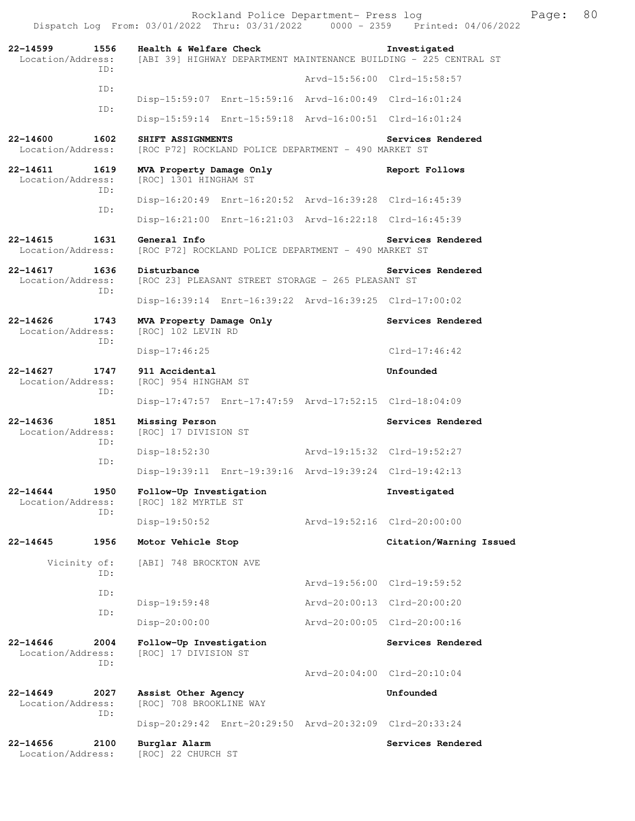Dispatch Log From: 03/01/2022 Thru: 03/31/2022 0000 - 2359 Printed: 04/06/2022 **22-14599 1556 Health & Welfare Check Investigated**  Location/Address: [ABI 39] HIGHWAY DEPARTMENT MAINTENANCE BUILDING - 225 CENTRAL ST ID: Arvd-15:56:00 Clrd-15:58:57 ID: Disp-15:59:07 Enrt-15:59:16 Arvd-16:00:49 Clrd-16:01:24 ID: Disp-15:59:14 Enrt-15:59:18 Arvd-16:00:51 Clrd-16:01:24 **22-14600 1602 SHIFT ASSIGNMENTS Services Rendered**  Location/Address: [ROC P72] ROCKLAND POLICE DEPARTMENT - 490 MARKET ST **22-14611 1619 MVA Property Damage Only Report Follows**  Location/Address: [ROC] 1301 HINGHAM ST ID: Disp-16:20:49 Enrt-16:20:52 Arvd-16:39:28 Clrd-16:45:39 ID: Disp-16:21:00 Enrt-16:21:03 Arvd-16:22:18 Clrd-16:45:39 **22-14615 1631 General Info Services Rendered**  [ROC P72] ROCKLAND POLICE DEPARTMENT - 490 MARKET ST **22-14617 1636 Disturbance Services Rendered**  Location/Address: [ROC 23] PLEASANT STREET STORAGE - 265 PLEASANT ST ID: Disp-16:39:14 Enrt-16:39:22 Arvd-16:39:25 Clrd-17:00:02 **22-14626 1743 MVA Property Damage Only Services Rendered**  Location/Address: [ROC] 102 LEVIN RD ID: Disp-17:46:25 Clrd-17:46:42 **22-14627 1747 911 Accidental Unfounded**  [ROC] 954 HINGHAM ST ID: Disp-17:47:57 Enrt-17:47:59 Arvd-17:52:15 Clrd-18:04:09 **22-14636 1851 Missing Person Services Rendered**  Location/Address: [ROC] 17 DIVISION ST ID: Disp-18:52:30 Arvd-19:15:32 Clrd-19:52:27<br>The ID: Disp-19:39:11 Enrt-19:39:16 Arvd-19:39:24 Clrd-19:42:13 **22-14644 1950 Follow-Up Investigation Investigated**  [ROC] 182 MYRTLE ST ID: Disp-19:50:52 Arvd-19:52:16 Clrd-20:00:00 **22-14645 1956 Motor Vehicle Stop Citation/Warning Issued**  Vicinity of: [ABI] 748 BROCKTON AVE ID: Arvd-19:56:00 Clrd-19:59:52 ID: Disp-19:59:48 Arvd-20:00:13 Clrd-20:00:20 ID: Disp-20:00:00 Arvd-20:00:05 Clrd-20:00:16 **22-14646 2004 Follow-Up Investigation Services Rendered**  Location/Address: [ROC] 17 DIVISION ST ID: Arvd-20:04:00 Clrd-20:10:04 **22-14649 2027 Assist Other Agency Unfounded**  Location/Address: [ROC] 708 BROOKLINE WAY ID: Disp-20:29:42 Enrt-20:29:50 Arvd-20:32:09 Clrd-20:33:24 **22-14656 2100 Burglar Alarm Services Rendered**  Location/Address: [ROC] 22 CHURCH ST

Rockland Police Department- Press log Freed Page: 80